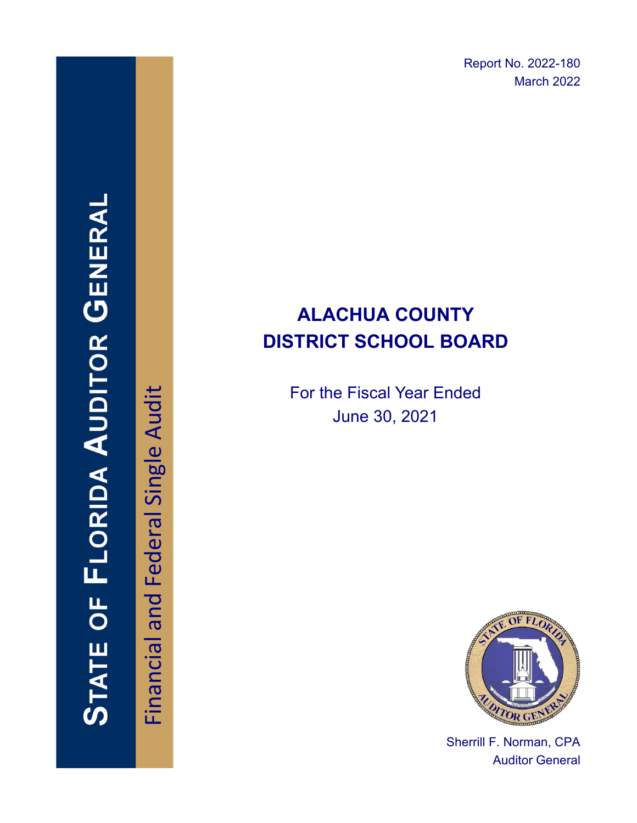Report No. 2022-180 March 2022

# STATE OF FLORIDA AUDITOR GENERAI

Financial and Federal Single Audit Financial and Federal Single Audit

# **ALACHUA COUNTY DISTRICT SCHOOL BOARD**

For the Fiscal Year Ended June 30, 2021



Sherrill F. Norman, CPA Auditor General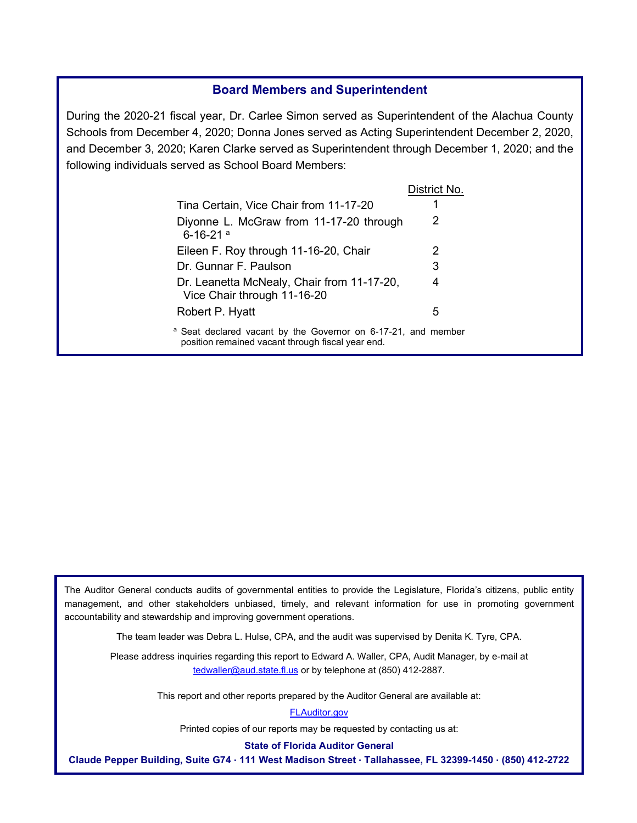#### **Board Members and Superintendent**

During the 2020-21 fiscal year, Dr. Carlee Simon served as Superintendent of the Alachua County Schools from December 4, 2020; Donna Jones served as Acting Superintendent December 2, 2020, and December 3, 2020; Karen Clarke served as Superintendent through December 1, 2020; and the following individuals served as School Board Members:

|                                                                           | District No. |
|---------------------------------------------------------------------------|--------------|
| Tina Certain, Vice Chair from 11-17-20                                    | 1            |
| Diyonne L. McGraw from 11-17-20 through<br>$6 - 16 - 21$ <sup>a</sup>     | 2            |
| Eileen F. Roy through 11-16-20, Chair                                     | 2            |
| Dr. Gunnar F. Paulson                                                     | 3            |
| Dr. Leanetta McNealy, Chair from 11-17-20,<br>Vice Chair through 11-16-20 | 4            |
| Robert P. Hyatt                                                           | 5            |
| <sup>a</sup> Seat declared vacant by the Governor on 6-17-21, and member  |              |

position remained vacant through fiscal year end.

The Auditor General conducts audits of governmental entities to provide the Legislature, Florida's citizens, public entity management, and other stakeholders unbiased, timely, and relevant information for use in promoting government accountability and stewardship and improving government operations.

The team leader was Debra L. Hulse, CPA, and the audit was supervised by Denita K. Tyre, CPA.

Please address inquiries regarding this report to Edward A. Waller, CPA, Audit Manager, by e-mail at [tedwaller@aud.state.fl.us](mailto:tedwaller@aud.state.fl.us) or by telephone at (850) 412-2887.

This report and other reports prepared by the Auditor General are available at:

[FLAuditor.gov](https://flauditor.gov/)

Printed copies of our reports may be requested by contacting us at:

**State of Florida Auditor General**

**Claude Pepper Building, Suite G74 ∙ 111 West Madison Street ∙ Tallahassee, FL 32399-1450 ∙ (850) 412-2722**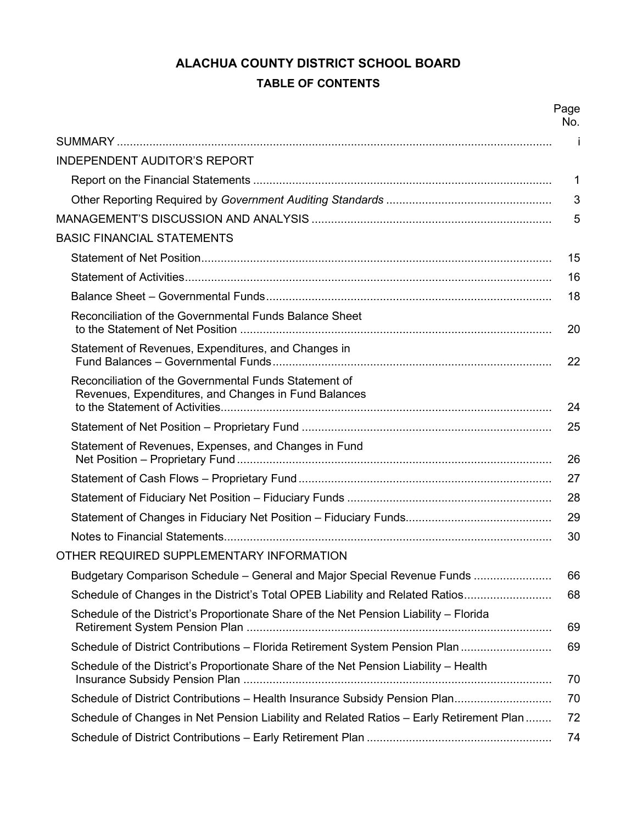# **ALACHUA COUNTY DISTRICT SCHOOL BOARD TABLE OF CONTENTS**

|                                                                                                               | Page<br>No. |
|---------------------------------------------------------------------------------------------------------------|-------------|
|                                                                                                               | Ť           |
| <b>INDEPENDENT AUDITOR'S REPORT</b>                                                                           |             |
|                                                                                                               | $\mathbf 1$ |
|                                                                                                               | 3           |
|                                                                                                               | 5           |
| <b>BASIC FINANCIAL STATEMENTS</b>                                                                             |             |
|                                                                                                               | 15          |
|                                                                                                               | 16          |
|                                                                                                               | 18          |
| Reconciliation of the Governmental Funds Balance Sheet                                                        | 20          |
| Statement of Revenues, Expenditures, and Changes in                                                           | 22          |
| Reconciliation of the Governmental Funds Statement of<br>Revenues, Expenditures, and Changes in Fund Balances | 24          |
|                                                                                                               | 25          |
| Statement of Revenues, Expenses, and Changes in Fund                                                          | 26          |
|                                                                                                               | 27          |
|                                                                                                               | 28          |
|                                                                                                               | 29          |
|                                                                                                               | 30          |
| OTHER REQUIRED SUPPLEMENTARY INFORMATION                                                                      |             |
| Budgetary Comparison Schedule – General and Major Special Revenue Funds                                       | 66          |
| Schedule of Changes in the District's Total OPEB Liability and Related Ratios                                 | 68          |
| Schedule of the District's Proportionate Share of the Net Pension Liability - Florida                         | 69          |
| Schedule of District Contributions - Florida Retirement System Pension Plan                                   | 69          |
| Schedule of the District's Proportionate Share of the Net Pension Liability – Health                          | 70          |
| Schedule of District Contributions - Health Insurance Subsidy Pension Plan                                    | 70          |
| Schedule of Changes in Net Pension Liability and Related Ratios - Early Retirement Plan                       | 72          |
|                                                                                                               | 74          |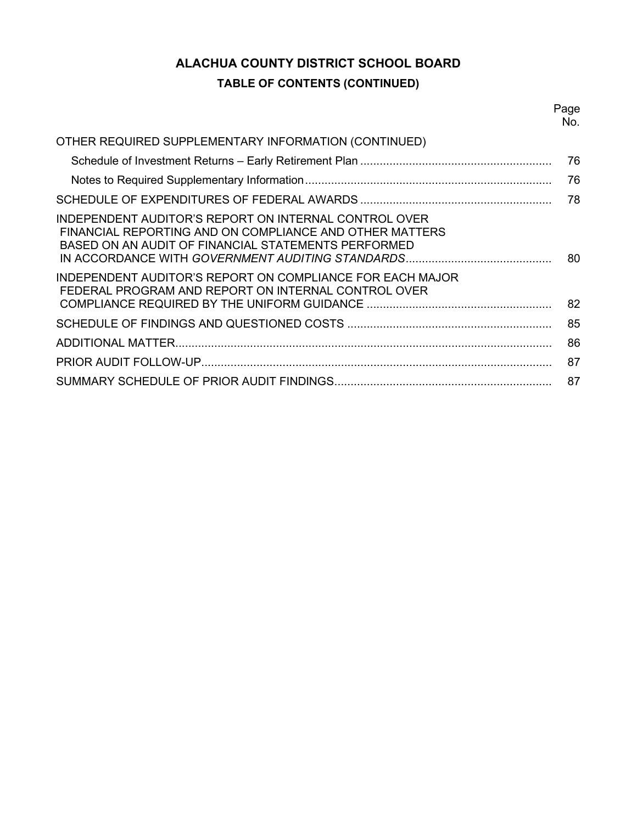# **ALACHUA COUNTY DISTRICT SCHOOL BOARD TABLE OF CONTENTS (CONTINUED)**

Page

|                                                                                                                                                                         | No.  |
|-------------------------------------------------------------------------------------------------------------------------------------------------------------------------|------|
| OTHER REQUIRED SUPPLEMENTARY INFORMATION (CONTINUED)                                                                                                                    |      |
|                                                                                                                                                                         | 76   |
|                                                                                                                                                                         | 76   |
|                                                                                                                                                                         | 78   |
| INDEPENDENT AUDITOR'S REPORT ON INTERNAL CONTROL OVER<br>FINANCIAL REPORTING AND ON COMPLIANCE AND OTHER MATTERS<br>BASED ON AN AUDIT OF FINANCIAL STATEMENTS PERFORMED | - 80 |
| INDEPENDENT AUDITOR'S REPORT ON COMPLIANCE FOR EACH MAJOR<br>FEDERAL PROGRAM AND REPORT ON INTERNAL CONTROL OVER                                                        | 82   |
|                                                                                                                                                                         | 85   |
|                                                                                                                                                                         | 86   |
|                                                                                                                                                                         | 87   |
|                                                                                                                                                                         | 87   |
|                                                                                                                                                                         |      |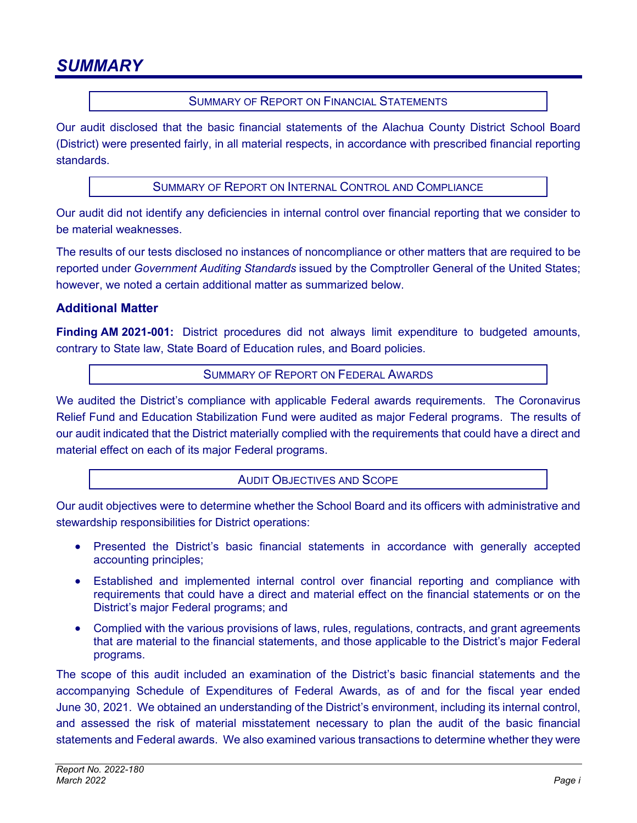#### SUMMARY OF REPORT ON FINANCIAL STATEMENTS

<span id="page-4-0"></span>Our audit disclosed that the basic financial statements of the Alachua County District School Board (District) were presented fairly, in all material respects, in accordance with prescribed financial reporting standards.

SUMMARY OF REPORT ON INTERNAL CONTROL AND COMPLIANCE

Our audit did not identify any deficiencies in internal control over financial reporting that we consider to be material weaknesses.

The results of our tests disclosed no instances of noncompliance or other matters that are required to be reported under *Government Auditing Standards* issued by the Comptroller General of the United States; however, we noted a certain additional matter as summarized below.

#### **Additional Matter**

**Finding AM 2021-001:** District procedures did not always limit expenditure to budgeted amounts, contrary to State law, State Board of Education rules, and Board policies.

SUMMARY OF REPORT ON FEDERAL AWARDS

We audited the District's compliance with applicable Federal awards requirements. The Coronavirus Relief Fund and Education Stabilization Fund were audited as major Federal programs. The results of our audit indicated that the District materially complied with the requirements that could have a direct and material effect on each of its major Federal programs.

AUDIT OBJECTIVES AND SCOPE

Our audit objectives were to determine whether the School Board and its officers with administrative and stewardship responsibilities for District operations:

- Presented the District's basic financial statements in accordance with generally accepted accounting principles;
- Established and implemented internal control over financial reporting and compliance with requirements that could have a direct and material effect on the financial statements or on the District's major Federal programs; and
- Complied with the various provisions of laws, rules, regulations, contracts, and grant agreements that are material to the financial statements, and those applicable to the District's major Federal programs.

The scope of this audit included an examination of the District's basic financial statements and the accompanying Schedule of Expenditures of Federal Awards, as of and for the fiscal year ended June 30, 2021. We obtained an understanding of the District's environment, including its internal control, and assessed the risk of material misstatement necessary to plan the audit of the basic financial statements and Federal awards. We also examined various transactions to determine whether they were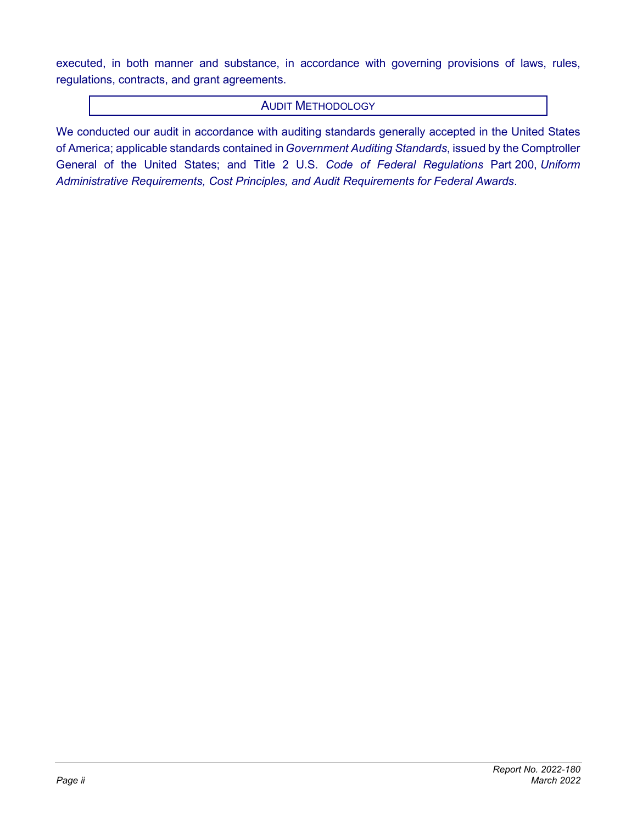executed, in both manner and substance, in accordance with governing provisions of laws, rules, regulations, contracts, and grant agreements.

#### AUDIT METHODOLOGY

We conducted our audit in accordance with auditing standards generally accepted in the United States of America; applicable standards contained in*Government Auditing Standards*, issued by the Comptroller General of the United States; and Title 2 U.S. *Code of Federal Regulations* Part 200, *Uniform Administrative Requirements, Cost Principles, and Audit Requirements for Federal Awards*.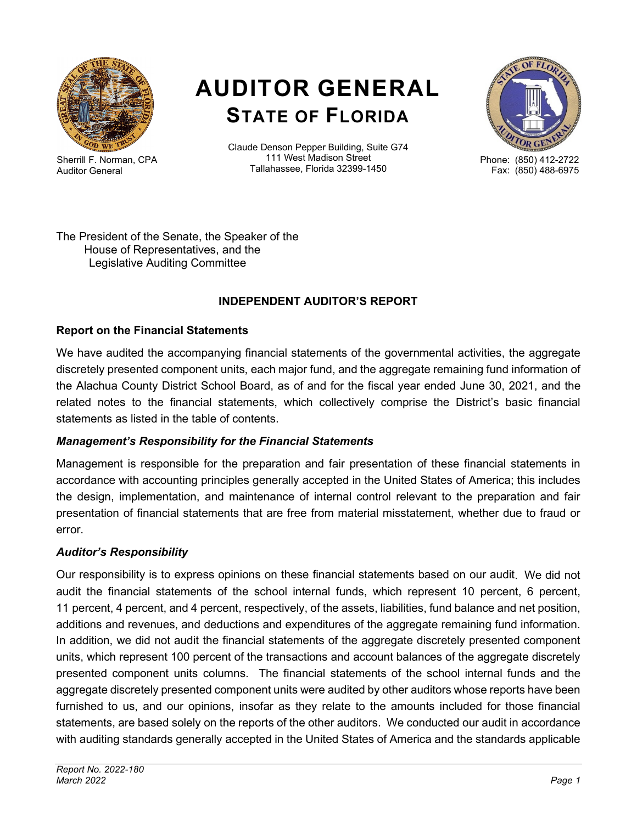<span id="page-6-1"></span>

Sherrill F. Norman, CPA Auditor General

# **AUDITOR GENERAL STATE OF FLORIDA**

Claude Denson Pepper Building, Suite G74 111 West Madison Street Tallahassee, Florida 32399-1450



Phone: (850) 412-2722 Fax: (850) 488-6975

The President of the Senate, the Speaker of the House of Representatives, and the Legislative Auditing Committee

# **INDEPENDENT AUDITOR'S REPORT**

#### <span id="page-6-0"></span>**Report on the Financial Statements**

We have audited the accompanying financial statements of the governmental activities, the aggregate discretely presented component units, each major fund, and the aggregate remaining fund information of the Alachua County District School Board, as of and for the fiscal year ended June 30, 2021, and the related notes to the financial statements, which collectively comprise the District's basic financial statements as listed in the table of contents.

#### *Management's Responsibility for the Financial Statements*

Management is responsible for the preparation and fair presentation of these financial statements in accordance with accounting principles generally accepted in the United States of America; this includes the design, implementation, and maintenance of internal control relevant to the preparation and fair presentation of financial statements that are free from material misstatement, whether due to fraud or error.

#### *Auditor's Responsibility*

Our responsibility is to express opinions on these financial statements based on our audit. We did not audit the financial statements of the school internal funds, which represent 10 percent, 6 percent, 11 percent, 4 percent, and 4 percent, respectively, of the assets, liabilities, fund balance and net position, additions and revenues, and deductions and expenditures of the aggregate remaining fund information. In addition, we did not audit the financial statements of the aggregate discretely presented component units, which represent 100 percent of the transactions and account balances of the aggregate discretely presented component units columns. The financial statements of the school internal funds and the aggregate discretely presented component units were audited by other auditors whose reports have been furnished to us, and our opinions, insofar as they relate to the amounts included for those financial statements, are based solely on the reports of the other auditors. We conducted our audit in accordance with auditing standards generally accepted in the United States of America and the standards applicable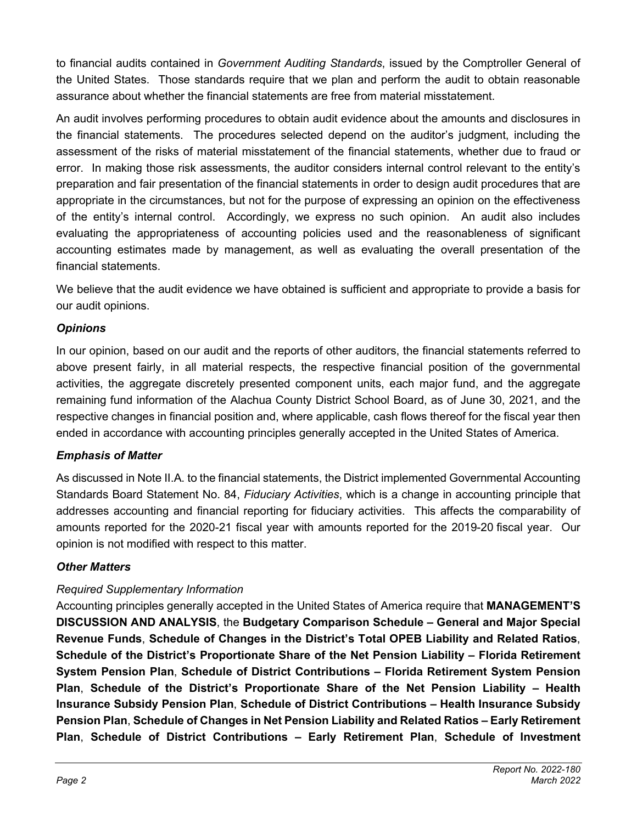to financial audits contained in *Government Auditing Standards*, issued by the Comptroller General of the United States. Those standards require that we plan and perform the audit to obtain reasonable assurance about whether the financial statements are free from material misstatement.

An audit involves performing procedures to obtain audit evidence about the amounts and disclosures in the financial statements. The procedures selected depend on the auditor's judgment, including the assessment of the risks of material misstatement of the financial statements, whether due to fraud or error. In making those risk assessments, the auditor considers internal control relevant to the entity's preparation and fair presentation of the financial statements in order to design audit procedures that are appropriate in the circumstances, but not for the purpose of expressing an opinion on the effectiveness of the entity's internal control. Accordingly, we express no such opinion. An audit also includes evaluating the appropriateness of accounting policies used and the reasonableness of significant accounting estimates made by management, as well as evaluating the overall presentation of the financial statements.

We believe that the audit evidence we have obtained is sufficient and appropriate to provide a basis for our audit opinions.

#### *Opinions*

In our opinion, based on our audit and the reports of other auditors, the financial statements referred to above present fairly, in all material respects, the respective financial position of the governmental activities, the aggregate discretely presented component units, each major fund, and the aggregate remaining fund information of the Alachua County District School Board, as of June 30, 2021, and the respective changes in financial position and, where applicable, cash flows thereof for the fiscal year then ended in accordance with accounting principles generally accepted in the United States of America.

#### *Emphasis of Matter*

As discussed in Note II.A. to the financial statements, the District implemented Governmental Accounting Standards Board Statement No. 84, *Fiduciary Activities*, which is a change in accounting principle that addresses accounting and financial reporting for fiduciary activities. This affects the comparability of amounts reported for the 2020-21 fiscal year with amounts reported for the 2019-20 fiscal year. Our opinion is not modified with respect to this matter.

# *Other Matters*

# *Required Supplementary Information*

Accounting principles generally accepted in the United States of America require that **MANAGEMENT'S DISCUSSION AND ANALYSIS**, the **Budgetary Comparison Schedule – General and Major Special Revenue Funds**, **Schedule of Changes in the District's Total OPEB Liability and Related Ratios**, **Schedule of the District's Proportionate Share of the Net Pension Liability – Florida Retirement System Pension Plan**, **Schedule of District Contributions – Florida Retirement System Pension Plan**, **Schedule of the District's Proportionate Share of the Net Pension Liability – Health Insurance Subsidy Pension Plan**, **Schedule of District Contributions – Health Insurance Subsidy Pension Plan**, **Schedule of Changes in Net Pension Liability and Related Ratios – Early Retirement Plan**, **Schedule of District Contributions – Early Retirement Plan**, **Schedule of Investment**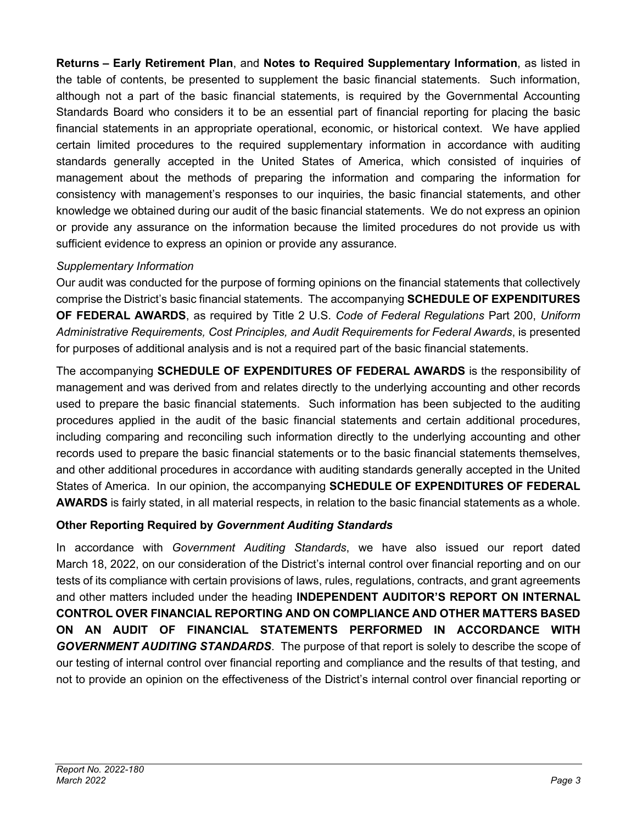<span id="page-8-1"></span>**Returns – Early Retirement Plan**, and **Notes to Required Supplementary Information**, as listed in the table of contents, be presented to supplement the basic financial statements. Such information, although not a part of the basic financial statements, is required by the Governmental Accounting Standards Board who considers it to be an essential part of financial reporting for placing the basic financial statements in an appropriate operational, economic, or historical context. We have applied certain limited procedures to the required supplementary information in accordance with auditing standards generally accepted in the United States of America, which consisted of inquiries of management about the methods of preparing the information and comparing the information for consistency with management's responses to our inquiries, the basic financial statements, and other knowledge we obtained during our audit of the basic financial statements. We do not express an opinion or provide any assurance on the information because the limited procedures do not provide us with sufficient evidence to express an opinion or provide any assurance.

#### *Supplementary Information*

Our audit was conducted for the purpose of forming opinions on the financial statements that collectively comprise the District's basic financial statements. The accompanying **SCHEDULE OF EXPENDITURES OF FEDERAL AWARDS**, as required by Title 2 U.S. *Code of Federal Regulations* Part 200, *Uniform Administrative Requirements, Cost Principles, and Audit Requirements for Federal Awards*, is presented for purposes of additional analysis and is not a required part of the basic financial statements.

The accompanying **SCHEDULE OF EXPENDITURES OF FEDERAL AWARDS** is the responsibility of management and was derived from and relates directly to the underlying accounting and other records used to prepare the basic financial statements. Such information has been subjected to the auditing procedures applied in the audit of the basic financial statements and certain additional procedures, including comparing and reconciling such information directly to the underlying accounting and other records used to prepare the basic financial statements or to the basic financial statements themselves, and other additional procedures in accordance with auditing standards generally accepted in the United States of America. In our opinion, the accompanying **SCHEDULE OF EXPENDITURES OF FEDERAL AWARDS** is fairly stated, in all material respects, in relation to the basic financial statements as a whole.

# <span id="page-8-0"></span>**Other Reporting Required by** *Government Auditing Standards*

In accordance with *Government Auditing Standards*, we have also issued our report dated March 18, 2022, on our consideration of the District's internal control over financial reporting and on our tests of its compliance with certain provisions of laws, rules, regulations, contracts, and grant agreements and other matters included under the heading **INDEPENDENT AUDITOR'S REPORT ON INTERNAL CONTROL OVER FINANCIAL REPORTING AND ON COMPLIANCE AND OTHER MATTERS BASED ON AN AUDIT OF FINANCIAL STATEMENTS PERFORMED IN ACCORDANCE WITH**  *GOVERNMENT AUDITING STANDARDS*. The purpose of that report is solely to describe the scope of our testing of internal control over financial reporting and compliance and the results of that testing, and not to provide an opinion on the effectiveness of the District's internal control over financial reporting or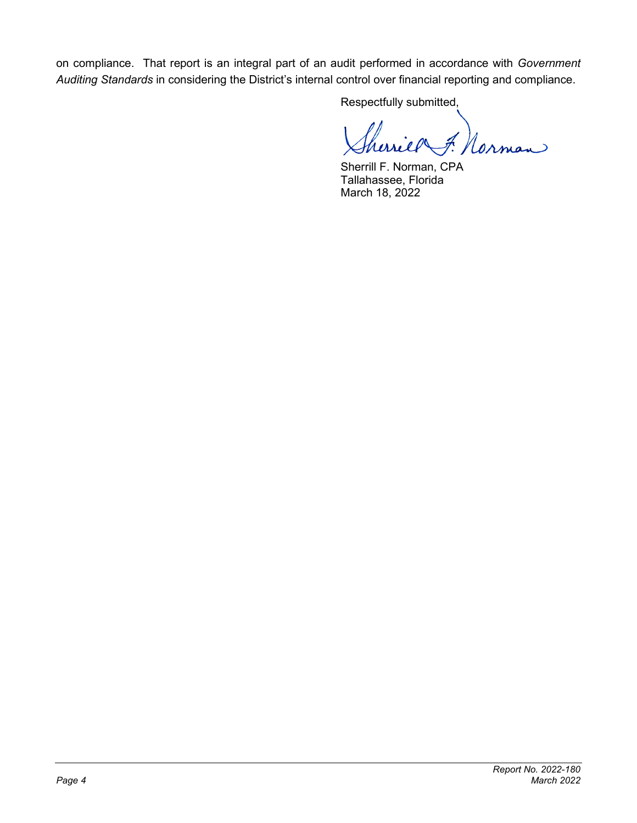on compliance. That report is an integral part of an audit performed in accordance with *Government Auditing Standards* in considering the District's internal control over financial reporting and compliance.

Respectfully submitted,

Norman

Sherrill F. Norman, CPA Tallahassee, Florida March 18, 2022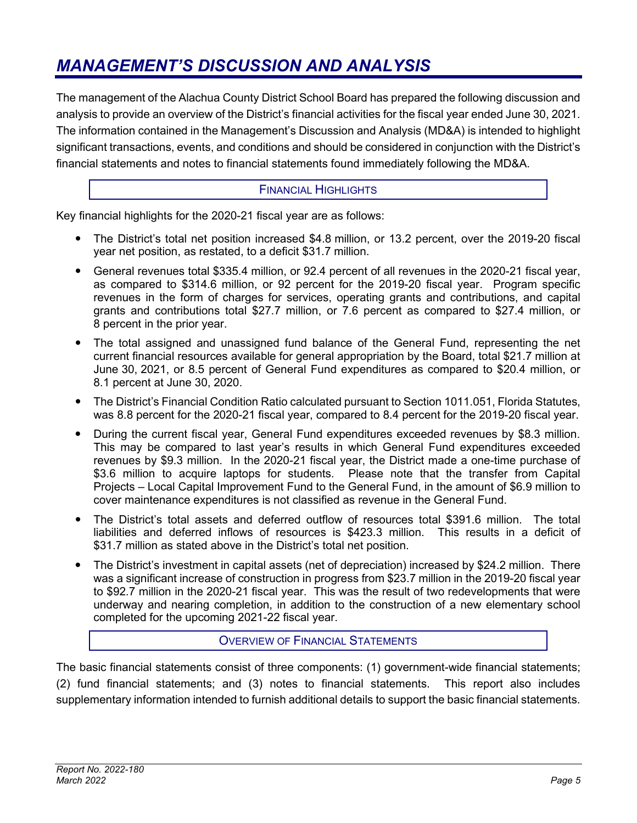# <span id="page-10-1"></span><span id="page-10-0"></span>*MANAGEMENT'S DISCUSSION AND ANALYSIS*

The management of the Alachua County District School Board has prepared the following discussion and analysis to provide an overview of the District's financial activities for the fiscal year ended June 30, 2021. The information contained in the Management's Discussion and Analysis (MD&A) is intended to highlight significant transactions, events, and conditions and should be considered in conjunction with the District's financial statements and notes to financial statements found immediately following the MD&A.

#### FINANCIAL HIGHLIGHTS

Key financial highlights for the 2020-21 fiscal year are as follows:

- The District's total net position increased \$4.8 million, or 13.2 percent, over the 2019-20 fiscal year net position, as restated, to a deficit \$31.7 million.
- General revenues total \$335.4 million, or 92.4 percent of all revenues in the 2020-21 fiscal year, as compared to \$314.6 million, or 92 percent for the 2019-20 fiscal year. Program specific revenues in the form of charges for services, operating grants and contributions, and capital grants and contributions total \$27.7 million, or 7.6 percent as compared to \$27.4 million, or 8 percent in the prior year.
- The total assigned and unassigned fund balance of the General Fund, representing the net current financial resources available for general appropriation by the Board, total \$21.7 million at June 30, 2021, or 8.5 percent of General Fund expenditures as compared to \$20.4 million, or 8.1 percent at June 30, 2020.
- The District's Financial Condition Ratio calculated pursuant to Section 1011.051, Florida Statutes, was 8.8 percent for the 2020-21 fiscal year, compared to 8.4 percent for the 2019-20 fiscal year.
- During the current fiscal year, General Fund expenditures exceeded revenues by \$8.3 million. This may be compared to last year's results in which General Fund expenditures exceeded revenues by \$9.3 million. In the 2020-21 fiscal year, the District made a one-time purchase of \$3.6 million to acquire laptops for students. Please note that the transfer from Capital Projects – Local Capital Improvement Fund to the General Fund, in the amount of \$6.9 million to cover maintenance expenditures is not classified as revenue in the General Fund.
- The District's total assets and deferred outflow of resources total \$391.6 million. The total liabilities and deferred inflows of resources is \$423.3 million. This results in a deficit of \$31.7 million as stated above in the District's total net position.
- The District's investment in capital assets (net of depreciation) increased by \$24.2 million. There was a significant increase of construction in progress from \$23.7 million in the 2019-20 fiscal year to \$92.7 million in the 2020-21 fiscal year. This was the result of two redevelopments that were underway and nearing completion, in addition to the construction of a new elementary school completed for the upcoming 2021-22 fiscal year.

#### OVERVIEW OF FINANCIAL STATEMENTS

The basic financial statements consist of three components: (1) government-wide financial statements; (2) fund financial statements; and (3) notes to financial statements. This report also includes supplementary information intended to furnish additional details to support the basic financial statements.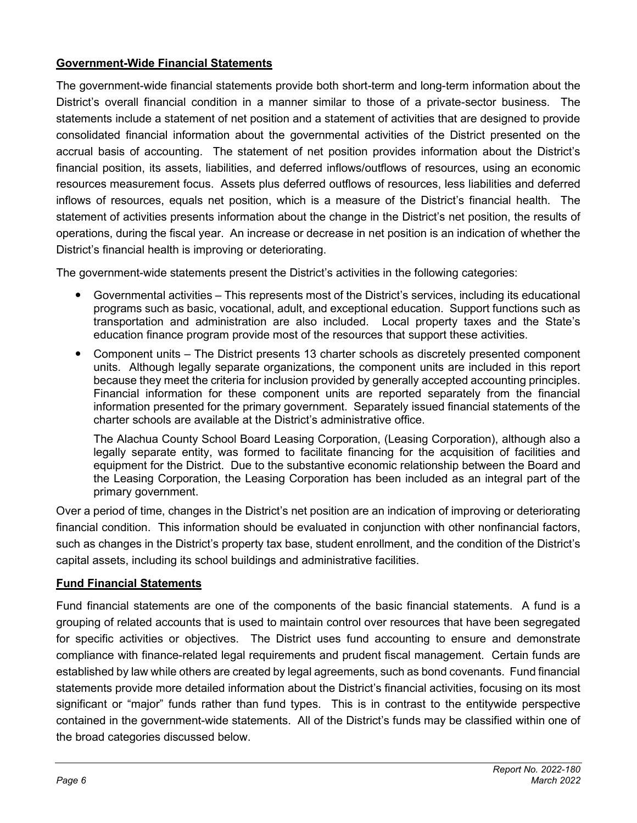#### **Government-Wide Financial Statements**

The government-wide financial statements provide both short-term and long-term information about the District's overall financial condition in a manner similar to those of a private-sector business. The statements include a statement of net position and a statement of activities that are designed to provide consolidated financial information about the governmental activities of the District presented on the accrual basis of accounting. The statement of net position provides information about the District's financial position, its assets, liabilities, and deferred inflows/outflows of resources, using an economic resources measurement focus. Assets plus deferred outflows of resources, less liabilities and deferred inflows of resources, equals net position, which is a measure of the District's financial health. The statement of activities presents information about the change in the District's net position, the results of operations, during the fiscal year. An increase or decrease in net position is an indication of whether the District's financial health is improving or deteriorating.

The government-wide statements present the District's activities in the following categories:

- Governmental activities This represents most of the District's services, including its educational programs such as basic, vocational, adult, and exceptional education. Support functions such as transportation and administration are also included. Local property taxes and the State's education finance program provide most of the resources that support these activities.
- Component units The District presents 13 charter schools as discretely presented component units. Although legally separate organizations, the component units are included in this report because they meet the criteria for inclusion provided by generally accepted accounting principles. Financial information for these component units are reported separately from the financial information presented for the primary government. Separately issued financial statements of the charter schools are available at the District's administrative office.

The Alachua County School Board Leasing Corporation, (Leasing Corporation), although also a legally separate entity, was formed to facilitate financing for the acquisition of facilities and equipment for the District. Due to the substantive economic relationship between the Board and the Leasing Corporation, the Leasing Corporation has been included as an integral part of the primary government.

Over a period of time, changes in the District's net position are an indication of improving or deteriorating financial condition. This information should be evaluated in conjunction with other nonfinancial factors, such as changes in the District's property tax base, student enrollment, and the condition of the District's capital assets, including its school buildings and administrative facilities.

#### **Fund Financial Statements**

Fund financial statements are one of the components of the basic financial statements. A fund is a grouping of related accounts that is used to maintain control over resources that have been segregated for specific activities or objectives. The District uses fund accounting to ensure and demonstrate compliance with finance-related legal requirements and prudent fiscal management. Certain funds are established by law while others are created by legal agreements, such as bond covenants. Fund financial statements provide more detailed information about the District's financial activities, focusing on its most significant or "major" funds rather than fund types. This is in contrast to the entitywide perspective contained in the government-wide statements. All of the District's funds may be classified within one of the broad categories discussed below.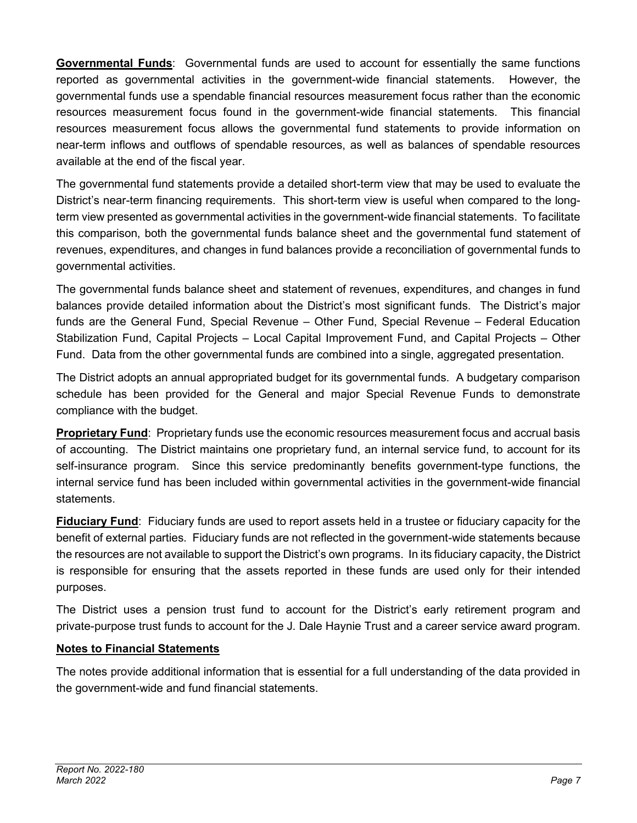**Governmental Funds**: Governmental funds are used to account for essentially the same functions reported as governmental activities in the government-wide financial statements. However, the governmental funds use a spendable financial resources measurement focus rather than the economic resources measurement focus found in the government-wide financial statements. This financial resources measurement focus allows the governmental fund statements to provide information on near-term inflows and outflows of spendable resources, as well as balances of spendable resources available at the end of the fiscal year.

The governmental fund statements provide a detailed short-term view that may be used to evaluate the District's near-term financing requirements. This short-term view is useful when compared to the longterm view presented as governmental activities in the government-wide financial statements. To facilitate this comparison, both the governmental funds balance sheet and the governmental fund statement of revenues, expenditures, and changes in fund balances provide a reconciliation of governmental funds to governmental activities.

The governmental funds balance sheet and statement of revenues, expenditures, and changes in fund balances provide detailed information about the District's most significant funds. The District's major funds are the General Fund, Special Revenue – Other Fund, Special Revenue – Federal Education Stabilization Fund, Capital Projects – Local Capital Improvement Fund, and Capital Projects – Other Fund. Data from the other governmental funds are combined into a single, aggregated presentation.

The District adopts an annual appropriated budget for its governmental funds. A budgetary comparison schedule has been provided for the General and major Special Revenue Funds to demonstrate compliance with the budget.

**Proprietary Fund**: Proprietary funds use the economic resources measurement focus and accrual basis of accounting. The District maintains one proprietary fund, an internal service fund, to account for its self-insurance program. Since this service predominantly benefits government-type functions, the internal service fund has been included within governmental activities in the government-wide financial statements.

**Fiduciary Fund**: Fiduciary funds are used to report assets held in a trustee or fiduciary capacity for the benefit of external parties. Fiduciary funds are not reflected in the government-wide statements because the resources are not available to support the District's own programs. In its fiduciary capacity, the District is responsible for ensuring that the assets reported in these funds are used only for their intended purposes.

The District uses a pension trust fund to account for the District's early retirement program and private-purpose trust funds to account for the J. Dale Haynie Trust and a career service award program.

#### **Notes to Financial Statements**

The notes provide additional information that is essential for a full understanding of the data provided in the government-wide and fund financial statements.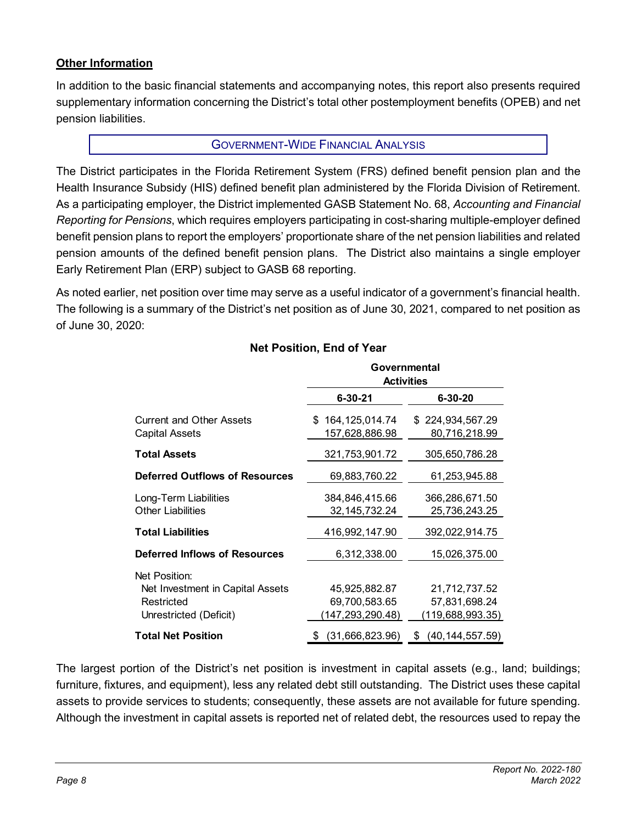#### **Other Information**

In addition to the basic financial statements and accompanying notes, this report also presents required supplementary information concerning the District's total other postemployment benefits (OPEB) and net pension liabilities.

#### GOVERNMENT-WIDE FINANCIAL ANALYSIS

The District participates in the Florida Retirement System (FRS) defined benefit pension plan and the Health Insurance Subsidy (HIS) defined benefit plan administered by the Florida Division of Retirement. As a participating employer, the District implemented GASB Statement No. 68, *Accounting and Financial Reporting for Pensions*, which requires employers participating in cost-sharing multiple-employer defined benefit pension plans to report the employers' proportionate share of the net pension liabilities and related pension amounts of the defined benefit pension plans. The District also maintains a single employer Early Retirement Plan (ERP) subject to GASB 68 reporting.

As noted earlier, net position over time may serve as a useful indicator of a government's financial health. The following is a summary of the District's net position as of June 30, 2021, compared to net position as of June 30, 2020:

|                                                                                           | Governmental<br><b>Activities</b>                    |                                                      |  |  |  |  |  |
|-------------------------------------------------------------------------------------------|------------------------------------------------------|------------------------------------------------------|--|--|--|--|--|
|                                                                                           | $6 - 30 - 21$                                        | 6-30-20                                              |  |  |  |  |  |
| <b>Current and Other Assets</b><br><b>Capital Assets</b>                                  | 164, 125, 014. 74<br>\$<br>157,628,886.98            | \$224,934,567.29<br>80,716,218.99                    |  |  |  |  |  |
| <b>Total Assets</b>                                                                       | 321,753,901.72                                       | 305,650,786.28                                       |  |  |  |  |  |
| <b>Deferred Outflows of Resources</b>                                                     | 69,883,760.22                                        | 61,253,945.88                                        |  |  |  |  |  |
| Long-Term Liabilities<br><b>Other Liabilities</b>                                         | 384,846,415.66<br>32, 145, 732. 24                   | 366,286,671.50<br>25,736,243.25                      |  |  |  |  |  |
| <b>Total Liabilities</b>                                                                  | 416,992,147.90                                       | 392,022,914.75                                       |  |  |  |  |  |
| <b>Deferred Inflows of Resources</b>                                                      | 6,312,338.00                                         | 15,026,375.00                                        |  |  |  |  |  |
| Net Position:<br>Net Investment in Capital Assets<br>Restricted<br>Unrestricted (Deficit) | 45,925,882.87<br>69,700,583.65<br>(147, 293, 290.48) | 21,712,737.52<br>57,831,698.24<br>(119, 688, 993.35) |  |  |  |  |  |
| <b>Total Net Position</b>                                                                 | (31,666,823.96)<br>\$                                | \$<br>(40, 144, 557.59)                              |  |  |  |  |  |

#### **Net Position, End of Year**

The largest portion of the District's net position is investment in capital assets (e.g., land; buildings; furniture, fixtures, and equipment), less any related debt still outstanding. The District uses these capital assets to provide services to students; consequently, these assets are not available for future spending. Although the investment in capital assets is reported net of related debt, the resources used to repay the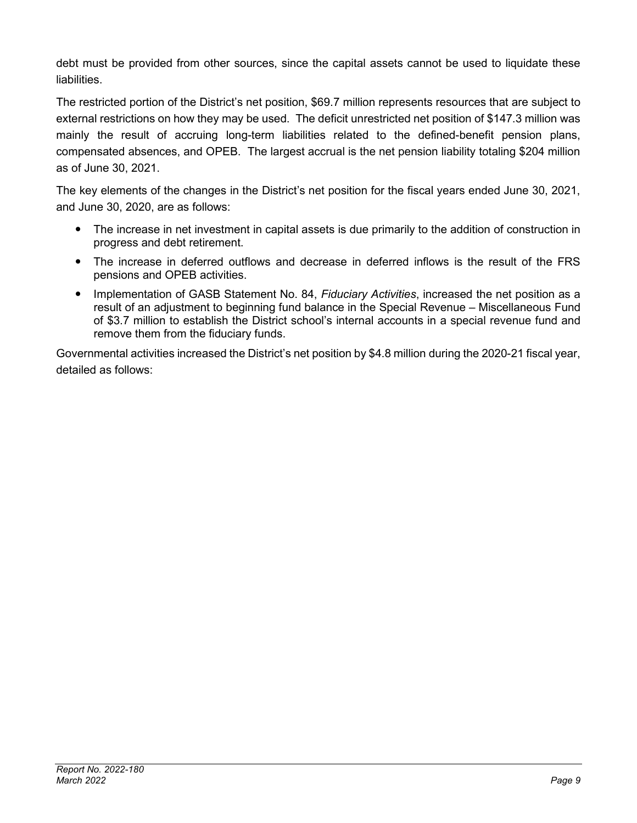debt must be provided from other sources, since the capital assets cannot be used to liquidate these liabilities.

The restricted portion of the District's net position, \$69.7 million represents resources that are subject to external restrictions on how they may be used. The deficit unrestricted net position of \$147.3 million was mainly the result of accruing long-term liabilities related to the defined-benefit pension plans, compensated absences, and OPEB. The largest accrual is the net pension liability totaling \$204 million as of June 30, 2021.

The key elements of the changes in the District's net position for the fiscal years ended June 30, 2021, and June 30, 2020, are as follows:

- The increase in net investment in capital assets is due primarily to the addition of construction in progress and debt retirement.
- The increase in deferred outflows and decrease in deferred inflows is the result of the FRS pensions and OPEB activities.
- Implementation of GASB Statement No. 84, *Fiduciary Activities*, increased the net position as a result of an adjustment to beginning fund balance in the Special Revenue – Miscellaneous Fund of \$3.7 million to establish the District school's internal accounts in a special revenue fund and remove them from the fiduciary funds.

Governmental activities increased the District's net position by \$4.8 million during the 2020-21 fiscal year, detailed as follows: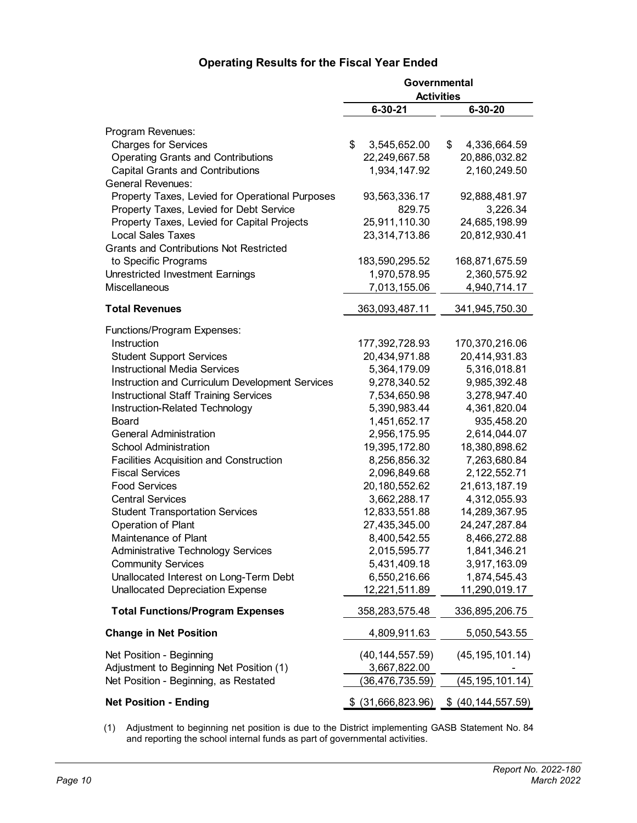# **Operating Results for the Fiscal Year Ended**

|                                                 |                     | Governmental         |  |  |  |  |
|-------------------------------------------------|---------------------|----------------------|--|--|--|--|
|                                                 | <b>Activities</b>   |                      |  |  |  |  |
|                                                 | $6 - 30 - 21$       | $6 - 30 - 20$        |  |  |  |  |
| Program Revenues:                               |                     |                      |  |  |  |  |
| <b>Charges for Services</b>                     | \$<br>3,545,652.00  | 4,336,664.59<br>\$   |  |  |  |  |
| <b>Operating Grants and Contributions</b>       | 22,249,667.58       | 20,886,032.82        |  |  |  |  |
| <b>Capital Grants and Contributions</b>         | 1,934,147.92        | 2,160,249.50         |  |  |  |  |
| <b>General Revenues:</b>                        |                     |                      |  |  |  |  |
| Property Taxes, Levied for Operational Purposes | 93,563,336.17       | 92,888,481.97        |  |  |  |  |
| Property Taxes, Levied for Debt Service         | 829.75              | 3,226.34             |  |  |  |  |
| Property Taxes, Levied for Capital Projects     |                     |                      |  |  |  |  |
|                                                 | 25,911,110.30       | 24,685,198.99        |  |  |  |  |
| <b>Local Sales Taxes</b>                        | 23,314,713.86       | 20,812,930.41        |  |  |  |  |
| <b>Grants and Contributions Not Restricted</b>  |                     |                      |  |  |  |  |
| to Specific Programs                            | 183,590,295.52      | 168,871,675.59       |  |  |  |  |
| <b>Unrestricted Investment Earnings</b>         | 1,970,578.95        | 2,360,575.92         |  |  |  |  |
| Miscellaneous                                   | 7,013,155.06        | 4,940,714.17         |  |  |  |  |
| <b>Total Revenues</b>                           | 363,093,487.11      | 341,945,750.30       |  |  |  |  |
| Functions/Program Expenses:                     |                     |                      |  |  |  |  |
| Instruction                                     | 177,392,728.93      | 170,370,216.06       |  |  |  |  |
| <b>Student Support Services</b>                 | 20,434,971.88       | 20,414,931.83        |  |  |  |  |
| <b>Instructional Media Services</b>             | 5,364,179.09        | 5,316,018.81         |  |  |  |  |
| Instruction and Curriculum Development Services | 9,278,340.52        | 9,985,392.48         |  |  |  |  |
| <b>Instructional Staff Training Services</b>    | 7,534,650.98        | 3,278,947.40         |  |  |  |  |
| Instruction-Related Technology                  | 5,390,983.44        | 4,361,820.04         |  |  |  |  |
| Board                                           | 1,451,652.17        | 935,458.20           |  |  |  |  |
| <b>General Administration</b>                   | 2,956,175.95        | 2,614,044.07         |  |  |  |  |
| <b>School Administration</b>                    | 19,395,172.80       | 18,380,898.62        |  |  |  |  |
|                                                 |                     |                      |  |  |  |  |
| Facilities Acquisition and Construction         | 8,256,856.32        | 7,263,680.84         |  |  |  |  |
| <b>Fiscal Services</b>                          | 2,096,849.68        | 2,122,552.71         |  |  |  |  |
| <b>Food Services</b>                            | 20,180,552.62       | 21,613,187.19        |  |  |  |  |
| <b>Central Services</b>                         | 3,662,288.17        | 4,312,055.93         |  |  |  |  |
| <b>Student Transportation Services</b>          | 12,833,551.88       | 14,289,367.95        |  |  |  |  |
| Operation of Plant                              | 27,435,345.00       | 24, 247, 287. 84     |  |  |  |  |
| Maintenance of Plant                            | 8,400,542.55        | 8,466,272.88         |  |  |  |  |
| Administrative Technology Services              | 2,015,595.77        | 1,841,346.21         |  |  |  |  |
| <b>Community Services</b>                       | 5,431,409.18        | 3,917,163.09         |  |  |  |  |
| Unallocated Interest on Long-Term Debt          | 6,550,216.66        | 1,874,545.43         |  |  |  |  |
| <b>Unallocated Depreciation Expense</b>         | 12,221,511.89       | 11,290,019.17        |  |  |  |  |
| <b>Total Functions/Program Expenses</b>         | 358,283,575.48      | 336,895,206.75       |  |  |  |  |
| <b>Change in Net Position</b>                   | 4,809,911.63        | 5,050,543.55         |  |  |  |  |
| Net Position - Beginning                        | (40, 144, 557.59)   | (45, 195, 101.14)    |  |  |  |  |
| Adjustment to Beginning Net Position (1)        | 3,667,822.00        |                      |  |  |  |  |
| Net Position - Beginning, as Restated           | (36, 476, 735.59)   | (45, 195, 101.14)    |  |  |  |  |
| <b>Net Position - Ending</b>                    | $$$ (31,666,823.96) | \$ (40, 144, 557.59) |  |  |  |  |

(1) Adjustment to beginning net position is due to the District implementing GASB Statement No. 84 and reporting the school internal funds as part of governmental activities.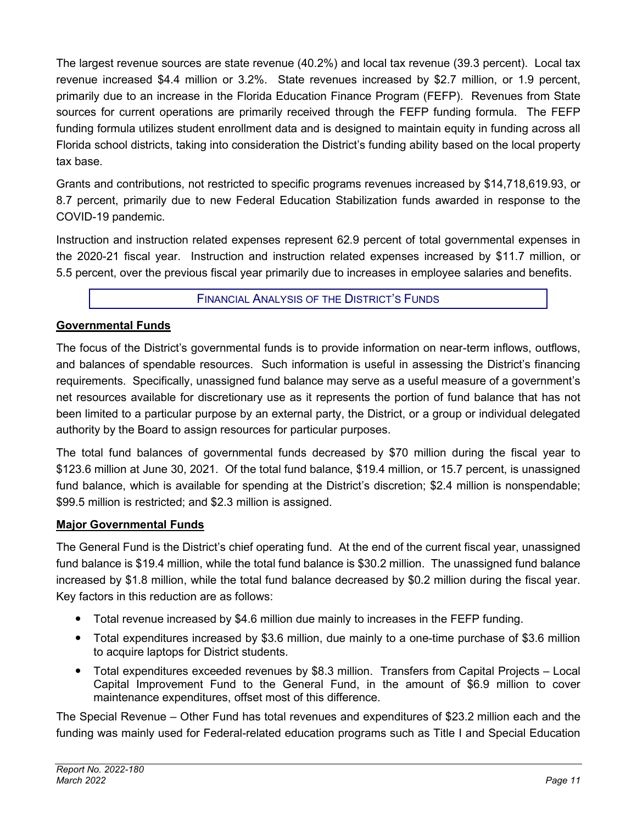The largest revenue sources are state revenue (40.2%) and local tax revenue (39.3 percent). Local tax revenue increased \$4.4 million or 3.2%. State revenues increased by \$2.7 million, or 1.9 percent, primarily due to an increase in the Florida Education Finance Program (FEFP). Revenues from State sources for current operations are primarily received through the FEFP funding formula. The FEFP funding formula utilizes student enrollment data and is designed to maintain equity in funding across all Florida school districts, taking into consideration the District's funding ability based on the local property tax base.

Grants and contributions, not restricted to specific programs revenues increased by \$14,718,619.93, or 8.7 percent, primarily due to new Federal Education Stabilization funds awarded in response to the COVID-19 pandemic.

Instruction and instruction related expenses represent 62.9 percent of total governmental expenses in the 2020-21 fiscal year. Instruction and instruction related expenses increased by \$11.7 million, or 5.5 percent, over the previous fiscal year primarily due to increases in employee salaries and benefits.

FINANCIAL ANALYSIS OF THE DISTRICT'S FUNDS

# **Governmental Funds**

The focus of the District's governmental funds is to provide information on near-term inflows, outflows, and balances of spendable resources. Such information is useful in assessing the District's financing requirements. Specifically, unassigned fund balance may serve as a useful measure of a government's net resources available for discretionary use as it represents the portion of fund balance that has not been limited to a particular purpose by an external party, the District, or a group or individual delegated authority by the Board to assign resources for particular purposes.

The total fund balances of governmental funds decreased by \$70 million during the fiscal year to \$123.6 million at June 30, 2021. Of the total fund balance, \$19.4 million, or 15.7 percent, is unassigned fund balance, which is available for spending at the District's discretion; \$2.4 million is nonspendable; \$99.5 million is restricted; and \$2.3 million is assigned.

# **Major Governmental Funds**

The General Fund is the District's chief operating fund. At the end of the current fiscal year, unassigned fund balance is \$19.4 million, while the total fund balance is \$30.2 million. The unassigned fund balance increased by \$1.8 million, while the total fund balance decreased by \$0.2 million during the fiscal year. Key factors in this reduction are as follows:

- Total revenue increased by \$4.6 million due mainly to increases in the FEFP funding.
- Total expenditures increased by \$3.6 million, due mainly to a one-time purchase of \$3.6 million to acquire laptops for District students.
- Total expenditures exceeded revenues by \$8.3 million. Transfers from Capital Projects Local Capital Improvement Fund to the General Fund, in the amount of \$6.9 million to cover maintenance expenditures, offset most of this difference.

The Special Revenue – Other Fund has total revenues and expenditures of \$23.2 million each and the funding was mainly used for Federal-related education programs such as Title I and Special Education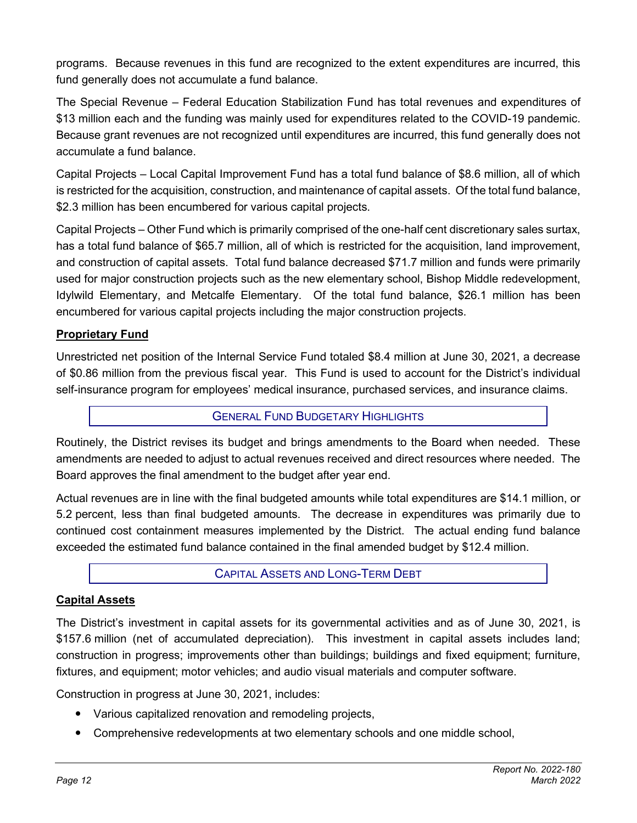programs. Because revenues in this fund are recognized to the extent expenditures are incurred, this fund generally does not accumulate a fund balance.

The Special Revenue – Federal Education Stabilization Fund has total revenues and expenditures of \$13 million each and the funding was mainly used for expenditures related to the COVID-19 pandemic. Because grant revenues are not recognized until expenditures are incurred, this fund generally does not accumulate a fund balance.

Capital Projects – Local Capital Improvement Fund has a total fund balance of \$8.6 million, all of which is restricted for the acquisition, construction, and maintenance of capital assets. Of the total fund balance, \$2.3 million has been encumbered for various capital projects.

Capital Projects – Other Fund which is primarily comprised of the one-half cent discretionary sales surtax, has a total fund balance of \$65.7 million, all of which is restricted for the acquisition, land improvement, and construction of capital assets. Total fund balance decreased \$71.7 million and funds were primarily used for major construction projects such as the new elementary school, Bishop Middle redevelopment, Idylwild Elementary, and Metcalfe Elementary. Of the total fund balance, \$26.1 million has been encumbered for various capital projects including the major construction projects.

#### **Proprietary Fund**

Unrestricted net position of the Internal Service Fund totaled \$8.4 million at June 30, 2021, a decrease of \$0.86 million from the previous fiscal year. This Fund is used to account for the District's individual self-insurance program for employees' medical insurance, purchased services, and insurance claims.

#### GENERAL FUND BUDGETARY HIGHLIGHTS

Routinely, the District revises its budget and brings amendments to the Board when needed. These amendments are needed to adjust to actual revenues received and direct resources where needed. The Board approves the final amendment to the budget after year end.

Actual revenues are in line with the final budgeted amounts while total expenditures are \$14.1 million, or 5.2 percent, less than final budgeted amounts. The decrease in expenditures was primarily due to continued cost containment measures implemented by the District. The actual ending fund balance exceeded the estimated fund balance contained in the final amended budget by \$12.4 million.

CAPITAL ASSETS AND LONG-TERM DEBT

# **Capital Assets**

The District's investment in capital assets for its governmental activities and as of June 30, 2021, is \$157.6 million (net of accumulated depreciation). This investment in capital assets includes land; construction in progress; improvements other than buildings; buildings and fixed equipment; furniture, fixtures, and equipment; motor vehicles; and audio visual materials and computer software.

Construction in progress at June 30, 2021, includes:

- Various capitalized renovation and remodeling projects,
- Comprehensive redevelopments at two elementary schools and one middle school,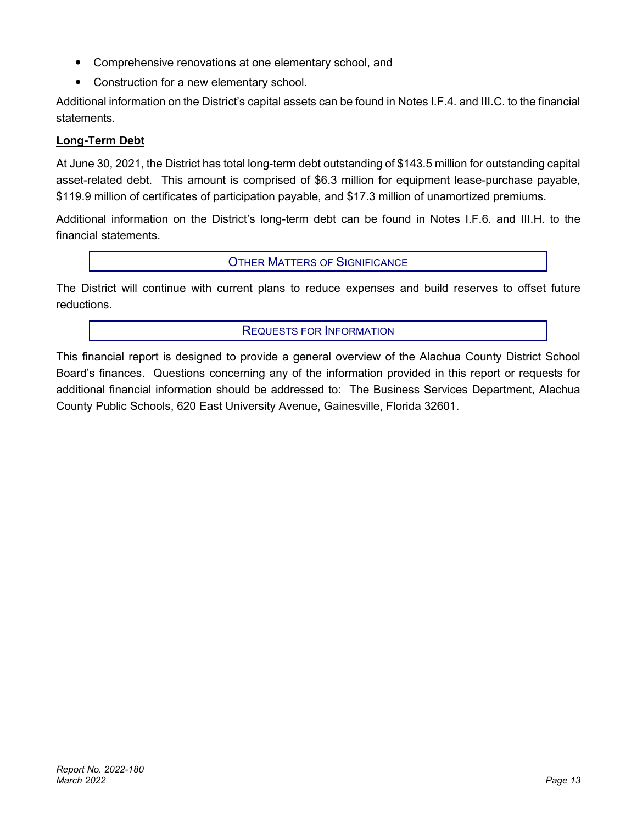- Comprehensive renovations at one elementary school, and
- Construction for a new elementary school.

Additional information on the District's capital assets can be found in Notes I.F.4. and III.C. to the financial statements.

# **Long-Term Debt**

At June 30, 2021, the District has total long-term debt outstanding of \$143.5 million for outstanding capital asset-related debt. This amount is comprised of \$6.3 million for equipment lease-purchase payable, \$119.9 million of certificates of participation payable, and \$17.3 million of unamortized premiums.

Additional information on the District's long-term debt can be found in Notes I.F.6. and III.H. to the financial statements.

OTHER MATTERS OF SIGNIFICANCE

The District will continue with current plans to reduce expenses and build reserves to offset future reductions.

# REQUESTS FOR INFORMATION

This financial report is designed to provide a general overview of the Alachua County District School Board's finances. Questions concerning any of the information provided in this report or requests for additional financial information should be addressed to: The Business Services Department, Alachua County Public Schools, 620 East University Avenue, Gainesville, Florida 32601.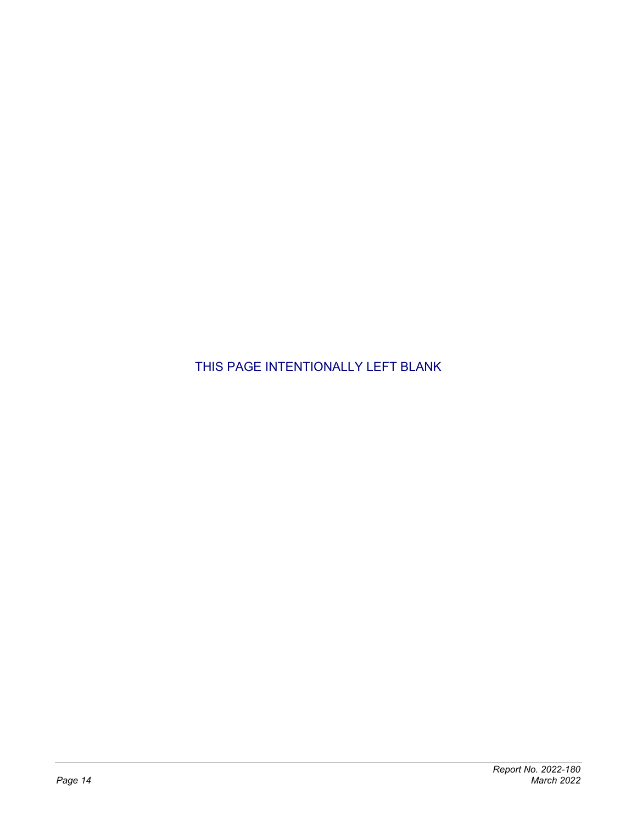THIS PAGE INTENTIONALLY LEFT BLANK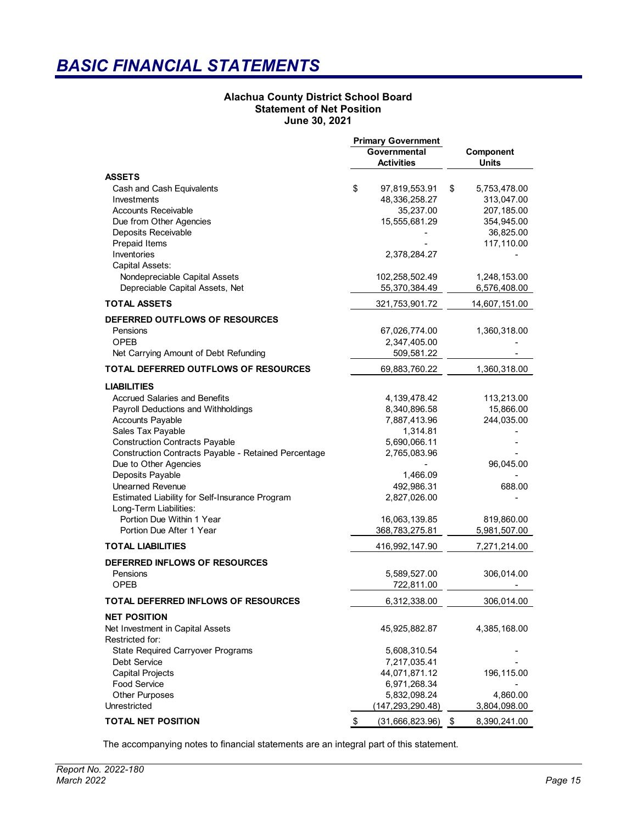# <span id="page-20-1"></span><span id="page-20-0"></span>*BASIC FINANCIAL STATEMENTS*

#### **Alachua County District School Board Statement of Net Position June 30, 2021**

|                                                      | <b>Primary Government</b> |                                   |     |                           |  |  |
|------------------------------------------------------|---------------------------|-----------------------------------|-----|---------------------------|--|--|
|                                                      |                           | Governmental<br><b>Activities</b> |     | Component<br><b>Units</b> |  |  |
| <b>ASSETS</b>                                        |                           |                                   |     |                           |  |  |
| Cash and Cash Equivalents                            | \$                        | 97,819,553.91                     | \$  | 5,753,478.00              |  |  |
| Investments                                          |                           | 48,336,258.27                     |     | 313,047.00                |  |  |
| Accounts Receivable                                  |                           | 35,237.00                         |     | 207, 185.00               |  |  |
| Due from Other Agencies                              |                           | 15,555,681.29                     |     | 354,945.00                |  |  |
| Deposits Receivable                                  |                           |                                   |     | 36,825.00                 |  |  |
| <b>Prepaid Items</b>                                 |                           |                                   |     | 117,110.00                |  |  |
| Inventories                                          |                           | 2,378,284.27                      |     |                           |  |  |
| Capital Assets:                                      |                           |                                   |     |                           |  |  |
| Nondepreciable Capital Assets                        |                           | 102,258,502.49                    |     | 1,248,153.00              |  |  |
| Depreciable Capital Assets, Net                      |                           | 55,370,384.49                     |     | 6,576,408.00              |  |  |
| <b>TOTAL ASSETS</b>                                  |                           | 321,753,901.72                    |     | 14,607,151.00             |  |  |
| DEFERRED OUTFLOWS OF RESOURCES                       |                           |                                   |     |                           |  |  |
| Pensions                                             |                           | 67,026,774.00                     |     | 1,360,318.00              |  |  |
| <b>OPEB</b>                                          |                           | 2,347,405.00                      |     |                           |  |  |
| Net Carrying Amount of Debt Refunding                |                           | 509,581.22                        |     |                           |  |  |
| TOTAL DEFERRED OUTFLOWS OF RESOURCES                 |                           | 69,883,760.22                     |     | 1,360,318.00              |  |  |
| <b>LIABILITIES</b>                                   |                           |                                   |     |                           |  |  |
| <b>Accrued Salaries and Benefits</b>                 |                           | 4,139,478.42                      |     | 113,213.00                |  |  |
| Payroll Deductions and Withholdings                  |                           | 8,340,896.58                      |     | 15,866.00                 |  |  |
| Accounts Payable                                     |                           | 7,887,413.96                      |     | 244,035.00                |  |  |
| Sales Tax Payable                                    |                           | 1,314.81                          |     |                           |  |  |
| <b>Construction Contracts Payable</b>                |                           | 5,690,066.11                      |     |                           |  |  |
| Construction Contracts Payable - Retained Percentage |                           | 2,765,083.96                      |     |                           |  |  |
| Due to Other Agencies                                |                           |                                   |     | 96,045.00                 |  |  |
| Deposits Payable                                     |                           | 1,466.09                          |     |                           |  |  |
| <b>Unearned Revenue</b>                              |                           | 492,986.31                        |     | 688.00                    |  |  |
| Estimated Liability for Self-Insurance Program       |                           | 2,827,026.00                      |     |                           |  |  |
| Long-Term Liabilities:                               |                           |                                   |     |                           |  |  |
| Portion Due Within 1 Year                            |                           | 16,063,139.85                     |     | 819,860.00                |  |  |
| Portion Due After 1 Year                             |                           | 368,783,275.81                    |     | 5,981,507.00              |  |  |
| <b>TOTAL LIABILITIES</b>                             |                           | 416,992,147.90                    |     | 7,271,214.00              |  |  |
| DEFERRED INFLOWS OF RESOURCES                        |                           |                                   |     |                           |  |  |
| Pensions                                             |                           | 5,589,527.00                      |     | 306,014.00                |  |  |
| <b>OPEB</b>                                          |                           | 722,811.00                        |     |                           |  |  |
| TOTAL DEFERRED INFLOWS OF RESOURCES                  |                           | 6,312,338.00                      |     | 306,014.00                |  |  |
| <b>NET POSITION</b>                                  |                           |                                   |     |                           |  |  |
| Net Investment in Capital Assets                     |                           | 45,925,882.87                     |     | 4,385,168.00              |  |  |
| Restricted for:                                      |                           |                                   |     |                           |  |  |
| <b>State Required Carryover Programs</b>             |                           | 5,608,310.54                      |     |                           |  |  |
| Debt Service                                         |                           | 7,217,035.41                      |     |                           |  |  |
| <b>Capital Projects</b>                              |                           | 44,071,871.12                     |     | 196,115.00                |  |  |
| <b>Food Service</b>                                  |                           | 6,971,268.34                      |     |                           |  |  |
| <b>Other Purposes</b>                                |                           | 5,832,098.24                      |     | 4,860.00                  |  |  |
| Unrestricted                                         |                           | (147, 293, 290.48)                |     | 3,804,098.00              |  |  |
| <b>TOTAL NET POSITION</b>                            | \$                        | (31,666,823.96)                   | -\$ | 8,390,241.00              |  |  |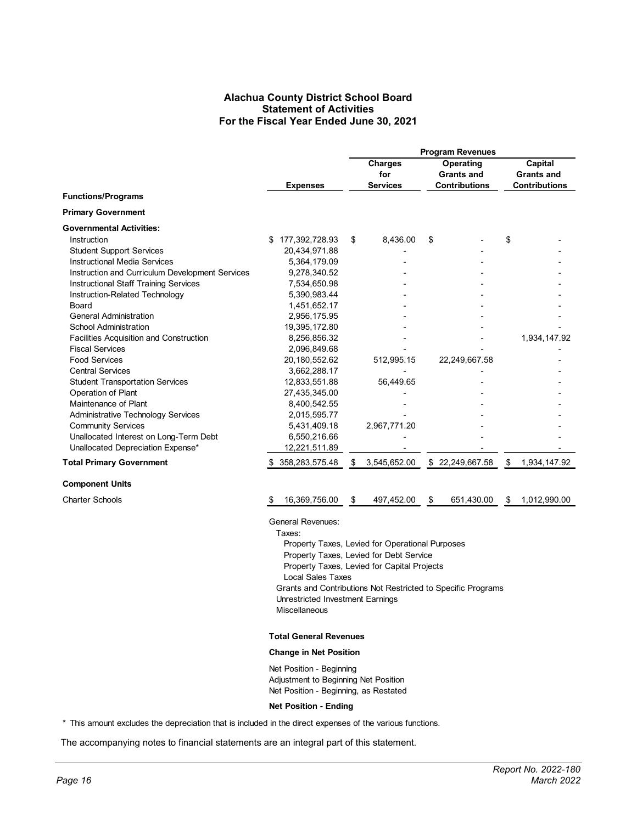#### **Alachua County District School Board Statement of Activities For the Fiscal Year Ended June 30, 2021**

<span id="page-21-1"></span><span id="page-21-0"></span>

|                                                 |    |                                                                                       | <b>Program Revenues</b> |                                          |    |                                                        |    |                                                      |  |
|-------------------------------------------------|----|---------------------------------------------------------------------------------------|-------------------------|------------------------------------------|----|--------------------------------------------------------|----|------------------------------------------------------|--|
|                                                 |    | <b>Expenses</b>                                                                       |                         | <b>Charges</b><br>for<br><b>Services</b> |    | Operating<br><b>Grants and</b><br><b>Contributions</b> |    | Capital<br><b>Grants and</b><br><b>Contributions</b> |  |
| <b>Functions/Programs</b>                       |    |                                                                                       |                         |                                          |    |                                                        |    |                                                      |  |
| <b>Primary Government</b>                       |    |                                                                                       |                         |                                          |    |                                                        |    |                                                      |  |
| <b>Governmental Activities:</b>                 |    |                                                                                       |                         |                                          |    |                                                        |    |                                                      |  |
| Instruction                                     | \$ | 177,392,728.93                                                                        | \$                      | 8.436.00                                 | \$ |                                                        | \$ |                                                      |  |
| <b>Student Support Services</b>                 |    | 20,434,971.88                                                                         |                         |                                          |    |                                                        |    |                                                      |  |
| <b>Instructional Media Services</b>             |    | 5,364,179.09                                                                          |                         |                                          |    |                                                        |    |                                                      |  |
| Instruction and Curriculum Development Services |    | 9,278,340.52                                                                          |                         |                                          |    |                                                        |    |                                                      |  |
| <b>Instructional Staff Training Services</b>    |    | 7,534,650.98                                                                          |                         |                                          |    |                                                        |    |                                                      |  |
| Instruction-Related Technology                  |    | 5,390,983.44                                                                          |                         |                                          |    |                                                        |    |                                                      |  |
| Board                                           |    | 1,451,652.17                                                                          |                         |                                          |    |                                                        |    |                                                      |  |
| <b>General Administration</b>                   |    | 2,956,175.95                                                                          |                         |                                          |    |                                                        |    |                                                      |  |
| <b>School Administration</b>                    |    | 19,395,172.80                                                                         |                         |                                          |    |                                                        |    |                                                      |  |
| <b>Facilities Acquisition and Construction</b>  |    | 8,256,856.32                                                                          |                         |                                          |    |                                                        |    | 1,934,147.92                                         |  |
| <b>Fiscal Services</b>                          |    | 2,096,849.68                                                                          |                         |                                          |    |                                                        |    |                                                      |  |
| <b>Food Services</b>                            |    | 20,180,552.62                                                                         |                         | 512,995.15                               |    | 22,249,667.58                                          |    |                                                      |  |
| <b>Central Services</b>                         |    | 3,662,288.17                                                                          |                         |                                          |    |                                                        |    |                                                      |  |
| <b>Student Transportation Services</b>          |    | 12,833,551.88                                                                         |                         | 56,449.65                                |    |                                                        |    |                                                      |  |
| Operation of Plant                              |    | 27,435,345.00                                                                         |                         |                                          |    |                                                        |    |                                                      |  |
| Maintenance of Plant                            |    | 8,400,542.55                                                                          |                         |                                          |    |                                                        |    |                                                      |  |
| <b>Administrative Technology Services</b>       |    | 2,015,595.77                                                                          |                         |                                          |    |                                                        |    |                                                      |  |
| <b>Community Services</b>                       |    | 5,431,409.18                                                                          |                         | 2,967,771.20                             |    |                                                        |    |                                                      |  |
| Unallocated Interest on Long-Term Debt          |    | 6,550,216.66                                                                          |                         |                                          |    |                                                        |    |                                                      |  |
| Unallocated Depreciation Expense*               |    | 12,221,511.89                                                                         |                         |                                          |    |                                                        |    |                                                      |  |
| <b>Total Primary Government</b>                 |    | 358,283,575.48                                                                        | \$                      | 3,545,652.00                             |    | \$22,249,667.58                                        | \$ | 1,934,147.92                                         |  |
| <b>Component Units</b>                          |    |                                                                                       |                         |                                          |    |                                                        |    |                                                      |  |
| <b>Charter Schools</b>                          | S  | 16,369,756.00                                                                         | \$                      | 497,452.00                               | \$ | 651,430.00                                             | \$ | 1,012,990.00                                         |  |
|                                                 |    | <b>General Revenues:</b><br>Taxes:<br>Property Taxes, Levied for Operational Purposes |                         | Property Taxes, Levied for Debt Service  |    |                                                        |    |                                                      |  |

Property Taxes, Levied for Capital Projects

 Local Sales Taxes Grants and Contributions Not Restricted to Specific Programs Unrestricted Investment Earnings Miscellaneous

#### **Total General Revenues**

#### **Change in Net Position**

Net Position - Beginning Adjustment to Beginning Net Position Net Position - Beginning, as Restated

#### **Net Position - Ending**

\* This amount excludes the depreciation that is included in the direct expenses of the various functions.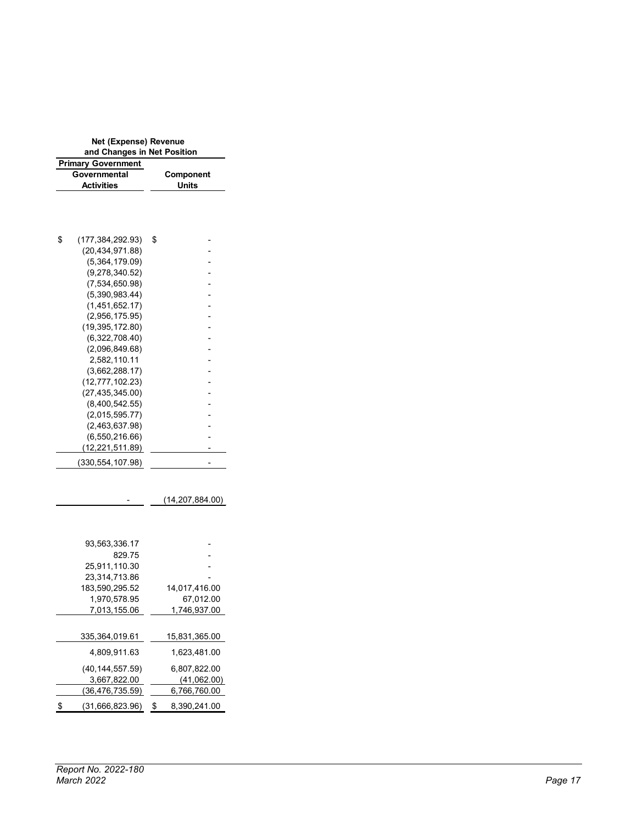|                          | Net (Expense) Revenue               |               |                             |
|--------------------------|-------------------------------------|---------------|-----------------------------|
|                          | and Changes in Net Position         |               |                             |
|                          | <b>Primary Government</b>           |               |                             |
|                          | Governmental<br><b>Activities</b>   |               | Component<br><b>Units</b>   |
|                          |                                     |               |                             |
|                          |                                     |               |                             |
|                          |                                     |               |                             |
|                          |                                     |               |                             |
| \$                       | (177, 384, 292.93)                  | \$            |                             |
|                          | (20, 434, 971.88)<br>(5,364,179.09) |               |                             |
|                          | (9,278,340.52)                      |               |                             |
|                          | (7,534,650.98)                      |               |                             |
|                          | (5,390,983.44)                      |               |                             |
|                          | (1,451,652.17)                      |               |                             |
|                          | (2,956,175.95)                      |               |                             |
|                          | (19, 395, 172.80)                   |               |                             |
|                          | (6,322,708.40)                      |               |                             |
|                          | (2,096,849.68)                      |               |                             |
|                          | 2,582,110.11                        |               |                             |
|                          | (3,662,288.17)                      |               |                             |
|                          | (12, 777, 102.23)                   |               |                             |
|                          | (27, 435, 345.00)                   |               |                             |
|                          | (8,400,542.55)<br>(2,015,595.77)    |               |                             |
|                          | (2,463,637.98)                      |               |                             |
|                          | (6,550,216.66)                      |               |                             |
|                          | (12, 221, 511.89)                   |               |                             |
|                          |                                     |               |                             |
|                          | (330, 554, 107.98)                  |               | ۰                           |
|                          |                                     |               |                             |
|                          |                                     |               |                             |
|                          | ۰                                   |               | (14, 207, 884.00)           |
|                          |                                     |               |                             |
|                          |                                     |               |                             |
|                          | 93,563,336.17                       |               |                             |
|                          | 829.75                              |               |                             |
|                          | 25,911,110.30                       |               |                             |
|                          | 23,314,713.86                       |               |                             |
|                          | 183,590,295.52                      |               | 14,017,416.00               |
|                          | 1,970,578.95                        |               | 67,012.00                   |
|                          | 7,013,155.06                        |               | 1,746,937.00                |
|                          |                                     |               |                             |
|                          | 335,364,019.61                      |               | 15,831,365.00               |
|                          | 4,809,911.63                        |               | 1,623,481.00                |
|                          |                                     |               |                             |
|                          | (40, 144, 557.59)                   |               | 6,807,822.00                |
|                          | 3,667,822.00<br>(36, 476, 735.59)   |               | (41,062.00)<br>6,766,760.00 |
|                          |                                     |               |                             |
| $\overline{\mathcal{F}}$ | (31,666,823.96)                     | $\frac{1}{2}$ | 8,390,241.00                |
|                          |                                     |               |                             |
|                          |                                     |               |                             |
|                          |                                     |               |                             |
|                          |                                     |               |                             |
|                          | Report No. 2022-180                 |               |                             |
|                          | March 2022                          |               |                             |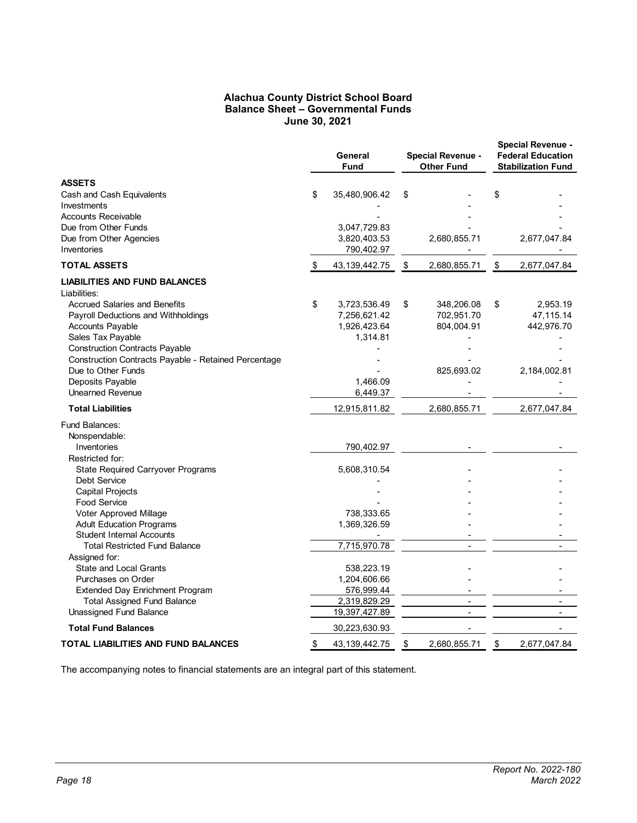#### **Alachua County District School Board Balance Sheet – Governmental Funds June 30, 2021**

<span id="page-23-1"></span><span id="page-23-0"></span>

|                                                      | General<br><b>Fund</b> |                      |    | Special Revenue -<br><b>Other Fund</b> | <b>Special Revenue -</b><br><b>Federal Education</b><br><b>Stabilization Fund</b> |              |  |
|------------------------------------------------------|------------------------|----------------------|----|----------------------------------------|-----------------------------------------------------------------------------------|--------------|--|
| <b>ASSETS</b>                                        |                        |                      |    |                                        |                                                                                   |              |  |
| Cash and Cash Equivalents                            | \$                     | 35,480,906.42        | \$ |                                        | \$                                                                                |              |  |
| Investments<br><b>Accounts Receivable</b>            |                        |                      |    |                                        |                                                                                   |              |  |
| Due from Other Funds                                 |                        | 3,047,729.83         |    |                                        |                                                                                   |              |  |
| Due from Other Agencies                              |                        | 3,820,403.53         |    | 2,680,855.71                           |                                                                                   | 2,677,047.84 |  |
| Inventories                                          |                        | 790,402.97           |    |                                        |                                                                                   |              |  |
| <b>TOTAL ASSETS</b>                                  | \$                     | 43, 139, 442. 75     | \$ | 2,680,855.71                           | \$                                                                                | 2,677,047.84 |  |
| <b>LIABILITIES AND FUND BALANCES</b>                 |                        |                      |    |                                        |                                                                                   |              |  |
| Liabilities:                                         |                        |                      |    |                                        |                                                                                   |              |  |
| <b>Accrued Salaries and Benefits</b>                 | \$                     | 3,723,536.49         | \$ | 348,206.08                             | \$                                                                                | 2,953.19     |  |
| Payroll Deductions and Withholdings                  |                        | 7,256,621.42         |    | 702,951.70                             |                                                                                   | 47, 115.14   |  |
| <b>Accounts Payable</b>                              |                        | 1,926,423.64         |    | 804,004.91                             |                                                                                   | 442,976.70   |  |
| Sales Tax Payable                                    |                        | 1,314.81             |    |                                        |                                                                                   |              |  |
| <b>Construction Contracts Payable</b>                |                        |                      |    |                                        |                                                                                   |              |  |
| Construction Contracts Payable - Retained Percentage |                        |                      |    |                                        |                                                                                   |              |  |
| Due to Other Funds                                   |                        |                      |    | 825,693.02                             |                                                                                   | 2,184,002.81 |  |
| Deposits Payable<br><b>Unearned Revenue</b>          |                        | 1,466.09<br>6,449.37 |    |                                        |                                                                                   |              |  |
| <b>Total Liabilities</b>                             |                        | 12,915,811.82        |    | 2,680,855.71                           |                                                                                   | 2,677,047.84 |  |
|                                                      |                        |                      |    |                                        |                                                                                   |              |  |
| Fund Balances:                                       |                        |                      |    |                                        |                                                                                   |              |  |
| Nonspendable:<br>Inventories                         |                        |                      |    |                                        |                                                                                   |              |  |
| Restricted for:                                      |                        | 790,402.97           |    |                                        |                                                                                   |              |  |
| State Required Carryover Programs                    |                        | 5,608,310.54         |    |                                        |                                                                                   |              |  |
| <b>Debt Service</b>                                  |                        |                      |    |                                        |                                                                                   |              |  |
| <b>Capital Projects</b>                              |                        |                      |    |                                        |                                                                                   |              |  |
| <b>Food Service</b>                                  |                        |                      |    |                                        |                                                                                   |              |  |
| Voter Approved Millage                               |                        | 738,333.65           |    |                                        |                                                                                   |              |  |
| <b>Adult Education Programs</b>                      |                        | 1,369,326.59         |    |                                        |                                                                                   |              |  |
| <b>Student Internal Accounts</b>                     |                        |                      |    |                                        |                                                                                   |              |  |
| <b>Total Restricted Fund Balance</b>                 |                        | 7,715,970.78         |    |                                        |                                                                                   |              |  |
| Assigned for:                                        |                        |                      |    |                                        |                                                                                   |              |  |
| <b>State and Local Grants</b>                        |                        | 538,223.19           |    |                                        |                                                                                   |              |  |
| Purchases on Order                                   |                        | 1,204,606.66         |    |                                        |                                                                                   |              |  |
| <b>Extended Day Enrichment Program</b>               |                        | 576,999.44           |    | $\blacksquare$                         |                                                                                   |              |  |
| <b>Total Assigned Fund Balance</b>                   |                        | 2,319,829.29         |    | $\blacksquare$                         |                                                                                   |              |  |
| <b>Unassigned Fund Balance</b>                       |                        | 19,397,427.89        |    | $\overline{a}$                         |                                                                                   | ٠            |  |
| <b>Total Fund Balances</b>                           |                        | 30,223,630.93        |    |                                        |                                                                                   |              |  |
| TOTAL LIABILITIES AND FUND BALANCES                  | \$                     | 43, 139, 442. 75     | \$ | 2,680,855.71                           | \$                                                                                | 2,677,047.84 |  |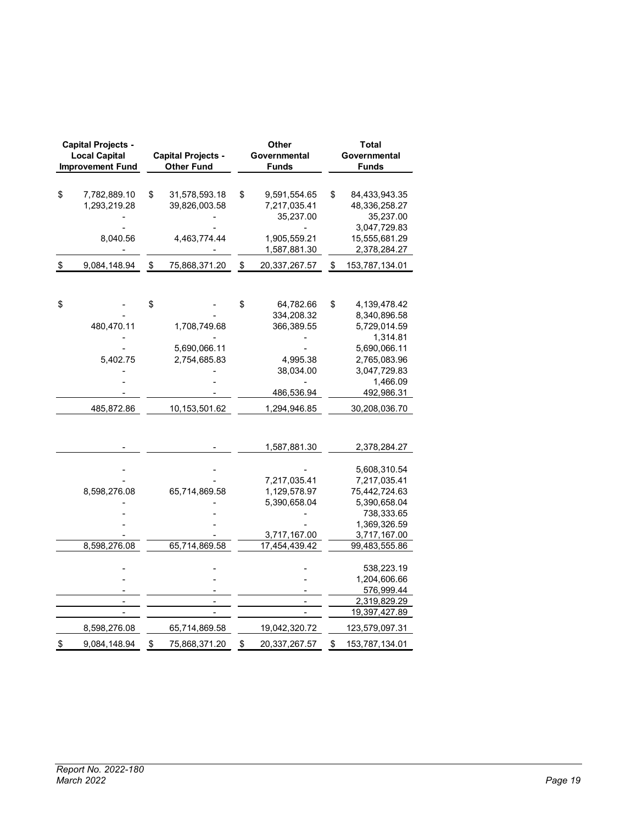| <b>Capital Projects -</b><br><b>Local Capital</b><br><b>Improvement Fund</b> | <b>Capital Projects -</b><br><b>Other Fund</b>       | Other<br>Governmental<br><b>Funds</b> |                                                           |    | <b>Total</b><br>Governmental<br><b>Funds</b>                                 |
|------------------------------------------------------------------------------|------------------------------------------------------|---------------------------------------|-----------------------------------------------------------|----|------------------------------------------------------------------------------|
| \$<br>7,782,889.10<br>1,293,219.28<br>8,040.56                               | \$<br>31,578,593.18<br>39,826,003.58<br>4,463,774.44 | \$                                    | 9,591,554.65<br>7,217,035.41<br>35,237.00<br>1,905,559.21 |    | 84,433,943.35<br>48,336,258.27<br>35,237.00<br>3,047,729.83<br>15,555,681.29 |
| \$<br>9,084,148.94                                                           | \$<br>75,868,371.20                                  | \$                                    | 1,587,881.30<br>20,337,267.57                             | \$ | 2,378,284.27<br>153,787,134.01                                               |
|                                                                              |                                                      |                                       |                                                           |    |                                                                              |
| \$<br>480,470.11                                                             | \$<br>1,708,749.68                                   | \$                                    | 64,782.66<br>334,208.32<br>366,389.55                     | \$ | 4,139,478.42<br>8,340,896.58<br>5,729,014.59<br>1,314.81                     |
| 5,402.75                                                                     | 5,690,066.11<br>2,754,685.83                         |                                       | 4,995.38<br>38,034.00<br>486,536.94                       |    | 5,690,066.11<br>2,765,083.96<br>3,047,729.83<br>1,466.09<br>492,986.31       |
| 485,872.86                                                                   | 10,153,501.62                                        |                                       | 1,294,946.85                                              |    | 30,208,036.70                                                                |
|                                                                              |                                                      |                                       | 1,587,881.30                                              |    | 2,378,284.27                                                                 |
|                                                                              |                                                      |                                       | 7,217,035.41                                              |    | 5,608,310.54<br>7,217,035.41                                                 |
| 8,598,276.08                                                                 | 65,714,869.58                                        |                                       | 1,129,578.97<br>5,390,658.04                              |    | 75,442,724.63<br>5,390,658.04<br>738,333.65                                  |
|                                                                              |                                                      |                                       | 3,717,167.00                                              |    | 1,369,326.59<br>3,717,167.00                                                 |
| 8,598,276.08                                                                 | 65,714,869.58                                        |                                       | 17,454,439.42                                             |    | 99,483,555.86                                                                |
|                                                                              |                                                      |                                       |                                                           |    | 538,223.19<br>1,204,606.66<br>576,999.44                                     |
|                                                                              |                                                      |                                       |                                                           |    | 2,319,829.29                                                                 |
|                                                                              |                                                      |                                       |                                                           |    | 19,397,427.89                                                                |
| 8,598,276.08                                                                 | 65,714,869.58                                        |                                       | 19,042,320.72                                             |    | 123,579,097.31                                                               |
| \$<br>9,084,148.94                                                           | \$<br>75,868,371.20                                  | \$                                    | 20,337,267.57                                             | \$ | 153,787,134.01                                                               |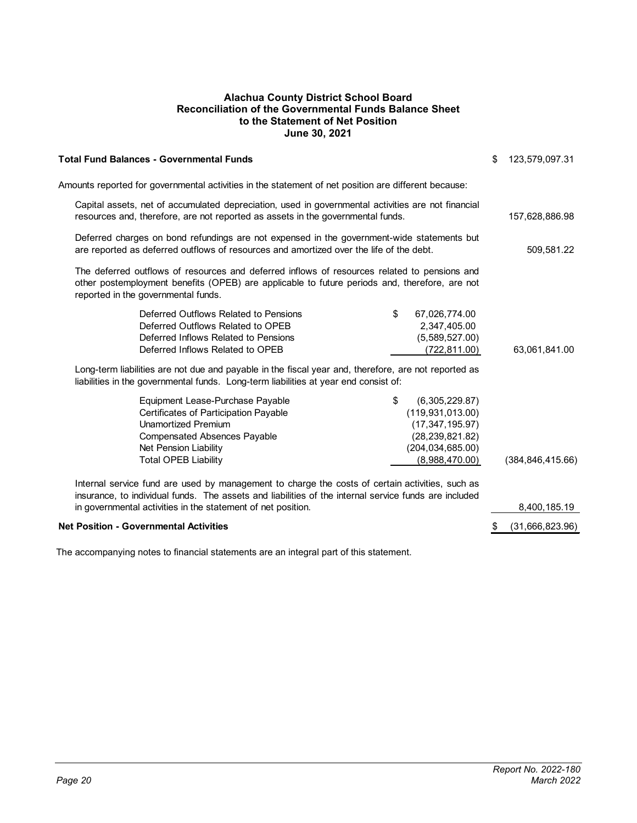#### **Alachua County District School Board Reconciliation of the Governmental Funds Balance Sheet to the Statement of Net Position June 30, 2021**

<span id="page-25-1"></span><span id="page-25-0"></span>

| Total Fund Balances - Governmental Funds                                                                                                                                              | \$<br>123,579,097.31                                                                                                                                                                                                                                                     |                                                                                                                              |                    |
|---------------------------------------------------------------------------------------------------------------------------------------------------------------------------------------|--------------------------------------------------------------------------------------------------------------------------------------------------------------------------------------------------------------------------------------------------------------------------|------------------------------------------------------------------------------------------------------------------------------|--------------------|
|                                                                                                                                                                                       | Amounts reported for governmental activities in the statement of net position are different because:                                                                                                                                                                     |                                                                                                                              |                    |
| Capital assets, net of accumulated depreciation, used in governmental activities are not financial<br>resources and, therefore, are not reported as assets in the governmental funds. | 157,628,886.98                                                                                                                                                                                                                                                           |                                                                                                                              |                    |
| Deferred charges on bond refundings are not expensed in the government-wide statements but<br>are reported as deferred outflows of resources and amortized over the life of the debt. | 509,581.22                                                                                                                                                                                                                                                               |                                                                                                                              |                    |
|                                                                                                                                                                                       | The deferred outflows of resources and deferred inflows of resources related to pensions and<br>other postemployment benefits (OPEB) are applicable to future periods and, therefore, are not<br>reported in the governmental funds.                                     |                                                                                                                              |                    |
|                                                                                                                                                                                       | Deferred Outflows Related to Pensions<br>Deferred Outflows Related to OPEB<br>Deferred Inflows Related to Pensions<br>Deferred Inflows Related to OPEB                                                                                                                   | \$<br>67,026,774.00<br>2,347,405.00<br>(5,589,527.00)<br>(722, 811.00)                                                       | 63,061,841.00      |
|                                                                                                                                                                                       | Long-term liabilities are not due and payable in the fiscal year and, therefore, are not reported as<br>liabilities in the governmental funds. Long-term liabilities at year end consist of:                                                                             |                                                                                                                              |                    |
|                                                                                                                                                                                       | Equipment Lease-Purchase Payable<br>Certificates of Participation Payable<br><b>Unamortized Premium</b><br><b>Compensated Absences Payable</b><br>Net Pension Liability<br><b>Total OPEB Liability</b>                                                                   | \$<br>(6,305,229.87)<br>(119, 931, 013.00)<br>(17, 347, 195.97)<br>(28, 239, 821.82)<br>(204, 034, 685.00)<br>(8,988,470.00) | (384, 846, 415.66) |
|                                                                                                                                                                                       | Internal service fund are used by management to charge the costs of certain activities, such as<br>insurance, to individual funds. The assets and liabilities of the internal service funds are included<br>in governmental activities in the statement of net position. |                                                                                                                              | 8,400,185.19       |
|                                                                                                                                                                                       | <b>Net Position - Governmental Activities</b>                                                                                                                                                                                                                            |                                                                                                                              | (31,666,823.96)    |
|                                                                                                                                                                                       |                                                                                                                                                                                                                                                                          |                                                                                                                              |                    |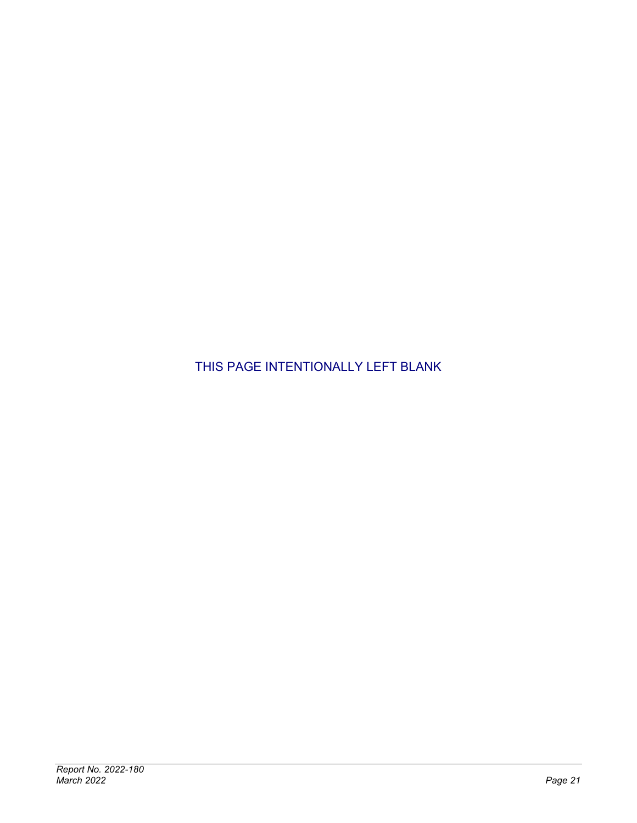THIS PAGE INTENTIONALLY LEFT BLANK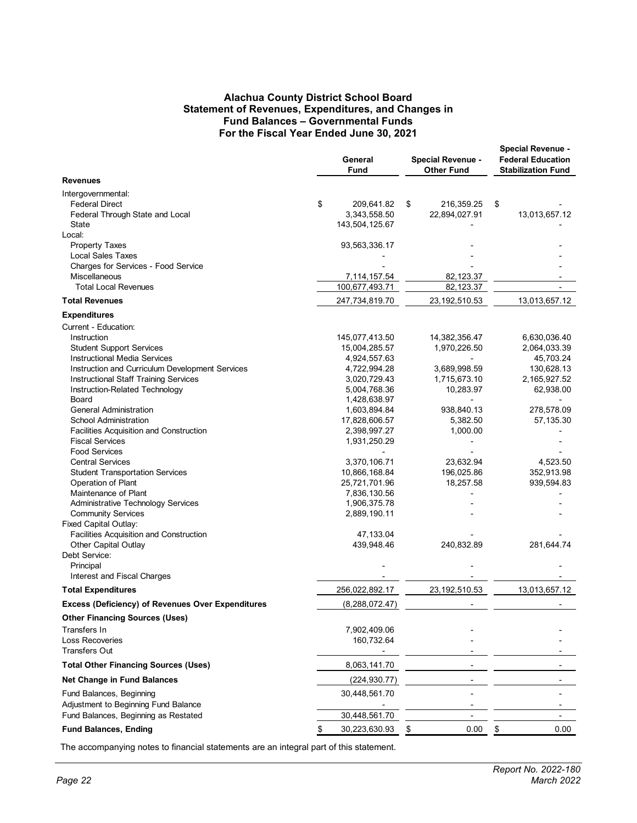#### **Alachua County District School Board Statement of Revenues, Expenditures, and Changes in Fund Balances – Governmental Funds For the Fiscal Year Ended June 30, 2021**

<span id="page-27-1"></span><span id="page-27-0"></span>

|                                                          | General<br><b>Special Revenue -</b><br><b>Fund</b><br><b>Other Fund</b> |                  |                          | <b>Special Revenue -</b><br><b>Federal Education</b><br><b>Stabilization Fund</b> |               |               |
|----------------------------------------------------------|-------------------------------------------------------------------------|------------------|--------------------------|-----------------------------------------------------------------------------------|---------------|---------------|
| <b>Revenues</b>                                          |                                                                         |                  |                          |                                                                                   |               |               |
| Intergovernmental:                                       |                                                                         |                  |                          |                                                                                   |               |               |
| <b>Federal Direct</b>                                    | \$                                                                      | 209,641.82       | \$                       | 216,359.25                                                                        | \$            |               |
| Federal Through State and Local                          |                                                                         | 3,343,558.50     |                          | 22,894,027.91                                                                     |               | 13,013,657.12 |
| State                                                    |                                                                         | 143,504,125.67   |                          |                                                                                   |               |               |
| Local:                                                   |                                                                         |                  |                          |                                                                                   |               |               |
| <b>Property Taxes</b>                                    |                                                                         | 93,563,336.17    |                          |                                                                                   |               |               |
| <b>Local Sales Taxes</b>                                 |                                                                         |                  |                          |                                                                                   |               |               |
| Charges for Services - Food Service                      |                                                                         |                  |                          |                                                                                   |               |               |
| Miscellaneous                                            |                                                                         | 7,114,157.54     |                          | 82,123.37                                                                         |               |               |
| <b>Total Local Revenues</b>                              |                                                                         | 100,677,493.71   |                          | 82,123.37                                                                         |               |               |
| <b>Total Revenues</b>                                    |                                                                         | 247,734,819.70   |                          | 23,192,510.53                                                                     |               | 13,013,657.12 |
| <b>Expenditures</b>                                      |                                                                         |                  |                          |                                                                                   |               |               |
| Current - Education:                                     |                                                                         |                  |                          |                                                                                   |               |               |
| Instruction                                              |                                                                         | 145,077,413.50   |                          | 14,382,356.47                                                                     |               | 6,630,036.40  |
| <b>Student Support Services</b>                          |                                                                         | 15,004,285.57    |                          | 1,970,226.50                                                                      |               | 2,064,033.39  |
| <b>Instructional Media Services</b>                      |                                                                         | 4,924,557.63     |                          |                                                                                   |               | 45,703.24     |
| Instruction and Curriculum Development Services          |                                                                         | 4,722,994.28     |                          | 3,689,998.59                                                                      |               | 130,628.13    |
| <b>Instructional Staff Training Services</b>             |                                                                         | 3,020,729.43     |                          | 1,715,673.10                                                                      |               | 2,165,927.52  |
| Instruction-Related Technology                           |                                                                         | 5,004,768.36     |                          | 10,283.97                                                                         |               | 62,938.00     |
| Board                                                    |                                                                         | 1,428,638.97     |                          |                                                                                   |               |               |
| <b>General Administration</b>                            |                                                                         | 1,603,894.84     |                          | 938,840.13                                                                        |               | 278,578.09    |
| <b>School Administration</b>                             |                                                                         | 17,828,606.57    |                          | 5,382.50                                                                          |               | 57,135.30     |
| Facilities Acquisition and Construction                  |                                                                         | 2,398,997.27     |                          | 1,000.00                                                                          |               |               |
| <b>Fiscal Services</b><br><b>Food Services</b>           |                                                                         | 1,931,250.29     |                          |                                                                                   |               |               |
| <b>Central Services</b>                                  |                                                                         | 3,370,106.71     |                          | 23,632.94                                                                         |               | 4,523.50      |
| <b>Student Transportation Services</b>                   |                                                                         | 10,866,168.84    |                          | 196,025.86                                                                        |               | 352,913.98    |
| Operation of Plant                                       |                                                                         | 25,721,701.96    |                          | 18,257.58                                                                         |               | 939,594.83    |
| Maintenance of Plant                                     |                                                                         | 7,836,130.56     |                          |                                                                                   |               |               |
| Administrative Technology Services                       |                                                                         | 1,906,375.78     |                          |                                                                                   |               |               |
| <b>Community Services</b>                                |                                                                         | 2,889,190.11     |                          |                                                                                   |               |               |
| Fixed Capital Outlay:                                    |                                                                         |                  |                          |                                                                                   |               |               |
| Facilities Acquisition and Construction                  |                                                                         | 47,133.04        |                          |                                                                                   |               |               |
| Other Capital Outlay                                     |                                                                         | 439,948.46       |                          | 240,832.89                                                                        |               | 281,644.74    |
| Debt Service:                                            |                                                                         |                  |                          |                                                                                   |               |               |
| Principal                                                |                                                                         |                  |                          |                                                                                   |               |               |
| Interest and Fiscal Charges                              |                                                                         |                  |                          |                                                                                   |               |               |
| <b>Total Expenditures</b>                                |                                                                         | 256,022,892.17   |                          | 23, 192, 510.53                                                                   |               | 13,013,657.12 |
| <b>Excess (Deficiency) of Revenues Over Expenditures</b> |                                                                         | (8, 288, 072.47) |                          |                                                                                   |               |               |
| <b>Other Financing Sources (Uses)</b>                    |                                                                         |                  |                          |                                                                                   |               |               |
| Transfers In                                             |                                                                         | 7,902,409.06     |                          |                                                                                   |               |               |
| <b>Loss Recoveries</b>                                   |                                                                         | 160,732.64       |                          |                                                                                   |               |               |
| <b>Transfers Out</b>                                     |                                                                         |                  |                          |                                                                                   |               |               |
| <b>Total Other Financing Sources (Uses)</b>              |                                                                         | 8,063,141.70     |                          |                                                                                   |               |               |
| Net Change in Fund Balances                              |                                                                         | (224, 930.77)    |                          |                                                                                   |               |               |
| Fund Balances, Beginning                                 |                                                                         | 30,448,561.70    |                          |                                                                                   |               |               |
| Adjustment to Beginning Fund Balance                     |                                                                         |                  |                          |                                                                                   |               |               |
| Fund Balances, Beginning as Restated                     |                                                                         | 30,448,561.70    |                          | ÷                                                                                 |               | ÷             |
| <b>Fund Balances, Ending</b>                             | \$                                                                      | 30,223,630.93    | $\overline{\mathcal{F}}$ | 0.00                                                                              | $\frac{1}{2}$ | 0.00          |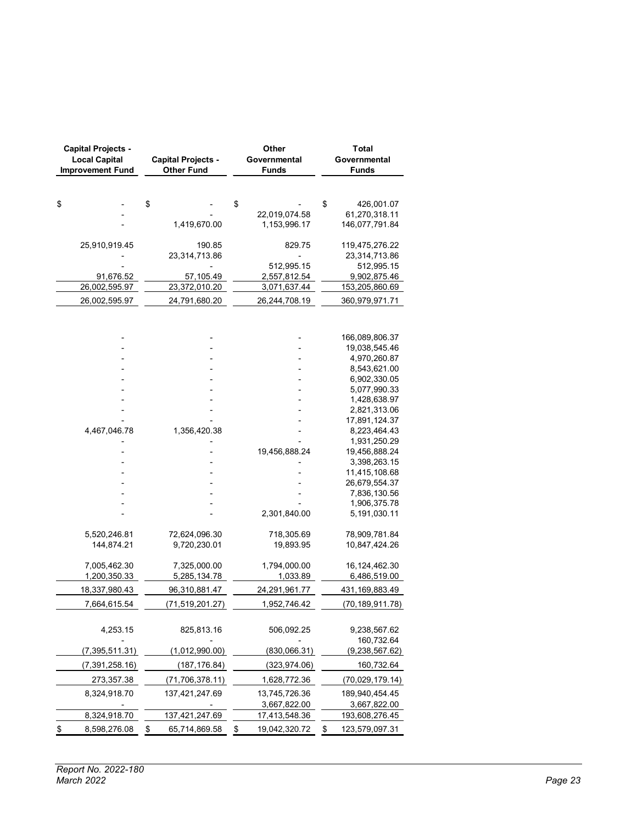| <b>Capital Projects -</b><br><b>Local Capital</b><br><b>Improvement Fund</b> |                  | <b>Capital Projects -</b><br><b>Other Fund</b> | Other<br>Governmental<br><b>Funds</b> |               | <b>Total</b><br>Governmental<br><b>Funds</b> |
|------------------------------------------------------------------------------|------------------|------------------------------------------------|---------------------------------------|---------------|----------------------------------------------|
|                                                                              |                  |                                                |                                       |               |                                              |
| \$                                                                           |                  | \$                                             | \$                                    |               | \$<br>426,001.07                             |
|                                                                              |                  |                                                |                                       | 22,019,074.58 | 61,270,318.11                                |
|                                                                              |                  | 1,419,670.00                                   |                                       | 1,153,996.17  | 146,077,791.84                               |
|                                                                              | 25,910,919.45    | 190.85                                         |                                       | 829.75        | 119,475,276.22                               |
|                                                                              |                  | 23,314,713.86                                  |                                       |               | 23,314,713.86                                |
|                                                                              |                  |                                                |                                       | 512,995.15    | 512,995.15                                   |
|                                                                              | 91,676.52        | 57,105.49                                      |                                       | 2,557,812.54  | 9,902,875.46                                 |
|                                                                              | 26,002,595.97    | 23,372,010.20                                  |                                       | 3,071,637.44  | 153,205,860.69                               |
|                                                                              | 26,002,595.97    | 24,791,680.20                                  |                                       | 26,244,708.19 | 360,979,971.71                               |
|                                                                              |                  |                                                |                                       |               |                                              |
|                                                                              |                  |                                                |                                       |               | 166,089,806.37                               |
|                                                                              |                  |                                                |                                       |               | 19,038,545.46                                |
|                                                                              |                  |                                                |                                       |               | 4,970,260.87                                 |
|                                                                              |                  |                                                |                                       |               | 8,543,621.00                                 |
|                                                                              |                  |                                                |                                       |               | 6,902,330.05                                 |
|                                                                              |                  |                                                |                                       |               | 5,077,990.33                                 |
|                                                                              |                  |                                                |                                       |               | 1,428,638.97                                 |
|                                                                              |                  |                                                |                                       |               | 2,821,313.06<br>17,891,124.37                |
|                                                                              | 4,467,046.78     | 1,356,420.38                                   |                                       |               | 8,223,464.43                                 |
|                                                                              |                  |                                                |                                       |               | 1,931,250.29                                 |
|                                                                              |                  |                                                |                                       | 19,456,888.24 | 19,456,888.24                                |
|                                                                              |                  |                                                |                                       |               | 3,398,263.15                                 |
|                                                                              |                  |                                                |                                       |               | 11,415,108.68                                |
|                                                                              |                  |                                                |                                       |               | 26,679,554.37                                |
|                                                                              |                  |                                                |                                       |               | 7,836,130.56                                 |
|                                                                              |                  |                                                |                                       |               | 1,906,375.78                                 |
|                                                                              |                  |                                                |                                       | 2,301,840.00  | 5, 191, 030.11                               |
|                                                                              | 5,520,246.81     | 72,624,096.30                                  |                                       | 718,305.69    | 78,909,781.84                                |
|                                                                              | 144,874.21       | 9,720,230.01                                   |                                       | 19,893.95     | 10,847,424.26                                |
|                                                                              | 7,005,462.30     | 7,325,000.00                                   |                                       | 1,794,000.00  | 16, 124, 462. 30                             |
|                                                                              | 1,200,350.33     | 5,285,134.78                                   |                                       | 1,033.89      | 6,486,519.00                                 |
|                                                                              | 18,337,980.43    | 96,310,881.47                                  |                                       | 24,291,961.77 | 431, 169, 883. 49                            |
|                                                                              | 7.664.615.54     | (71.519.201.27)                                |                                       | 1.952.746.42  | (70.189.911.78)                              |
|                                                                              |                  |                                                |                                       |               |                                              |
|                                                                              | 4,253.15         | 825,813.16                                     |                                       | 506,092.25    | 9,238,567.62                                 |
|                                                                              | (7,395,511.31)   | (1,012,990.00)                                 |                                       | (830,066.31)  | 160,732.64<br>(9,238,567.62)                 |
|                                                                              | (7, 391, 258.16) | (187, 176.84)                                  |                                       | (323, 974.06) | 160,732.64                                   |
|                                                                              | 273,357.38       | (71, 706, 378.11)                              |                                       | 1,628,772.36  | (70,029,179.14)                              |
|                                                                              | 8,324,918.70     | 137,421,247.69                                 |                                       | 13,745,726.36 | 189,940,454.45                               |
|                                                                              |                  |                                                |                                       | 3,667,822.00  | 3,667,822.00                                 |
|                                                                              | 8,324,918.70     | 137,421,247.69                                 |                                       | 17,413,548.36 | 193,608,276.45                               |
|                                                                              |                  |                                                |                                       |               |                                              |
| \$                                                                           | 8,598,276.08     | \$<br>65,714,869.58                            | \$                                    | 19,042,320.72 | \$<br>123,579,097.31                         |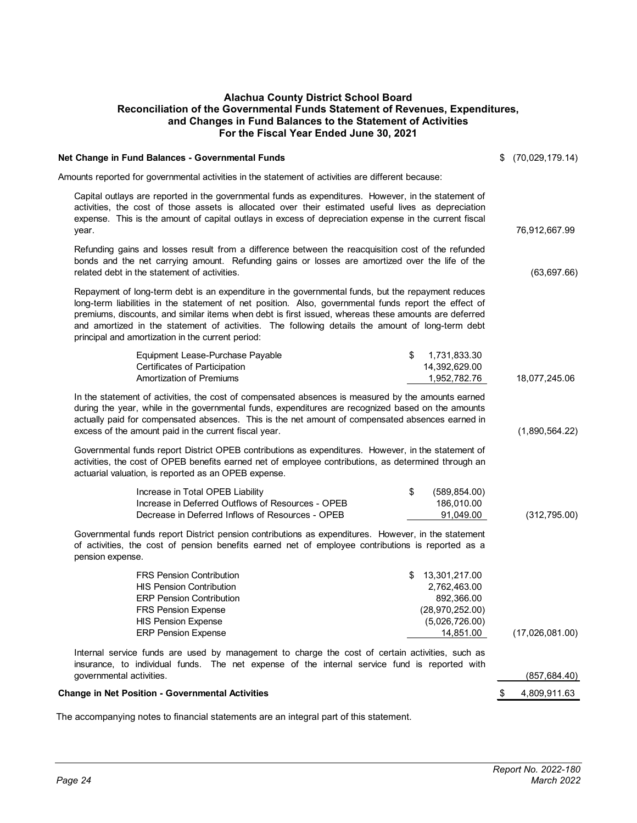#### <span id="page-29-1"></span>**Alachua County District School Board Reconciliation of the Governmental Funds Statement of Revenues, Expenditures, and Changes in Fund Balances to the Statement of Activities For the Fiscal Year Ended June 30, 2021**

<span id="page-29-0"></span>

| Net Change in Fund Balances - Governmental Funds                                                                                                                                                                                                                                                                                                                                                                                                                             | \$ (70,029,179.14) |
|------------------------------------------------------------------------------------------------------------------------------------------------------------------------------------------------------------------------------------------------------------------------------------------------------------------------------------------------------------------------------------------------------------------------------------------------------------------------------|--------------------|
| Amounts reported for governmental activities in the statement of activities are different because:                                                                                                                                                                                                                                                                                                                                                                           |                    |
| Capital outlays are reported in the governmental funds as expenditures. However, in the statement of<br>activities, the cost of those assets is allocated over their estimated useful lives as depreciation<br>expense. This is the amount of capital outlays in excess of depreciation expense in the current fiscal<br>year.                                                                                                                                               | 76,912,667.99      |
| Refunding gains and losses result from a difference between the reacquisition cost of the refunded<br>bonds and the net carrying amount. Refunding gains or losses are amortized over the life of the<br>related debt in the statement of activities.                                                                                                                                                                                                                        | (63, 697.66)       |
| Repayment of long-term debt is an expenditure in the governmental funds, but the repayment reduces<br>long-term liabilities in the statement of net position. Also, governmental funds report the effect of<br>premiums, discounts, and similar items when debt is first issued, whereas these amounts are deferred<br>and amortized in the statement of activities. The following details the amount of long-term debt<br>principal and amortization in the current period: |                    |
| \$<br>1,731,833.30<br>Equipment Lease-Purchase Payable<br>14,392,629.00<br>Certificates of Participation<br>Amortization of Premiums<br>1,952,782.76                                                                                                                                                                                                                                                                                                                         | 18,077,245.06      |
| In the statement of activities, the cost of compensated absences is measured by the amounts earned<br>during the year, while in the governmental funds, expenditures are recognized based on the amounts<br>actually paid for compensated absences. This is the net amount of compensated absences earned in<br>excess of the amount paid in the current fiscal year.                                                                                                        | (1,890,564.22)     |
| Governmental funds report District OPEB contributions as expenditures. However, in the statement of<br>activities, the cost of OPEB benefits earned net of employee contributions, as determined through an<br>actuarial valuation, is reported as an OPEB expense.                                                                                                                                                                                                          |                    |
| \$<br>Increase in Total OPEB Liability<br>(589, 854.00)<br>Increase in Deferred Outflows of Resources - OPEB<br>186,010.00<br>Decrease in Deferred Inflows of Resources - OPEB<br>91,049.00                                                                                                                                                                                                                                                                                  | (312, 795.00)      |
| Governmental funds report District pension contributions as expenditures. However, in the statement<br>of activities, the cost of pension benefits earned net of employee contributions is reported as a<br>pension expense.                                                                                                                                                                                                                                                 |                    |
| <b>FRS Pension Contribution</b><br>13,301,217.00<br><b>HIS Pension Contribution</b><br>2,762,463.00<br><b>ERP Pension Contribution</b><br>892,366.00<br>(28,970,252.00)<br><b>FRS Pension Expense</b><br>(5,026,726.00)<br><b>HIS Pension Expense</b><br><b>ERP Pension Expense</b><br>14,851.00                                                                                                                                                                             | (17,026,081.00)    |
| Internal service funds are used by management to charge the cost of certain activities, such as<br>insurance, to individual funds. The net expense of the internal service fund is reported with<br>governmental activities.                                                                                                                                                                                                                                                 | (857,684.40)       |
| <b>Change in Net Position - Governmental Activities</b>                                                                                                                                                                                                                                                                                                                                                                                                                      | \$<br>4,809,911.63 |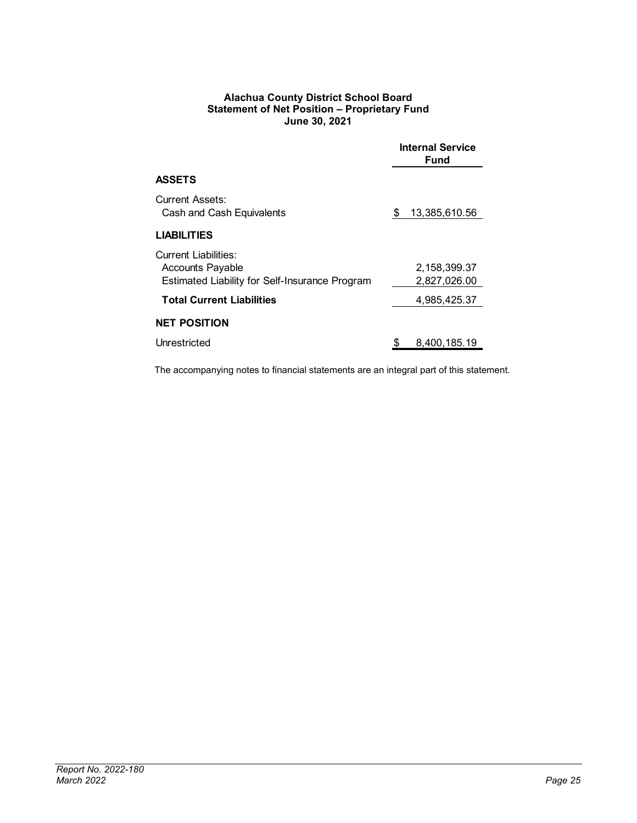#### **Alachua County District School Board Statement of Net Position – Proprietary Fund June 30, 2021**

<span id="page-30-1"></span><span id="page-30-0"></span>

|                                                                                            |   | <b>Internal Service</b><br><b>Fund</b> |
|--------------------------------------------------------------------------------------------|---|----------------------------------------|
| <b>ASSETS</b>                                                                              |   |                                        |
| Current Assets:<br>Cash and Cash Equivalents                                               | S | 13,385,610.56                          |
| <b>LIABILITIES</b>                                                                         |   |                                        |
| Current Liabilities:<br>Accounts Payable<br>Estimated Liability for Self-Insurance Program |   | 2,158,399.37<br>2,827,026.00           |
| <b>Total Current Liabilities</b>                                                           |   | 4,985,425.37                           |
| <b>NET POSITION</b>                                                                        |   |                                        |
| Unrestricted                                                                               |   | 8,400,185.19                           |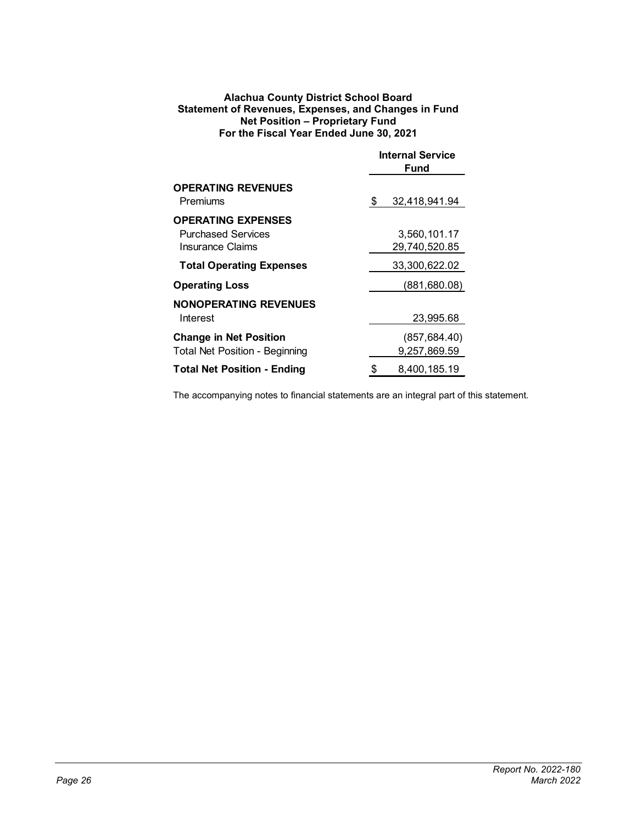#### <span id="page-31-1"></span><span id="page-31-0"></span>**Alachua County District School Board Statement of Revenues, Expenses, and Changes in Fund Net Position – Proprietary Fund For the Fiscal Year Ended June 30, 2021**

|                                                                            | <b>Internal Service</b><br>Fund |                               |  |
|----------------------------------------------------------------------------|---------------------------------|-------------------------------|--|
| <b>OPERATING REVENUES</b><br>Premiums                                      | \$                              | 32,418,941.94                 |  |
| <b>OPERATING EXPENSES</b><br><b>Purchased Services</b><br>Insurance Claims |                                 | 3,560,101.17<br>29,740,520.85 |  |
| <b>Total Operating Expenses</b>                                            |                                 | 33,300,622.02                 |  |
| <b>Operating Loss</b>                                                      |                                 | (881,680.08)                  |  |
| <b>NONOPERATING REVENUES</b><br>Interest                                   |                                 | 23,995.68                     |  |
| <b>Change in Net Position</b><br><b>Total Net Position - Beginning</b>     |                                 | (857, 684.40)<br>9,257,869.59 |  |
| <b>Total Net Position - Ending</b>                                         | \$                              | 8,400,185.19                  |  |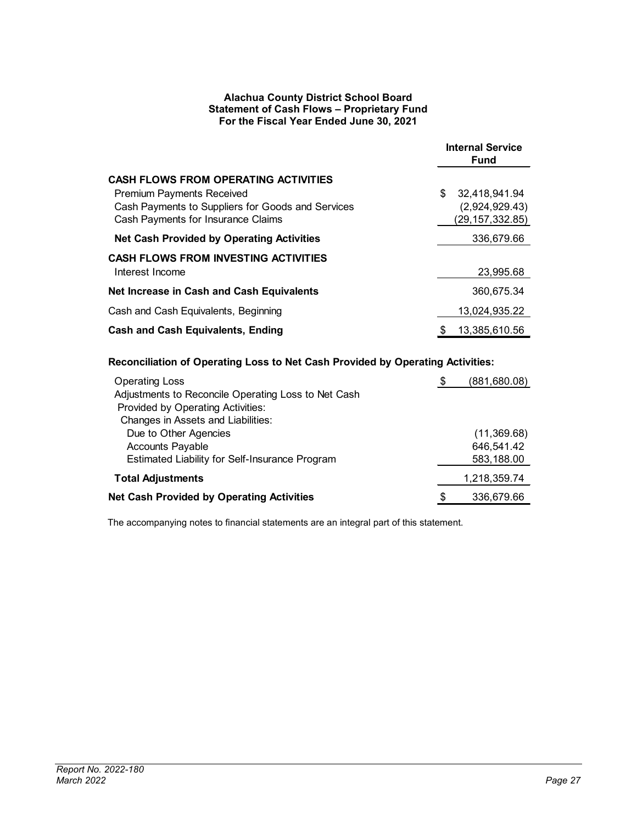#### **Alachua County District School Board Statement of Cash Flows – Proprietary Fund For the Fiscal Year Ended June 30, 2021**

<span id="page-32-1"></span><span id="page-32-0"></span>

|                                                                                                                             | <b>Internal Service</b><br><b>Fund</b>                     |  |  |
|-----------------------------------------------------------------------------------------------------------------------------|------------------------------------------------------------|--|--|
| <b>CASH FLOWS FROM OPERATING ACTIVITIES</b>                                                                                 |                                                            |  |  |
| <b>Premium Payments Received</b><br>Cash Payments to Suppliers for Goods and Services<br>Cash Payments for Insurance Claims | 32,418,941.94<br>\$<br>(2,924,929.43)<br>(29, 157, 332.85) |  |  |
| <b>Net Cash Provided by Operating Activities</b>                                                                            | 336,679.66                                                 |  |  |
| <b>CASH FLOWS FROM INVESTING ACTIVITIES</b><br>Interest Income                                                              | 23,995.68                                                  |  |  |
| Net Increase in Cash and Cash Equivalents                                                                                   | 360.675.34                                                 |  |  |
| Cash and Cash Equivalents, Beginning                                                                                        | 13,024,935.22                                              |  |  |
| <b>Cash and Cash Equivalents, Ending</b>                                                                                    | 13,385,610.56                                              |  |  |

#### **Reconciliation of Operating Loss to Net Cash Provided by Operating Activities:**

| <b>Operating Loss</b>                               | \$ | (881,680.08) |
|-----------------------------------------------------|----|--------------|
| Adjustments to Reconcile Operating Loss to Net Cash |    |              |
| Provided by Operating Activities:                   |    |              |
| Changes in Assets and Liabilities:                  |    |              |
| Due to Other Agencies                               |    | (11,369.68)  |
| <b>Accounts Payable</b>                             |    | 646,541.42   |
| Estimated Liability for Self-Insurance Program      |    | 583,188.00   |
| <b>Total Adjustments</b>                            |    | 1,218,359.74 |
| <b>Net Cash Provided by Operating Activities</b>    |    | 336,679.66   |
|                                                     |    |              |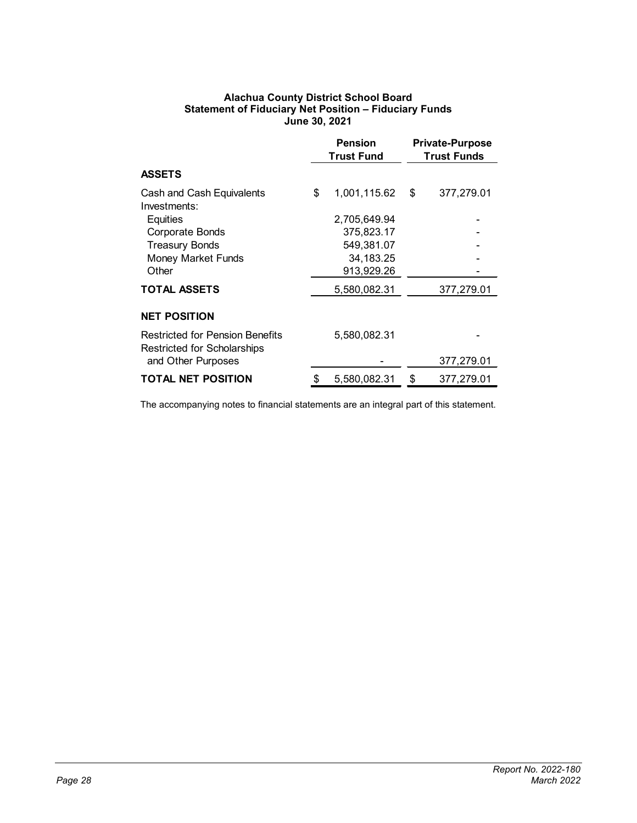#### **Alachua County District School Board Statement of Fiduciary Net Position – Fiduciary Funds June 30, 2021**

<span id="page-33-1"></span><span id="page-33-0"></span>

|                                                                       |    | <b>Pension</b><br><b>Trust Fund</b> |    | <b>Private-Purpose</b><br><b>Trust Funds</b> |  |
|-----------------------------------------------------------------------|----|-------------------------------------|----|----------------------------------------------|--|
| <b>ASSETS</b>                                                         |    |                                     |    |                                              |  |
| Cash and Cash Equivalents<br>Investments:                             | \$ | 1,001,115.62                        | \$ | 377,279.01                                   |  |
| <b>Equities</b>                                                       |    | 2,705,649.94                        |    |                                              |  |
| Corporate Bonds                                                       |    | 375,823.17                          |    |                                              |  |
| <b>Treasury Bonds</b>                                                 |    | 549,381.07                          |    |                                              |  |
| Money Market Funds                                                    |    | 34, 183. 25                         |    |                                              |  |
| Other                                                                 |    | 913,929.26                          |    |                                              |  |
| <b>TOTAL ASSETS</b>                                                   |    | 5,580,082.31                        |    | 377,279.01                                   |  |
| <b>NET POSITION</b>                                                   |    |                                     |    |                                              |  |
| <b>Restricted for Pension Benefits</b><br>Restricted for Scholarships |    | 5,580,082.31                        |    |                                              |  |
| and Other Purposes                                                    |    |                                     |    | 377,279.01                                   |  |
| <b>TOTAL NET POSITION</b>                                             | \$ | 5,580,082.31                        | \$ | 377,279.01                                   |  |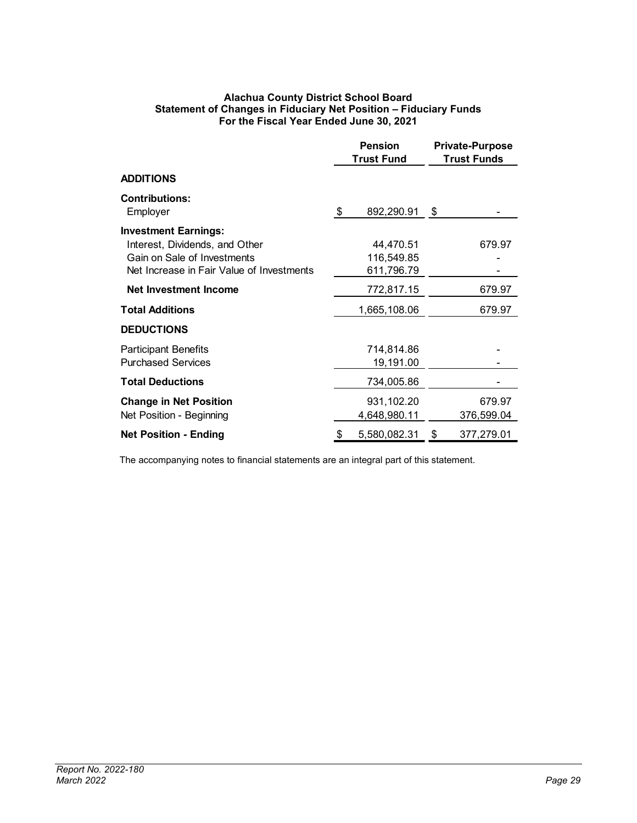<span id="page-34-1"></span>

| <b>Alachua County District School Board</b>                      |
|------------------------------------------------------------------|
| Statement of Changes in Fiduciary Net Position – Fiduciary Funds |
| For the Fiscal Year Ended June 30, 2021                          |

<span id="page-34-0"></span>

|                                           |    | <b>Pension</b><br><b>Trust Fund</b> |      | <b>Private-Purpose</b><br><b>Trust Funds</b> |  |
|-------------------------------------------|----|-------------------------------------|------|----------------------------------------------|--|
| <b>ADDITIONS</b>                          |    |                                     |      |                                              |  |
| <b>Contributions:</b>                     |    |                                     |      |                                              |  |
| Employer                                  | \$ | 892,290.91                          | - \$ |                                              |  |
| <b>Investment Earnings:</b>               |    |                                     |      |                                              |  |
| Interest, Dividends, and Other            |    | 44,470.51                           |      | 679.97                                       |  |
| Gain on Sale of Investments               |    | 116,549.85                          |      |                                              |  |
| Net Increase in Fair Value of Investments |    | 611,796.79                          |      |                                              |  |
| <b>Net Investment Income</b>              |    | 772,817.15                          |      | 679.97                                       |  |
| <b>Total Additions</b>                    |    | 1,665,108.06                        |      | 679.97                                       |  |
| <b>DEDUCTIONS</b>                         |    |                                     |      |                                              |  |
| <b>Participant Benefits</b>               |    | 714,814.86                          |      |                                              |  |
| <b>Purchased Services</b>                 |    | 19,191.00                           |      |                                              |  |
| <b>Total Deductions</b>                   |    | 734,005.86                          |      |                                              |  |
| <b>Change in Net Position</b>             |    | 931,102.20                          |      | 679.97                                       |  |
| Net Position - Beginning                  |    | 4,648,980.11                        |      | 376,599.04                                   |  |
| <b>Net Position - Ending</b>              | \$ | 5,580,082.31                        | \$   | 377,279.01                                   |  |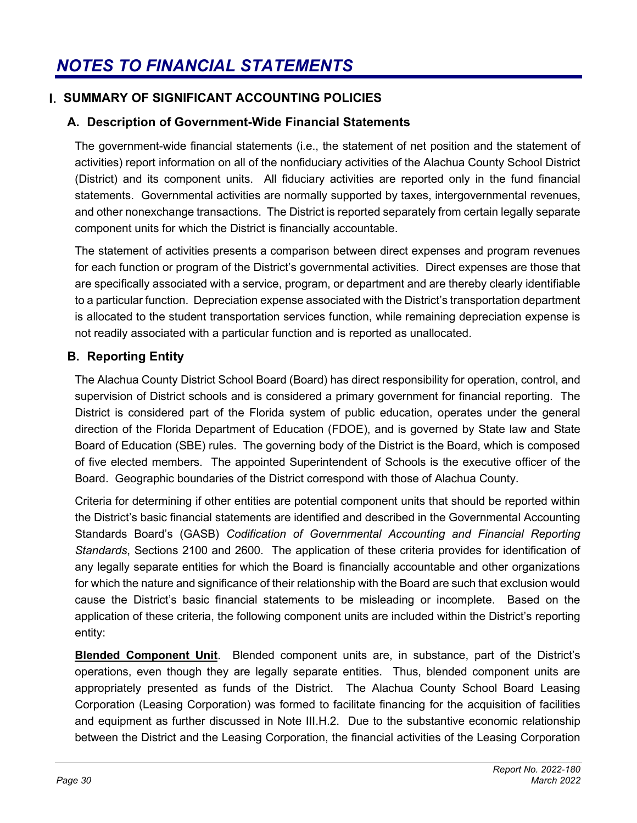# <span id="page-35-1"></span><span id="page-35-0"></span>**SUMMARY OF SIGNIFICANT ACCOUNTING POLICIES**

# **A. Description of Government-Wide Financial Statements**

The government-wide financial statements (i.e., the statement of net position and the statement of activities) report information on all of the nonfiduciary activities of the Alachua County School District (District) and its component units. All fiduciary activities are reported only in the fund financial statements. Governmental activities are normally supported by taxes, intergovernmental revenues, and other nonexchange transactions. The District is reported separately from certain legally separate component units for which the District is financially accountable.

The statement of activities presents a comparison between direct expenses and program revenues for each function or program of the District's governmental activities. Direct expenses are those that are specifically associated with a service, program, or department and are thereby clearly identifiable to a particular function. Depreciation expense associated with the District's transportation department is allocated to the student transportation services function, while remaining depreciation expense is not readily associated with a particular function and is reported as unallocated.

# **B. Reporting Entity**

The Alachua County District School Board (Board) has direct responsibility for operation, control, and supervision of District schools and is considered a primary government for financial reporting. The District is considered part of the Florida system of public education, operates under the general direction of the Florida Department of Education (FDOE), and is governed by State law and State Board of Education (SBE) rules. The governing body of the District is the Board, which is composed of five elected members. The appointed Superintendent of Schools is the executive officer of the Board. Geographic boundaries of the District correspond with those of Alachua County.

Criteria for determining if other entities are potential component units that should be reported within the District's basic financial statements are identified and described in the Governmental Accounting Standards Board's (GASB) *Codification of Governmental Accounting and Financial Reporting Standards*, Sections 2100 and 2600. The application of these criteria provides for identification of any legally separate entities for which the Board is financially accountable and other organizations for which the nature and significance of their relationship with the Board are such that exclusion would cause the District's basic financial statements to be misleading or incomplete. Based on the application of these criteria, the following component units are included within the District's reporting entity:

**Blended Component Unit**. Blended component units are, in substance, part of the District's operations, even though they are legally separate entities. Thus, blended component units are appropriately presented as funds of the District. The Alachua County School Board Leasing Corporation (Leasing Corporation) was formed to facilitate financing for the acquisition of facilities and equipment as further discussed in Note III.H.2. Due to the substantive economic relationship between the District and the Leasing Corporation, the financial activities of the Leasing Corporation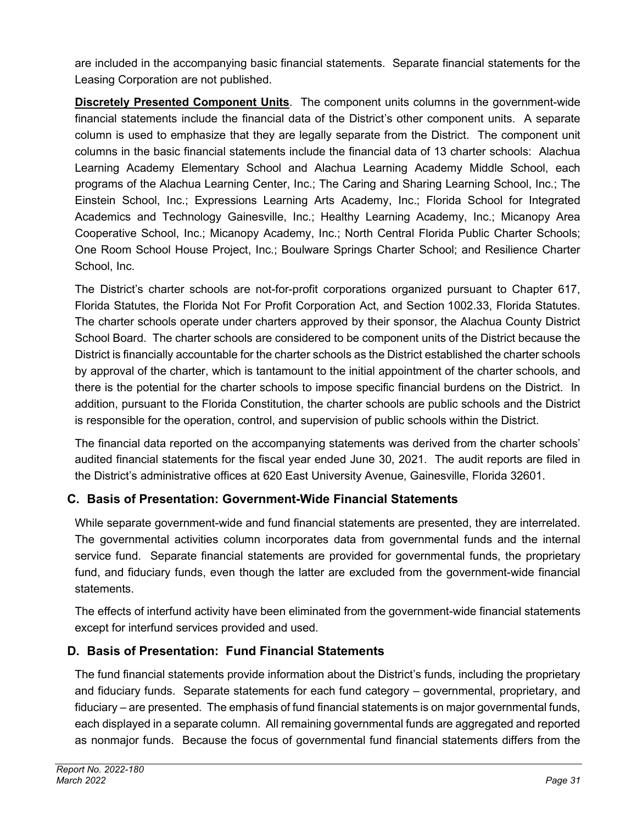are included in the accompanying basic financial statements. Separate financial statements for the Leasing Corporation are not published.

**Discretely Presented Component Units**. The component units columns in the government-wide financial statements include the financial data of the District's other component units. A separate column is used to emphasize that they are legally separate from the District. The component unit columns in the basic financial statements include the financial data of 13 charter schools: Alachua Learning Academy Elementary School and Alachua Learning Academy Middle School, each programs of the Alachua Learning Center, Inc.; The Caring and Sharing Learning School, Inc.; The Einstein School, Inc.; Expressions Learning Arts Academy, Inc.; Florida School for Integrated Academics and Technology Gainesville, Inc.; Healthy Learning Academy, Inc.; Micanopy Area Cooperative School, Inc.; Micanopy Academy, Inc.; North Central Florida Public Charter Schools; One Room School House Project, Inc.; Boulware Springs Charter School; and Resilience Charter School, Inc.

The District's charter schools are not-for-profit corporations organized pursuant to Chapter 617, Florida Statutes, the Florida Not For Profit Corporation Act, and Section 1002.33, Florida Statutes. The charter schools operate under charters approved by their sponsor, the Alachua County District School Board. The charter schools are considered to be component units of the District because the District is financially accountable for the charter schools as the District established the charter schools by approval of the charter, which is tantamount to the initial appointment of the charter schools, and there is the potential for the charter schools to impose specific financial burdens on the District. In addition, pursuant to the Florida Constitution, the charter schools are public schools and the District is responsible for the operation, control, and supervision of public schools within the District.

The financial data reported on the accompanying statements was derived from the charter schools' audited financial statements for the fiscal year ended June 30, 2021. The audit reports are filed in the District's administrative offices at 620 East University Avenue, Gainesville, Florida 32601.

## **C. Basis of Presentation: Government-Wide Financial Statements**

While separate government-wide and fund financial statements are presented, they are interrelated. The governmental activities column incorporates data from governmental funds and the internal service fund. Separate financial statements are provided for governmental funds, the proprietary fund, and fiduciary funds, even though the latter are excluded from the government-wide financial **statements** 

The effects of interfund activity have been eliminated from the government-wide financial statements except for interfund services provided and used.

# **D. Basis of Presentation: Fund Financial Statements**

The fund financial statements provide information about the District's funds, including the proprietary and fiduciary funds. Separate statements for each fund category – governmental, proprietary, and fiduciary – are presented. The emphasis of fund financial statements is on major governmental funds, each displayed in a separate column. All remaining governmental funds are aggregated and reported as nonmajor funds. Because the focus of governmental fund financial statements differs from the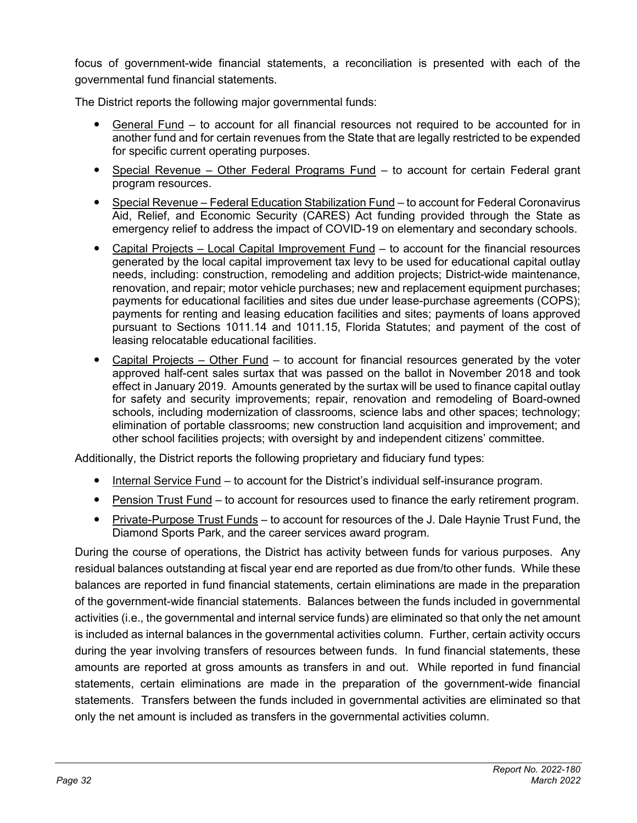focus of government-wide financial statements, a reconciliation is presented with each of the governmental fund financial statements.

The District reports the following major governmental funds:

- General Fund to account for all financial resources not required to be accounted for in another fund and for certain revenues from the State that are legally restricted to be expended for specific current operating purposes.
- Special Revenue Other Federal Programs Fund to account for certain Federal grant program resources.
- Special Revenue Federal Education Stabilization Fund to account for Federal Coronavirus Aid, Relief, and Economic Security (CARES) Act funding provided through the State as emergency relief to address the impact of COVID-19 on elementary and secondary schools.
- Capital Projects Local Capital Improvement Fund to account for the financial resources generated by the local capital improvement tax levy to be used for educational capital outlay needs, including: construction, remodeling and addition projects; District-wide maintenance, renovation, and repair; motor vehicle purchases; new and replacement equipment purchases; payments for educational facilities and sites due under lease-purchase agreements (COPS); payments for renting and leasing education facilities and sites; payments of loans approved pursuant to Sections 1011.14 and 1011.15, Florida Statutes; and payment of the cost of leasing relocatable educational facilities.
- Capital Projects Other Fund to account for financial resources generated by the voter approved half-cent sales surtax that was passed on the ballot in November 2018 and took effect in January 2019. Amounts generated by the surtax will be used to finance capital outlay for safety and security improvements; repair, renovation and remodeling of Board-owned schools, including modernization of classrooms, science labs and other spaces; technology; elimination of portable classrooms; new construction land acquisition and improvement; and other school facilities projects; with oversight by and independent citizens' committee.

Additionally, the District reports the following proprietary and fiduciary fund types:

- Internal Service Fund to account for the District's individual self-insurance program.
- Pension Trust Fund to account for resources used to finance the early retirement program.
- Private-Purpose Trust Funds to account for resources of the J. Dale Haynie Trust Fund, the Diamond Sports Park, and the career services award program.

During the course of operations, the District has activity between funds for various purposes. Any residual balances outstanding at fiscal year end are reported as due from/to other funds. While these balances are reported in fund financial statements, certain eliminations are made in the preparation of the government-wide financial statements. Balances between the funds included in governmental activities (i.e., the governmental and internal service funds) are eliminated so that only the net amount is included as internal balances in the governmental activities column. Further, certain activity occurs during the year involving transfers of resources between funds. In fund financial statements, these amounts are reported at gross amounts as transfers in and out. While reported in fund financial statements, certain eliminations are made in the preparation of the government-wide financial statements. Transfers between the funds included in governmental activities are eliminated so that only the net amount is included as transfers in the governmental activities column.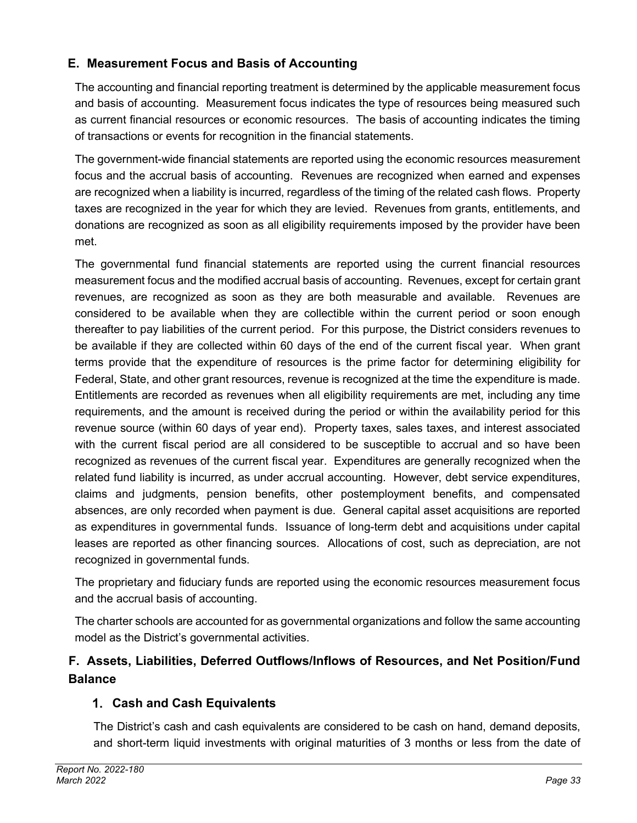# **E. Measurement Focus and Basis of Accounting**

The accounting and financial reporting treatment is determined by the applicable measurement focus and basis of accounting. Measurement focus indicates the type of resources being measured such as current financial resources or economic resources. The basis of accounting indicates the timing of transactions or events for recognition in the financial statements.

The government-wide financial statements are reported using the economic resources measurement focus and the accrual basis of accounting. Revenues are recognized when earned and expenses are recognized when a liability is incurred, regardless of the timing of the related cash flows. Property taxes are recognized in the year for which they are levied. Revenues from grants, entitlements, and donations are recognized as soon as all eligibility requirements imposed by the provider have been met.

The governmental fund financial statements are reported using the current financial resources measurement focus and the modified accrual basis of accounting. Revenues, except for certain grant revenues, are recognized as soon as they are both measurable and available. Revenues are considered to be available when they are collectible within the current period or soon enough thereafter to pay liabilities of the current period. For this purpose, the District considers revenues to be available if they are collected within 60 days of the end of the current fiscal year. When grant terms provide that the expenditure of resources is the prime factor for determining eligibility for Federal, State, and other grant resources, revenue is recognized at the time the expenditure is made. Entitlements are recorded as revenues when all eligibility requirements are met, including any time requirements, and the amount is received during the period or within the availability period for this revenue source (within 60 days of year end). Property taxes, sales taxes, and interest associated with the current fiscal period are all considered to be susceptible to accrual and so have been recognized as revenues of the current fiscal year. Expenditures are generally recognized when the related fund liability is incurred, as under accrual accounting. However, debt service expenditures, claims and judgments, pension benefits, other postemployment benefits, and compensated absences, are only recorded when payment is due. General capital asset acquisitions are reported as expenditures in governmental funds. Issuance of long-term debt and acquisitions under capital leases are reported as other financing sources. Allocations of cost, such as depreciation, are not recognized in governmental funds.

The proprietary and fiduciary funds are reported using the economic resources measurement focus and the accrual basis of accounting.

The charter schools are accounted for as governmental organizations and follow the same accounting model as the District's governmental activities.

# **F. Assets, Liabilities, Deferred Outflows/Inflows of Resources, and Net Position/Fund Balance**

## **Cash and Cash Equivalents**

The District's cash and cash equivalents are considered to be cash on hand, demand deposits, and short-term liquid investments with original maturities of 3 months or less from the date of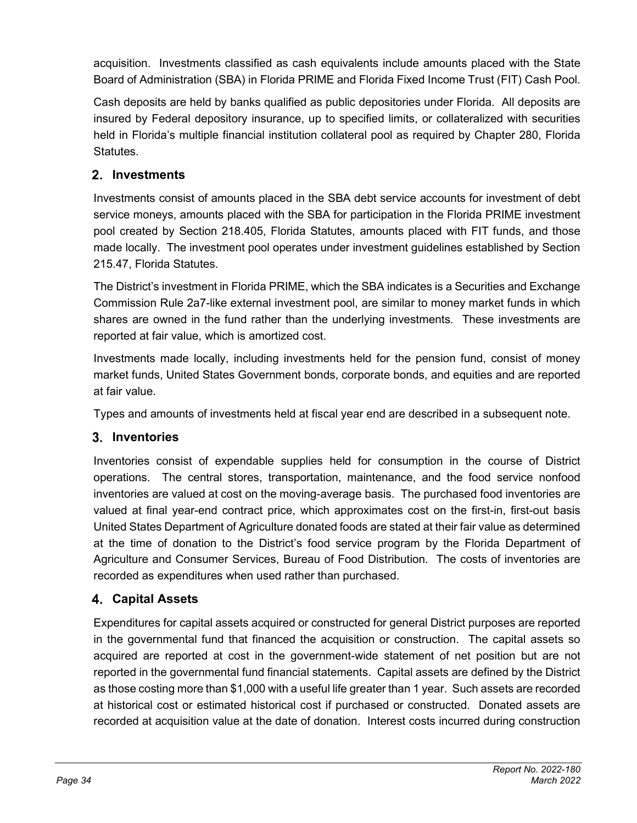acquisition. Investments classified as cash equivalents include amounts placed with the State Board of Administration (SBA) in Florida PRIME and Florida Fixed Income Trust (FIT) Cash Pool.

Cash deposits are held by banks qualified as public depositories under Florida. All deposits are insured by Federal depository insurance, up to specified limits, or collateralized with securities held in Florida's multiple financial institution collateral pool as required by Chapter 280, Florida **Statutes** 

# **Investments**

Investments consist of amounts placed in the SBA debt service accounts for investment of debt service moneys, amounts placed with the SBA for participation in the Florida PRIME investment pool created by Section 218.405, Florida Statutes, amounts placed with FIT funds, and those made locally. The investment pool operates under investment guidelines established by Section 215.47, Florida Statutes.

The District's investment in Florida PRIME, which the SBA indicates is a Securities and Exchange Commission Rule 2a7-like external investment pool, are similar to money market funds in which shares are owned in the fund rather than the underlying investments. These investments are reported at fair value, which is amortized cost.

Investments made locally, including investments held for the pension fund, consist of money market funds, United States Government bonds, corporate bonds, and equities and are reported at fair value.

Types and amounts of investments held at fiscal year end are described in a subsequent note.

# **Inventories**

Inventories consist of expendable supplies held for consumption in the course of District operations. The central stores, transportation, maintenance, and the food service nonfood inventories are valued at cost on the moving-average basis. The purchased food inventories are valued at final year-end contract price, which approximates cost on the first-in, first-out basis United States Department of Agriculture donated foods are stated at their fair value as determined at the time of donation to the District's food service program by the Florida Department of Agriculture and Consumer Services, Bureau of Food Distribution. The costs of inventories are recorded as expenditures when used rather than purchased.

# **Capital Assets**

Expenditures for capital assets acquired or constructed for general District purposes are reported in the governmental fund that financed the acquisition or construction. The capital assets so acquired are reported at cost in the government-wide statement of net position but are not reported in the governmental fund financial statements. Capital assets are defined by the District as those costing more than \$1,000 with a useful life greater than 1 year. Such assets are recorded at historical cost or estimated historical cost if purchased or constructed. Donated assets are recorded at acquisition value at the date of donation. Interest costs incurred during construction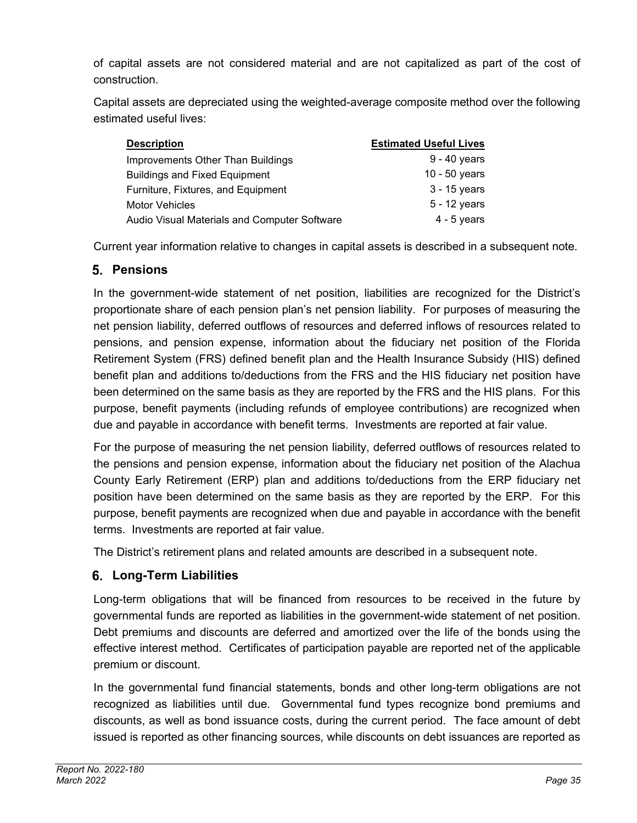of capital assets are not considered material and are not capitalized as part of the cost of construction.

Capital assets are depreciated using the weighted-average composite method over the following estimated useful lives:

| <b>Description</b>                           | <b>Estimated Useful Lives</b> |
|----------------------------------------------|-------------------------------|
| Improvements Other Than Buildings            | $9 - 40$ years                |
| <b>Buildings and Fixed Equipment</b>         | 10 - 50 years                 |
| Furniture, Fixtures, and Equipment           | 3 - 15 years                  |
| <b>Motor Vehicles</b>                        | $5 - 12$ years                |
| Audio Visual Materials and Computer Software | $4 - 5$ years                 |

Current year information relative to changes in capital assets is described in a subsequent note.

## **Pensions**

In the government-wide statement of net position, liabilities are recognized for the District's proportionate share of each pension plan's net pension liability. For purposes of measuring the net pension liability, deferred outflows of resources and deferred inflows of resources related to pensions, and pension expense, information about the fiduciary net position of the Florida Retirement System (FRS) defined benefit plan and the Health Insurance Subsidy (HIS) defined benefit plan and additions to/deductions from the FRS and the HIS fiduciary net position have been determined on the same basis as they are reported by the FRS and the HIS plans. For this purpose, benefit payments (including refunds of employee contributions) are recognized when due and payable in accordance with benefit terms. Investments are reported at fair value.

For the purpose of measuring the net pension liability, deferred outflows of resources related to the pensions and pension expense, information about the fiduciary net position of the Alachua County Early Retirement (ERP) plan and additions to/deductions from the ERP fiduciary net position have been determined on the same basis as they are reported by the ERP. For this purpose, benefit payments are recognized when due and payable in accordance with the benefit terms. Investments are reported at fair value.

The District's retirement plans and related amounts are described in a subsequent note.

## **Long-Term Liabilities**

Long-term obligations that will be financed from resources to be received in the future by governmental funds are reported as liabilities in the government-wide statement of net position. Debt premiums and discounts are deferred and amortized over the life of the bonds using the effective interest method. Certificates of participation payable are reported net of the applicable premium or discount.

In the governmental fund financial statements, bonds and other long-term obligations are not recognized as liabilities until due. Governmental fund types recognize bond premiums and discounts, as well as bond issuance costs, during the current period. The face amount of debt issued is reported as other financing sources, while discounts on debt issuances are reported as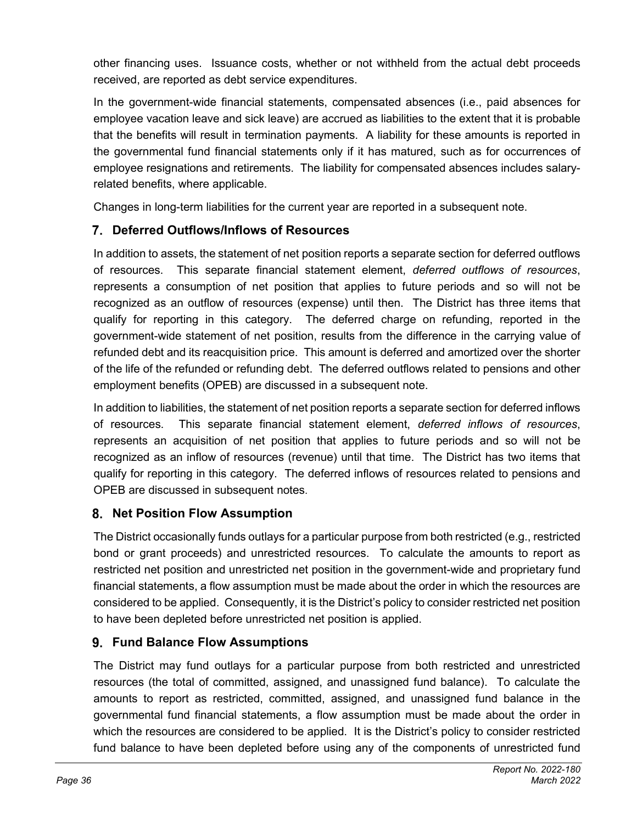other financing uses. Issuance costs, whether or not withheld from the actual debt proceeds received, are reported as debt service expenditures.

In the government-wide financial statements, compensated absences (i.e., paid absences for employee vacation leave and sick leave) are accrued as liabilities to the extent that it is probable that the benefits will result in termination payments. A liability for these amounts is reported in the governmental fund financial statements only if it has matured, such as for occurrences of employee resignations and retirements. The liability for compensated absences includes salaryrelated benefits, where applicable.

Changes in long-term liabilities for the current year are reported in a subsequent note.

## **Deferred Outflows/Inflows of Resources**

In addition to assets, the statement of net position reports a separate section for deferred outflows of resources. This separate financial statement element, *deferred outflows of resources*, represents a consumption of net position that applies to future periods and so will not be recognized as an outflow of resources (expense) until then. The District has three items that qualify for reporting in this category. The deferred charge on refunding, reported in the government-wide statement of net position, results from the difference in the carrying value of refunded debt and its reacquisition price. This amount is deferred and amortized over the shorter of the life of the refunded or refunding debt. The deferred outflows related to pensions and other employment benefits (OPEB) are discussed in a subsequent note.

In addition to liabilities, the statement of net position reports a separate section for deferred inflows of resources. This separate financial statement element, *deferred inflows of resources*, represents an acquisition of net position that applies to future periods and so will not be recognized as an inflow of resources (revenue) until that time. The District has two items that qualify for reporting in this category. The deferred inflows of resources related to pensions and OPEB are discussed in subsequent notes.

## **Net Position Flow Assumption**

The District occasionally funds outlays for a particular purpose from both restricted (e.g., restricted bond or grant proceeds) and unrestricted resources. To calculate the amounts to report as restricted net position and unrestricted net position in the government-wide and proprietary fund financial statements, a flow assumption must be made about the order in which the resources are considered to be applied. Consequently, it is the District's policy to consider restricted net position to have been depleted before unrestricted net position is applied.

## **Fund Balance Flow Assumptions**

The District may fund outlays for a particular purpose from both restricted and unrestricted resources (the total of committed, assigned, and unassigned fund balance). To calculate the amounts to report as restricted, committed, assigned, and unassigned fund balance in the governmental fund financial statements, a flow assumption must be made about the order in which the resources are considered to be applied. It is the District's policy to consider restricted fund balance to have been depleted before using any of the components of unrestricted fund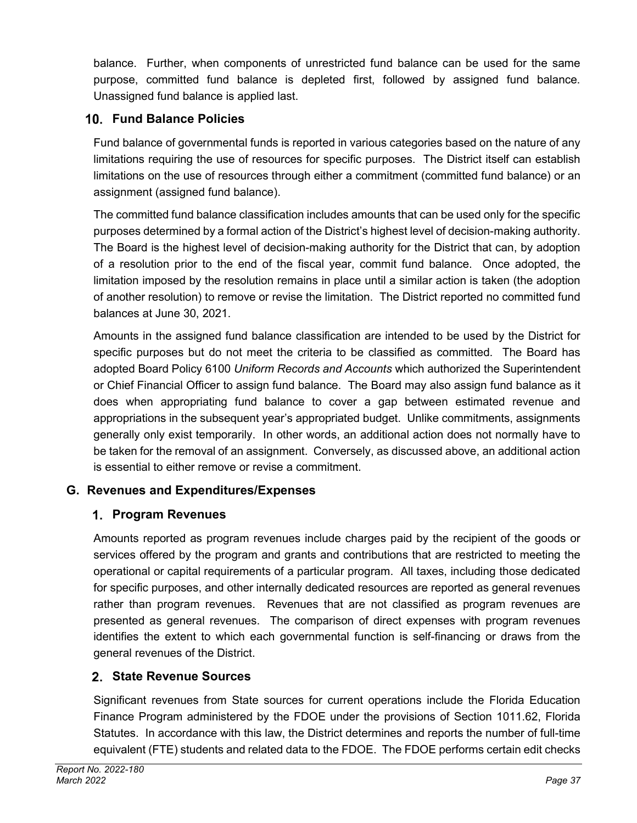balance. Further, when components of unrestricted fund balance can be used for the same purpose, committed fund balance is depleted first, followed by assigned fund balance. Unassigned fund balance is applied last.

# **Fund Balance Policies**

Fund balance of governmental funds is reported in various categories based on the nature of any limitations requiring the use of resources for specific purposes. The District itself can establish limitations on the use of resources through either a commitment (committed fund balance) or an assignment (assigned fund balance).

The committed fund balance classification includes amounts that can be used only for the specific purposes determined by a formal action of the District's highest level of decision-making authority. The Board is the highest level of decision-making authority for the District that can, by adoption of a resolution prior to the end of the fiscal year, commit fund balance. Once adopted, the limitation imposed by the resolution remains in place until a similar action is taken (the adoption of another resolution) to remove or revise the limitation. The District reported no committed fund balances at June 30, 2021.

Amounts in the assigned fund balance classification are intended to be used by the District for specific purposes but do not meet the criteria to be classified as committed. The Board has adopted Board Policy 6100 *Uniform Records and Accounts* which authorized the Superintendent or Chief Financial Officer to assign fund balance. The Board may also assign fund balance as it does when appropriating fund balance to cover a gap between estimated revenue and appropriations in the subsequent year's appropriated budget. Unlike commitments, assignments generally only exist temporarily. In other words, an additional action does not normally have to be taken for the removal of an assignment. Conversely, as discussed above, an additional action is essential to either remove or revise a commitment.

## **G. Revenues and Expenditures/Expenses**

## **Program Revenues**

Amounts reported as program revenues include charges paid by the recipient of the goods or services offered by the program and grants and contributions that are restricted to meeting the operational or capital requirements of a particular program. All taxes, including those dedicated for specific purposes, and other internally dedicated resources are reported as general revenues rather than program revenues. Revenues that are not classified as program revenues are presented as general revenues. The comparison of direct expenses with program revenues identifies the extent to which each governmental function is self-financing or draws from the general revenues of the District.

# **State Revenue Sources**

Significant revenues from State sources for current operations include the Florida Education Finance Program administered by the FDOE under the provisions of Section 1011.62, Florida Statutes. In accordance with this law, the District determines and reports the number of full-time equivalent (FTE) students and related data to the FDOE. The FDOE performs certain edit checks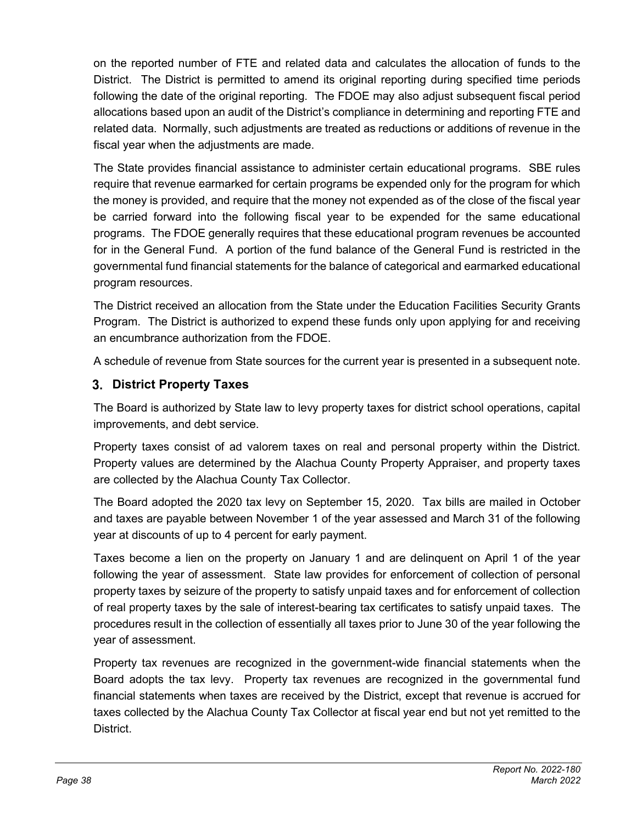on the reported number of FTE and related data and calculates the allocation of funds to the District. The District is permitted to amend its original reporting during specified time periods following the date of the original reporting. The FDOE may also adjust subsequent fiscal period allocations based upon an audit of the District's compliance in determining and reporting FTE and related data. Normally, such adjustments are treated as reductions or additions of revenue in the fiscal year when the adjustments are made.

The State provides financial assistance to administer certain educational programs. SBE rules require that revenue earmarked for certain programs be expended only for the program for which the money is provided, and require that the money not expended as of the close of the fiscal year be carried forward into the following fiscal year to be expended for the same educational programs. The FDOE generally requires that these educational program revenues be accounted for in the General Fund. A portion of the fund balance of the General Fund is restricted in the governmental fund financial statements for the balance of categorical and earmarked educational program resources.

The District received an allocation from the State under the Education Facilities Security Grants Program. The District is authorized to expend these funds only upon applying for and receiving an encumbrance authorization from the FDOE.

A schedule of revenue from State sources for the current year is presented in a subsequent note.

## **District Property Taxes**

The Board is authorized by State law to levy property taxes for district school operations, capital improvements, and debt service.

Property taxes consist of ad valorem taxes on real and personal property within the District. Property values are determined by the Alachua County Property Appraiser, and property taxes are collected by the Alachua County Tax Collector.

The Board adopted the 2020 tax levy on September 15, 2020. Tax bills are mailed in October and taxes are payable between November 1 of the year assessed and March 31 of the following year at discounts of up to 4 percent for early payment.

Taxes become a lien on the property on January 1 and are delinquent on April 1 of the year following the year of assessment. State law provides for enforcement of collection of personal property taxes by seizure of the property to satisfy unpaid taxes and for enforcement of collection of real property taxes by the sale of interest-bearing tax certificates to satisfy unpaid taxes. The procedures result in the collection of essentially all taxes prior to June 30 of the year following the year of assessment.

Property tax revenues are recognized in the government-wide financial statements when the Board adopts the tax levy. Property tax revenues are recognized in the governmental fund financial statements when taxes are received by the District, except that revenue is accrued for taxes collected by the Alachua County Tax Collector at fiscal year end but not yet remitted to the District.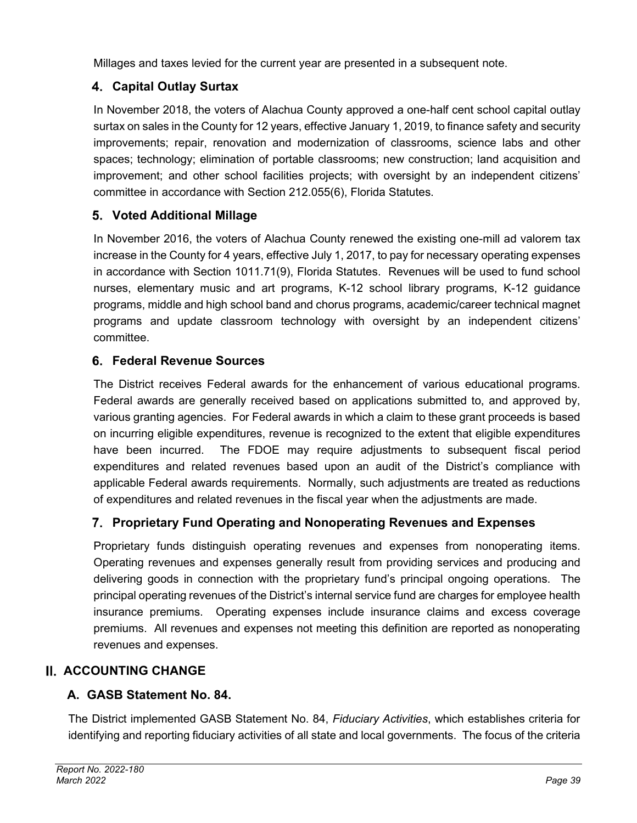Millages and taxes levied for the current year are presented in a subsequent note.

# **Capital Outlay Surtax**

In November 2018, the voters of Alachua County approved a one-half cent school capital outlay surtax on sales in the County for 12 years, effective January 1, 2019, to finance safety and security improvements; repair, renovation and modernization of classrooms, science labs and other spaces; technology; elimination of portable classrooms; new construction; land acquisition and improvement; and other school facilities projects; with oversight by an independent citizens' committee in accordance with Section 212.055(6), Florida Statutes.

# **Voted Additional Millage**

In November 2016, the voters of Alachua County renewed the existing one-mill ad valorem tax increase in the County for 4 years, effective July 1, 2017, to pay for necessary operating expenses in accordance with Section 1011.71(9), Florida Statutes. Revenues will be used to fund school nurses, elementary music and art programs, K-12 school library programs, K-12 guidance programs, middle and high school band and chorus programs, academic/career technical magnet programs and update classroom technology with oversight by an independent citizens' committee.

# **Federal Revenue Sources**

The District receives Federal awards for the enhancement of various educational programs. Federal awards are generally received based on applications submitted to, and approved by, various granting agencies. For Federal awards in which a claim to these grant proceeds is based on incurring eligible expenditures, revenue is recognized to the extent that eligible expenditures have been incurred. The FDOE may require adjustments to subsequent fiscal period expenditures and related revenues based upon an audit of the District's compliance with applicable Federal awards requirements. Normally, such adjustments are treated as reductions of expenditures and related revenues in the fiscal year when the adjustments are made.

# **Proprietary Fund Operating and Nonoperating Revenues and Expenses**

Proprietary funds distinguish operating revenues and expenses from nonoperating items. Operating revenues and expenses generally result from providing services and producing and delivering goods in connection with the proprietary fund's principal ongoing operations. The principal operating revenues of the District's internal service fund are charges for employee health insurance premiums. Operating expenses include insurance claims and excess coverage premiums. All revenues and expenses not meeting this definition are reported as nonoperating revenues and expenses.

## **ACCOUNTING CHANGE**

# **A. GASB Statement No. 84.**

The District implemented GASB Statement No. 84, *Fiduciary Activities*, which establishes criteria for identifying and reporting fiduciary activities of all state and local governments. The focus of the criteria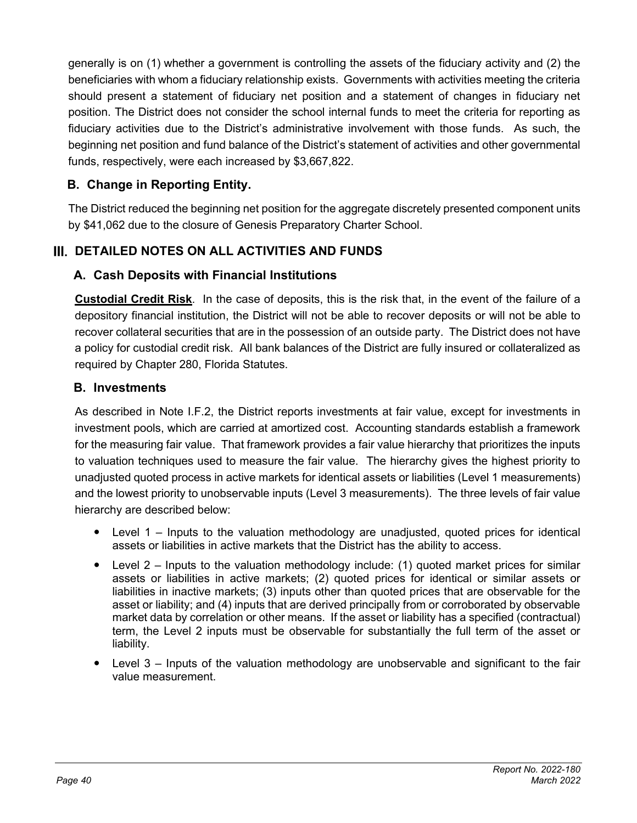generally is on (1) whether a government is controlling the assets of the fiduciary activity and (2) the beneficiaries with whom a fiduciary relationship exists. Governments with activities meeting the criteria should present a statement of fiduciary net position and a statement of changes in fiduciary net position. The District does not consider the school internal funds to meet the criteria for reporting as fiduciary activities due to the District's administrative involvement with those funds. As such, the beginning net position and fund balance of the District's statement of activities and other governmental funds, respectively, were each increased by \$3,667,822.

## **B. Change in Reporting Entity.**

The District reduced the beginning net position for the aggregate discretely presented component units by \$41,062 due to the closure of Genesis Preparatory Charter School.

## **III. DETAILED NOTES ON ALL ACTIVITIES AND FUNDS**

#### **A. Cash Deposits with Financial Institutions**

**Custodial Credit Risk**. In the case of deposits, this is the risk that, in the event of the failure of a depository financial institution, the District will not be able to recover deposits or will not be able to recover collateral securities that are in the possession of an outside party. The District does not have a policy for custodial credit risk. All bank balances of the District are fully insured or collateralized as required by Chapter 280, Florida Statutes.

#### **B. Investments**

As described in Note I.F.2, the District reports investments at fair value, except for investments in investment pools, which are carried at amortized cost. Accounting standards establish a framework for the measuring fair value. That framework provides a fair value hierarchy that prioritizes the inputs to valuation techniques used to measure the fair value. The hierarchy gives the highest priority to unadjusted quoted process in active markets for identical assets or liabilities (Level 1 measurements) and the lowest priority to unobservable inputs (Level 3 measurements). The three levels of fair value hierarchy are described below:

- Level 1 Inputs to the valuation methodology are unadjusted, quoted prices for identical assets or liabilities in active markets that the District has the ability to access.
- Level 2 Inputs to the valuation methodology include: (1) quoted market prices for similar assets or liabilities in active markets; (2) quoted prices for identical or similar assets or liabilities in inactive markets; (3) inputs other than quoted prices that are observable for the asset or liability; and (4) inputs that are derived principally from or corroborated by observable market data by correlation or other means. If the asset or liability has a specified (contractual) term, the Level 2 inputs must be observable for substantially the full term of the asset or liability.
- Level 3 Inputs of the valuation methodology are unobservable and significant to the fair value measurement.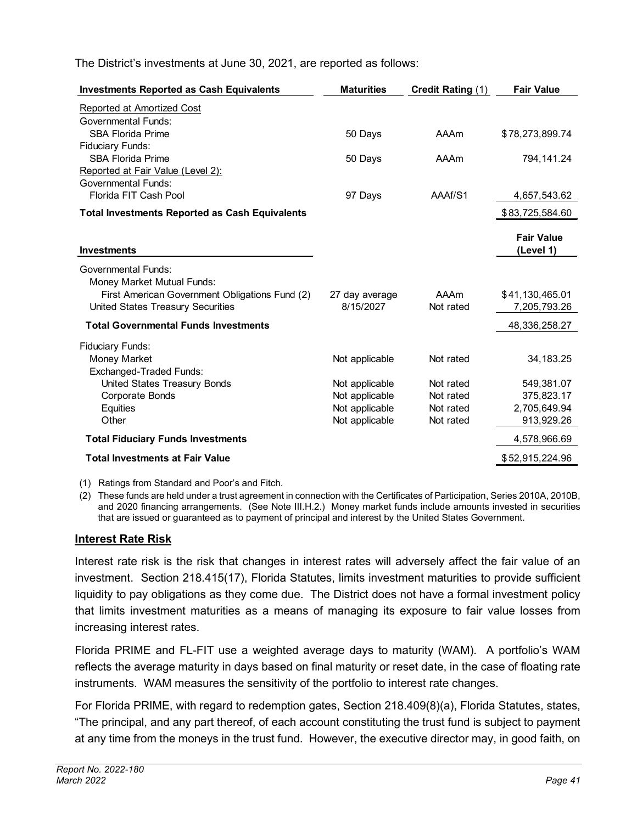The District's investments at June 30, 2021, are reported as follows:

| <b>Investments Reported as Cash Equivalents</b>       | <b>Maturities</b> | <b>Credit Rating (1)</b> | <b>Fair Value</b> |
|-------------------------------------------------------|-------------------|--------------------------|-------------------|
| Reported at Amortized Cost                            |                   |                          |                   |
| <b>Governmental Funds:</b>                            |                   |                          |                   |
| <b>SBA Florida Prime</b>                              | 50 Days           | AAAm                     | \$78,273,899.74   |
| <b>Fiduciary Funds:</b>                               |                   |                          |                   |
| <b>SBA Florida Prime</b>                              | 50 Days           | AAAm                     | 794,141.24        |
| Reported at Fair Value (Level 2):                     |                   |                          |                   |
| Governmental Funds:                                   |                   |                          |                   |
| Florida FIT Cash Pool                                 | 97 Days           | AAAf/S1                  | 4,657,543.62      |
| <b>Total Investments Reported as Cash Equivalents</b> |                   |                          | \$83,725,584.60   |
|                                                       |                   |                          |                   |
|                                                       |                   |                          | <b>Fair Value</b> |
| <b>Investments</b>                                    |                   |                          | (Level 1)         |
| Governmental Funds:                                   |                   |                          |                   |
| Money Market Mutual Funds:                            |                   |                          |                   |
| First American Government Obligations Fund (2)        | 27 day average    | AAAm                     | \$41,130,465.01   |
| United States Treasury Securities                     | 8/15/2027         | Not rated                | 7,205,793.26      |
| <b>Total Governmental Funds Investments</b>           |                   |                          | 48,336,258.27     |
| <b>Fiduciary Funds:</b>                               |                   |                          |                   |
| Money Market                                          | Not applicable    | Not rated                | 34, 183. 25       |
| Exchanged-Traded Funds:                               |                   |                          |                   |
| United States Treasury Bonds                          | Not applicable    | Not rated                | 549,381.07        |
| <b>Corporate Bonds</b>                                | Not applicable    | Not rated                | 375,823.17        |
| Equities                                              | Not applicable    | Not rated                | 2,705,649.94      |
| Other                                                 | Not applicable    | Not rated                | 913,929.26        |
| <b>Total Fiduciary Funds Investments</b>              |                   |                          | 4,578,966.69      |
| <b>Total Investments at Fair Value</b>                |                   |                          | \$52,915,224.96   |
|                                                       |                   |                          |                   |

(1) Ratings from Standard and Poor's and Fitch.

(2) These funds are held under a trust agreement in connection with the Certificates of Participation, Series 2010A, 2010B, and 2020 financing arrangements. (See Note III.H.2.) Money market funds include amounts invested in securities that are issued or guaranteed as to payment of principal and interest by the United States Government.

#### **Interest Rate Risk**

Interest rate risk is the risk that changes in interest rates will adversely affect the fair value of an investment. Section 218.415(17), Florida Statutes, limits investment maturities to provide sufficient liquidity to pay obligations as they come due. The District does not have a formal investment policy that limits investment maturities as a means of managing its exposure to fair value losses from increasing interest rates.

Florida PRIME and FL-FIT use a weighted average days to maturity (WAM). A portfolio's WAM reflects the average maturity in days based on final maturity or reset date, in the case of floating rate instruments. WAM measures the sensitivity of the portfolio to interest rate changes.

For Florida PRIME, with regard to redemption gates, Section 218.409(8)(a), Florida Statutes, states, "The principal, and any part thereof, of each account constituting the trust fund is subject to payment at any time from the moneys in the trust fund. However, the executive director may, in good faith, on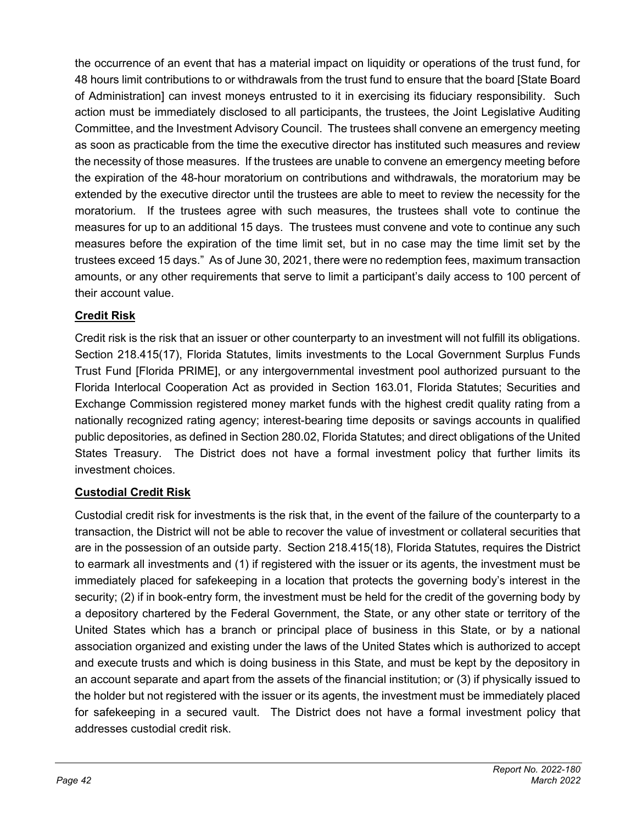the occurrence of an event that has a material impact on liquidity or operations of the trust fund, for 48 hours limit contributions to or withdrawals from the trust fund to ensure that the board [State Board of Administration] can invest moneys entrusted to it in exercising its fiduciary responsibility. Such action must be immediately disclosed to all participants, the trustees, the Joint Legislative Auditing Committee, and the Investment Advisory Council. The trustees shall convene an emergency meeting as soon as practicable from the time the executive director has instituted such measures and review the necessity of those measures. If the trustees are unable to convene an emergency meeting before the expiration of the 48-hour moratorium on contributions and withdrawals, the moratorium may be extended by the executive director until the trustees are able to meet to review the necessity for the moratorium. If the trustees agree with such measures, the trustees shall vote to continue the measures for up to an additional 15 days. The trustees must convene and vote to continue any such measures before the expiration of the time limit set, but in no case may the time limit set by the trustees exceed 15 days." As of June 30, 2021, there were no redemption fees, maximum transaction amounts, or any other requirements that serve to limit a participant's daily access to 100 percent of their account value.

#### **Credit Risk**

Credit risk is the risk that an issuer or other counterparty to an investment will not fulfill its obligations. Section 218.415(17), Florida Statutes, limits investments to the Local Government Surplus Funds Trust Fund [Florida PRIME], or any intergovernmental investment pool authorized pursuant to the Florida Interlocal Cooperation Act as provided in Section 163.01, Florida Statutes; Securities and Exchange Commission registered money market funds with the highest credit quality rating from a nationally recognized rating agency; interest-bearing time deposits or savings accounts in qualified public depositories, as defined in Section 280.02, Florida Statutes; and direct obligations of the United States Treasury. The District does not have a formal investment policy that further limits its investment choices.

#### **Custodial Credit Risk**

Custodial credit risk for investments is the risk that, in the event of the failure of the counterparty to a transaction, the District will not be able to recover the value of investment or collateral securities that are in the possession of an outside party. Section 218.415(18), Florida Statutes, requires the District to earmark all investments and (1) if registered with the issuer or its agents, the investment must be immediately placed for safekeeping in a location that protects the governing body's interest in the security; (2) if in book-entry form, the investment must be held for the credit of the governing body by a depository chartered by the Federal Government, the State, or any other state or territory of the United States which has a branch or principal place of business in this State, or by a national association organized and existing under the laws of the United States which is authorized to accept and execute trusts and which is doing business in this State, and must be kept by the depository in an account separate and apart from the assets of the financial institution; or (3) if physically issued to the holder but not registered with the issuer or its agents, the investment must be immediately placed for safekeeping in a secured vault. The District does not have a formal investment policy that addresses custodial credit risk.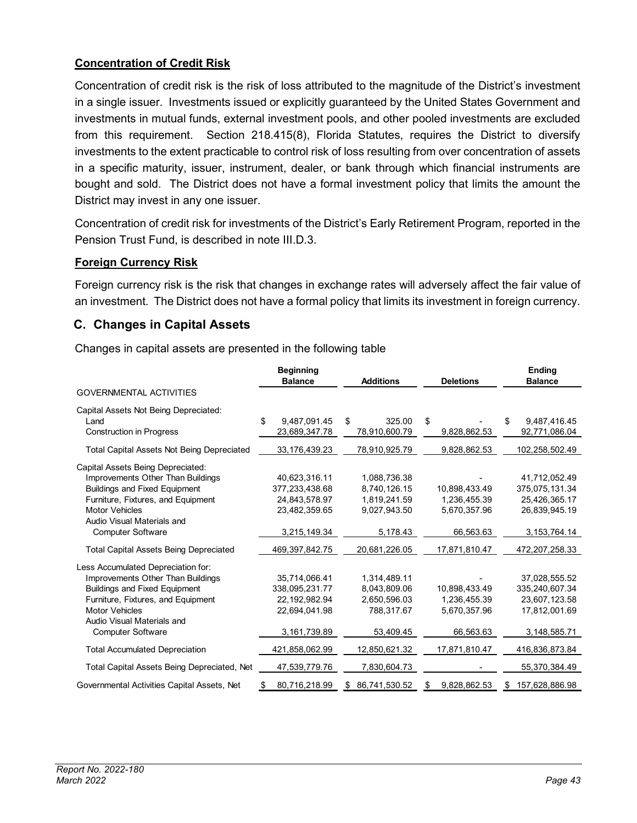#### **Concentration of Credit Risk**

Concentration of credit risk is the risk of loss attributed to the magnitude of the District's investment in a single issuer. Investments issued or explicitly guaranteed by the United States Government and investments in mutual funds, external investment pools, and other pooled investments are excluded from this requirement. Section 218.415(8), Florida Statutes, requires the District to diversify investments to the extent practicable to control risk of loss resulting from over concentration of assets in a specific maturity, issuer, instrument, dealer, or bank through which financial instruments are bought and sold. The District does not have a formal investment policy that limits the amount the District may invest in any one issuer.

Concentration of credit risk for investments of the District's Early Retirement Program, reported in the Pension Trust Fund, is described in note III.D.3.

#### **Foreign Currency Risk**

Foreign currency risk is the risk that changes in exchange rates will adversely affect the fair value of an investment. The District does not have a formal policy that limits its investment in foreign currency.

#### **C. Changes in Capital Assets**

Changes in capital assets are presented in the following table

|                                                   | <b>Beginning</b><br><b>Balance</b> | <b>Additions</b>    | <b>Deletions</b>   | <b>Ending</b><br><b>Balance</b> |
|---------------------------------------------------|------------------------------------|---------------------|--------------------|---------------------------------|
| <b>GOVERNMENTAL ACTIVITIES</b>                    |                                    |                     |                    |                                 |
| Capital Assets Not Being Depreciated:             |                                    |                     |                    |                                 |
| Land                                              | \$<br>9,487,091.45                 | \$<br>325.00        | \$                 | \$.<br>9,487,416.45             |
| <b>Construction in Progress</b>                   | 23,689,347.78                      | 78,910,600.79       | 9,828,862.53       | 92,771,086.04                   |
| <b>Total Capital Assets Not Being Depreciated</b> | 33, 176, 439. 23                   | 78,910,925.79       | 9,828,862.53       | 102,258,502.49                  |
| Capital Assets Being Depreciated:                 |                                    |                     |                    |                                 |
| Improvements Other Than Buildings                 | 40,623,316.11                      | 1,088,736.38        |                    | 41,712,052.49                   |
| <b>Buildings and Fixed Equipment</b>              | 377,233,438.68                     | 8,740,126.15        | 10.898.433.49      | 375,075,131.34                  |
| Furniture, Fixtures, and Equipment                | 24,843,578.97                      | 1,819,241.59        | 1,236,455.39       | 25,426,365.17                   |
| <b>Motor Vehicles</b>                             | 23,482,359.65                      | 9,027,943.50        | 5,670,357.96       | 26,839,945.19                   |
| Audio Visual Materials and                        |                                    |                     |                    |                                 |
| <b>Computer Software</b>                          | 3,215,149.34                       | 5,178.43            | 66,563.63          | 3, 153, 764, 14                 |
| <b>Total Capital Assets Being Depreciated</b>     | 469,397,842.75                     | 20,681,226.05       | 17,871,810.47      | 472,207,258.33                  |
| Less Accumulated Depreciation for:                |                                    |                     |                    |                                 |
| Improvements Other Than Buildings                 | 35,714,066.41                      | 1,314,489.11        |                    | 37,028,555.52                   |
| <b>Buildings and Fixed Equipment</b>              | 338,095,231.77                     | 8,043,809.06        | 10,898,433.49      | 335,240,607.34                  |
| Furniture, Fixtures, and Equipment                | 22, 192, 982. 94                   | 2,650,596.03        | 1,236,455.39       | 23,607,123.58                   |
| <b>Motor Vehicles</b>                             | 22,694,041.98                      | 788,317.67          | 5,670,357.96       | 17,812,001.69                   |
| Audio Visual Materials and                        |                                    |                     |                    |                                 |
| <b>Computer Software</b>                          | 3, 161, 739.89                     | 53,409.45           | 66,563.63          | 3,148,585.71                    |
| <b>Total Accumulated Depreciation</b>             | 421,858,062.99                     | 12,850,621.32       | 17,871,810.47      | 416,836,873.84                  |
| Total Capital Assets Being Depreciated, Net       | 47,539,779.76                      | 7,830,604.73        |                    | 55,370,384.49                   |
| Governmental Activities Capital Assets, Net       | 80,716,218.99<br>\$                | 86,741,530.52<br>\$ | 9,828,862.53<br>\$ | 157,628,886.98<br>\$            |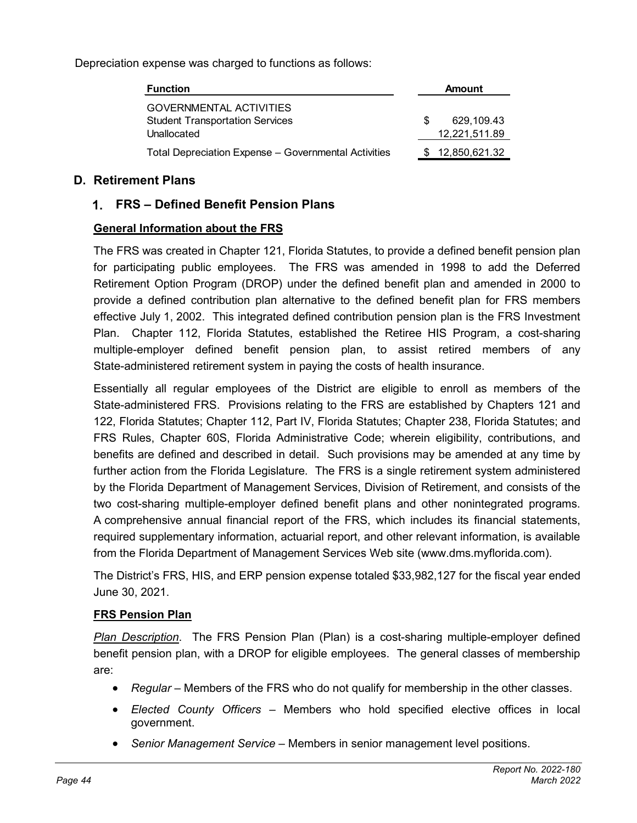Depreciation expense was charged to functions as follows:

| <b>Function</b>                                      | Amount          |
|------------------------------------------------------|-----------------|
| <b>GOVERNMENTAL ACTIVITIES</b>                       |                 |
| <b>Student Transportation Services</b>               | 629.109.43      |
| Unallocated                                          | 12,221,511.89   |
| Total Depreciation Expense - Governmental Activities | \$12,850,621.32 |

#### **D. Retirement Plans**

## **FRS – Defined Benefit Pension Plans**

#### **General Information about the FRS**

The FRS was created in Chapter 121, Florida Statutes, to provide a defined benefit pension plan for participating public employees. The FRS was amended in 1998 to add the Deferred Retirement Option Program (DROP) under the defined benefit plan and amended in 2000 to provide a defined contribution plan alternative to the defined benefit plan for FRS members effective July 1, 2002. This integrated defined contribution pension plan is the FRS Investment Plan. Chapter 112, Florida Statutes, established the Retiree HIS Program, a cost-sharing multiple-employer defined benefit pension plan, to assist retired members of any State-administered retirement system in paying the costs of health insurance.

Essentially all regular employees of the District are eligible to enroll as members of the State-administered FRS. Provisions relating to the FRS are established by Chapters 121 and 122, Florida Statutes; Chapter 112, Part IV, Florida Statutes; Chapter 238, Florida Statutes; and FRS Rules, Chapter 60S, Florida Administrative Code; wherein eligibility, contributions, and benefits are defined and described in detail. Such provisions may be amended at any time by further action from the Florida Legislature. The FRS is a single retirement system administered by the Florida Department of Management Services, Division of Retirement, and consists of the two cost-sharing multiple-employer defined benefit plans and other nonintegrated programs. A comprehensive annual financial report of the FRS, which includes its financial statements, required supplementary information, actuarial report, and other relevant information, is available from the Florida Department of Management Services Web site (www.dms.myflorida.com).

The District's FRS, HIS, and ERP pension expense totaled \$33,982,127 for the fiscal year ended June 30, 2021.

#### **FRS Pension Plan**

*Plan Description*. The FRS Pension Plan (Plan) is a cost-sharing multiple-employer defined benefit pension plan, with a DROP for eligible employees. The general classes of membership are:

- *Regular* Members of the FRS who do not qualify for membership in the other classes.
- *Elected County Officers* Members who hold specified elective offices in local government.
- *Senior Management Service*  Members in senior management level positions.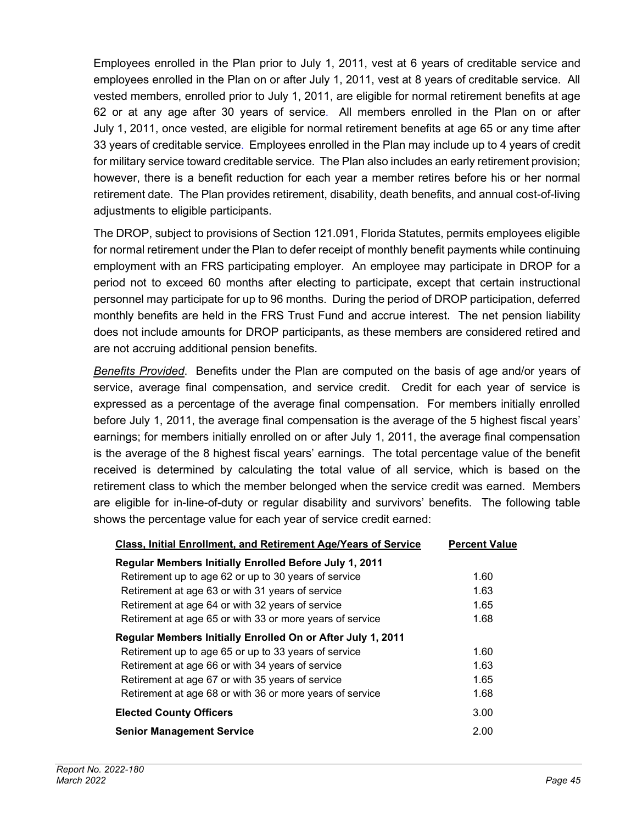Employees enrolled in the Plan prior to July 1, 2011, vest at 6 years of creditable service and employees enrolled in the Plan on or after July 1, 2011, vest at 8 years of creditable service. All vested members, enrolled prior to July 1, 2011, are eligible for normal retirement benefits at age 62 or at any age after 30 years of service. All members enrolled in the Plan on or after July 1, 2011, once vested, are eligible for normal retirement benefits at age 65 or any time after 33 years of creditable service. Employees enrolled in the Plan may include up to 4 years of credit for military service toward creditable service. The Plan also includes an early retirement provision; however, there is a benefit reduction for each year a member retires before his or her normal retirement date. The Plan provides retirement, disability, death benefits, and annual cost-of-living adjustments to eligible participants.

The DROP, subject to provisions of Section 121.091, Florida Statutes, permits employees eligible for normal retirement under the Plan to defer receipt of monthly benefit payments while continuing employment with an FRS participating employer. An employee may participate in DROP for a period not to exceed 60 months after electing to participate, except that certain instructional personnel may participate for up to 96 months. During the period of DROP participation, deferred monthly benefits are held in the FRS Trust Fund and accrue interest. The net pension liability does not include amounts for DROP participants, as these members are considered retired and are not accruing additional pension benefits.

*Benefits Provided*. Benefits under the Plan are computed on the basis of age and/or years of service, average final compensation, and service credit. Credit for each year of service is expressed as a percentage of the average final compensation. For members initially enrolled before July 1, 2011, the average final compensation is the average of the 5 highest fiscal years' earnings; for members initially enrolled on or after July 1, 2011, the average final compensation is the average of the 8 highest fiscal years' earnings. The total percentage value of the benefit received is determined by calculating the total value of all service, which is based on the retirement class to which the member belonged when the service credit was earned. Members are eligible for in-line-of-duty or regular disability and survivors' benefits. The following table shows the percentage value for each year of service credit earned:

| Class, Initial Enrollment, and Retirement Age/Years of Service | <b>Percent Value</b> |
|----------------------------------------------------------------|----------------------|
| <b>Regular Members Initially Enrolled Before July 1, 2011</b>  |                      |
| Retirement up to age 62 or up to 30 years of service           | 1.60                 |
| Retirement at age 63 or with 31 years of service               | 1.63                 |
| Retirement at age 64 or with 32 years of service               | 1.65                 |
| Retirement at age 65 or with 33 or more years of service       | 1.68                 |
| Regular Members Initially Enrolled On or After July 1, 2011    |                      |
| Retirement up to age 65 or up to 33 years of service           | 1.60                 |
| Retirement at age 66 or with 34 years of service               | 1.63                 |
| Retirement at age 67 or with 35 years of service               | 1.65                 |
| Retirement at age 68 or with 36 or more years of service       | 1.68                 |
| <b>Elected County Officers</b>                                 | 3.00                 |
| <b>Senior Management Service</b>                               | 2.00                 |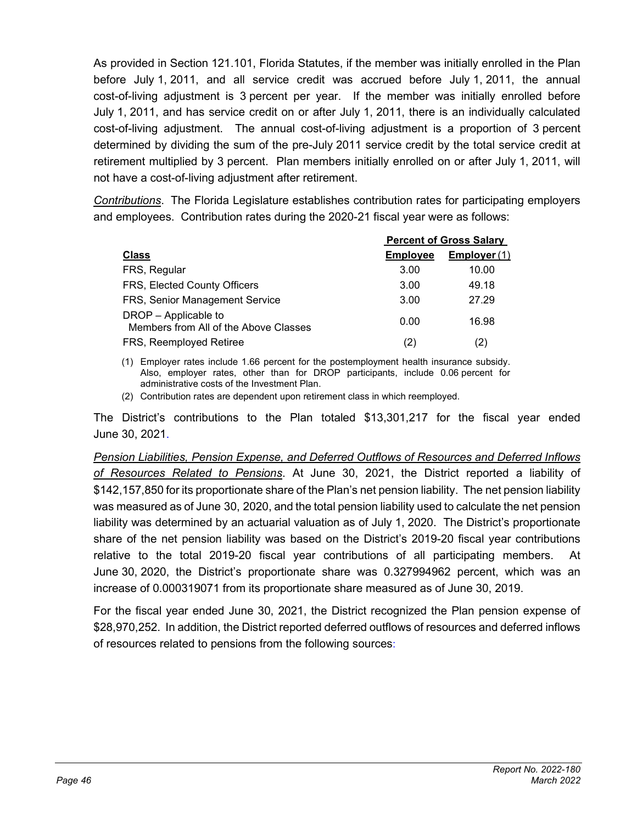As provided in Section 121.101, Florida Statutes, if the member was initially enrolled in the Plan before July 1, 2011, and all service credit was accrued before July 1, 2011, the annual cost-of-living adjustment is 3 percent per year. If the member was initially enrolled before July 1, 2011, and has service credit on or after July 1, 2011, there is an individually calculated cost-of-living adjustment. The annual cost-of-living adjustment is a proportion of 3 percent determined by dividing the sum of the pre-July 2011 service credit by the total service credit at retirement multiplied by 3 percent. Plan members initially enrolled on or after July 1, 2011, will not have a cost-of-living adjustment after retirement.

*Contributions*. The Florida Legislature establishes contribution rates for participating employers and employees. Contribution rates during the 2020-21 fiscal year were as follows:

|                                                               |                 | <b>Percent of Gross Salary</b> |  |  |
|---------------------------------------------------------------|-----------------|--------------------------------|--|--|
| <b>Class</b>                                                  | <b>Employee</b> | Emplover(1)                    |  |  |
| FRS, Regular                                                  | 3.00            | 10.00                          |  |  |
| FRS, Elected County Officers                                  | 3.00            | 49.18                          |  |  |
| FRS, Senior Management Service                                | 3.00            | 27.29                          |  |  |
| DROP - Applicable to<br>Members from All of the Above Classes | 0.00            | 16.98                          |  |  |
| FRS, Reemployed Retiree                                       | (2)             | (2)                            |  |  |

(1) Employer rates include 1.66 percent for the postemployment health insurance subsidy. Also, employer rates, other than for DROP participants, include 0.06 percent for administrative costs of the Investment Plan.

(2) Contribution rates are dependent upon retirement class in which reemployed.

The District's contributions to the Plan totaled \$13,301,217 for the fiscal year ended June 30, 2021.

*Pension Liabilities, Pension Expense, and Deferred Outflows of Resources and Deferred Inflows of Resources Related to Pensions*. At June 30, 2021, the District reported a liability of \$142,157,850 for its proportionate share of the Plan's net pension liability. The net pension liability was measured as of June 30, 2020, and the total pension liability used to calculate the net pension liability was determined by an actuarial valuation as of July 1, 2020. The District's proportionate share of the net pension liability was based on the District's 2019-20 fiscal year contributions relative to the total 2019-20 fiscal year contributions of all participating members. At June 30, 2020, the District's proportionate share was 0.327994962 percent, which was an increase of 0.000319071 from its proportionate share measured as of June 30, 2019.

For the fiscal year ended June 30, 2021, the District recognized the Plan pension expense of \$28,970,252. In addition, the District reported deferred outflows of resources and deferred inflows of resources related to pensions from the following sources: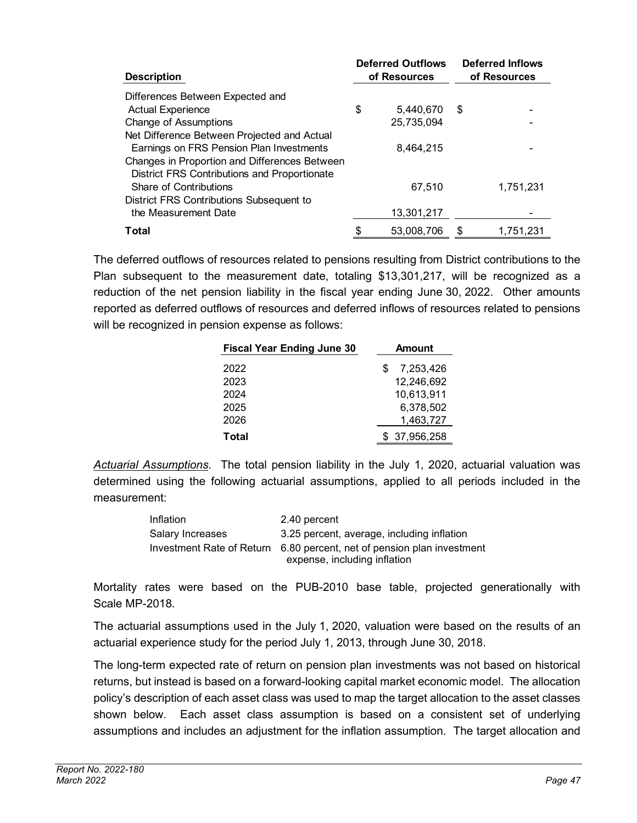|                                               |              | <b>Deferred Outflows</b> |              | <b>Deferred Inflows</b> |
|-----------------------------------------------|--------------|--------------------------|--------------|-------------------------|
| <b>Description</b>                            | of Resources |                          | of Resources |                         |
| Differences Between Expected and              |              |                          |              |                         |
| <b>Actual Experience</b>                      | \$           | 5,440,670                | S            |                         |
| <b>Change of Assumptions</b>                  |              | 25,735,094               |              |                         |
| Net Difference Between Projected and Actual   |              |                          |              |                         |
| Earnings on FRS Pension Plan Investments      |              | 8.464.215                |              |                         |
| Changes in Proportion and Differences Between |              |                          |              |                         |
| District FRS Contributions and Proportionate  |              |                          |              |                         |
| Share of Contributions                        |              | 67,510                   |              | 1,751,231               |
| District FRS Contributions Subsequent to      |              |                          |              |                         |
| the Measurement Date                          |              | 13,301,217               |              |                         |
| Total                                         |              | 53.008.706               | S            | 1.751.231               |

The deferred outflows of resources related to pensions resulting from District contributions to the Plan subsequent to the measurement date, totaling \$13,301,217, will be recognized as a reduction of the net pension liability in the fiscal year ending June 30, 2022. Other amounts reported as deferred outflows of resources and deferred inflows of resources related to pensions will be recognized in pension expense as follows:

| <b>Fiscal Year Ending June 30</b> | Amount          |
|-----------------------------------|-----------------|
| 2022                              | 7,253,426<br>\$ |
| 2023                              | 12,246,692      |
| 2024                              | 10,613,911      |
| 2025                              | 6,378,502       |
| 2026                              | 1,463,727       |
| Total                             | \$37,956,258    |

*Actuarial Assumptions*. The total pension liability in the July 1, 2020, actuarial valuation was determined using the following actuarial assumptions, applied to all periods included in the measurement:

| Inflation        | 2.40 percent                                                           |
|------------------|------------------------------------------------------------------------|
| Salary Increases | 3.25 percent, average, including inflation                             |
|                  | Investment Rate of Return 6.80 percent, net of pension plan investment |
|                  | expense, including inflation                                           |

Mortality rates were based on the PUB-2010 base table, projected generationally with Scale MP-2018.

The actuarial assumptions used in the July 1, 2020, valuation were based on the results of an actuarial experience study for the period July 1, 2013, through June 30, 2018.

The long-term expected rate of return on pension plan investments was not based on historical returns, but instead is based on a forward-looking capital market economic model. The allocation policy's description of each asset class was used to map the target allocation to the asset classes shown below. Each asset class assumption is based on a consistent set of underlying assumptions and includes an adjustment for the inflation assumption. The target allocation and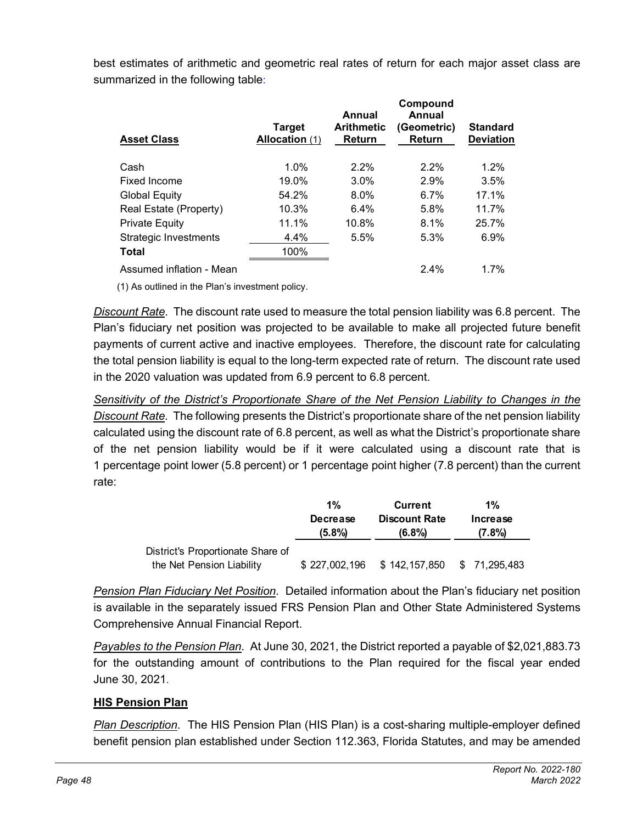best estimates of arithmetic and geometric real rates of return for each major asset class are summarized in the following table:

| <b>Target</b><br><b>Allocation (1)</b> | Annual<br><b>Arithmetic</b><br>Return | Compound<br>Annual<br>(Geometric)<br>Return | <b>Standard</b><br><b>Deviation</b> |
|----------------------------------------|---------------------------------------|---------------------------------------------|-------------------------------------|
| 1.0%                                   | $2.2\%$                               | $2.2\%$                                     | 1.2%                                |
| 19.0%                                  | 3.0%                                  | 2.9%                                        | 3.5%                                |
| 54.2%                                  | 8.0%                                  | 6.7%                                        | 17.1%                               |
| 10.3%                                  | 6.4%                                  | 5.8%                                        | 11.7%                               |
| 11.1%                                  | 10.8%                                 | 8.1%                                        | 25.7%                               |
| 4.4%                                   | 5.5%                                  | 5.3%                                        | 6.9%                                |
| 100%                                   |                                       |                                             |                                     |
|                                        |                                       | 2.4%                                        | 1.7%                                |
|                                        |                                       |                                             |                                     |

(1) As outlined in the Plan's investment policy.

*Discount Rate*. The discount rate used to measure the total pension liability was 6.8 percent. The Plan's fiduciary net position was projected to be available to make all projected future benefit payments of current active and inactive employees. Therefore, the discount rate for calculating the total pension liability is equal to the long-term expected rate of return. The discount rate used in the 2020 valuation was updated from 6.9 percent to 6.8 percent.

*Sensitivity of the District's Proportionate Share of the Net Pension Liability to Changes in the Discount Rate*. The following presents the District's proportionate share of the net pension liability calculated using the discount rate of 6.8 percent, as well as what the District's proportionate share of the net pension liability would be if it were calculated using a discount rate that is 1 percentage point lower (5.8 percent) or 1 percentage point higher (7.8 percent) than the current rate:

|                                   | 1%                           | Current                           | $1\%$                 |
|-----------------------------------|------------------------------|-----------------------------------|-----------------------|
|                                   | <b>Decrease</b><br>$(5.8\%)$ | <b>Discount Rate</b><br>$(6.8\%)$ | Increase<br>$(7.8\%)$ |
| District's Proportionate Share of |                              |                                   |                       |
| the Net Pension Liability         | \$227,002,196                | \$142,157,850                     | \$71,295,483          |

*Pension Plan Fiduciary Net Position*. Detailed information about the Plan's fiduciary net position is available in the separately issued FRS Pension Plan and Other State Administered Systems Comprehensive Annual Financial Report.

*Payables to the Pension Plan*. At June 30, 2021, the District reported a payable of \$2,021,883.73 for the outstanding amount of contributions to the Plan required for the fiscal year ended June 30, 2021.

#### **HIS Pension Plan**

*Plan Description*. The HIS Pension Plan (HIS Plan) is a cost-sharing multiple-employer defined benefit pension plan established under Section 112.363, Florida Statutes, and may be amended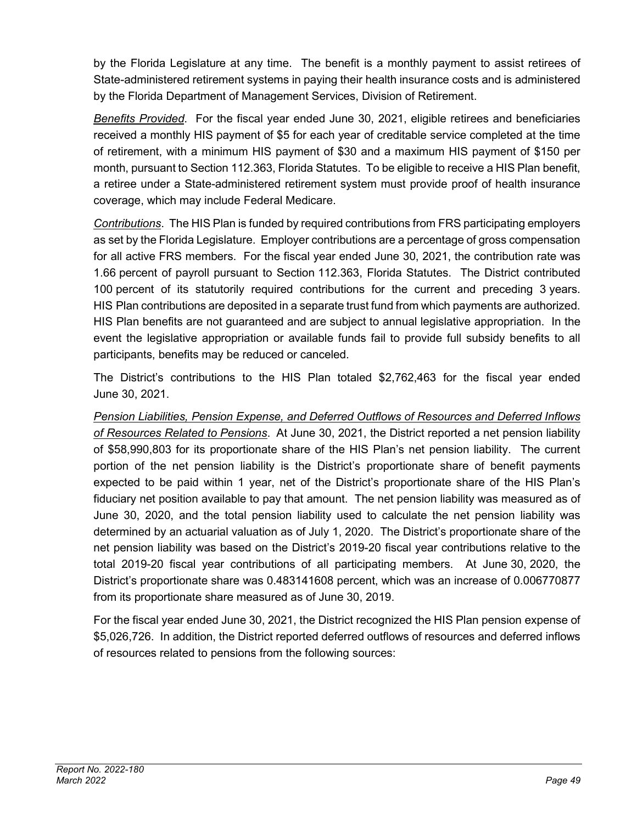by the Florida Legislature at any time. The benefit is a monthly payment to assist retirees of State-administered retirement systems in paying their health insurance costs and is administered by the Florida Department of Management Services, Division of Retirement.

*Benefits Provided*. For the fiscal year ended June 30, 2021, eligible retirees and beneficiaries received a monthly HIS payment of \$5 for each year of creditable service completed at the time of retirement, with a minimum HIS payment of \$30 and a maximum HIS payment of \$150 per month, pursuant to Section 112.363, Florida Statutes. To be eligible to receive a HIS Plan benefit, a retiree under a State-administered retirement system must provide proof of health insurance coverage, which may include Federal Medicare.

*Contributions*. The HIS Plan is funded by required contributions from FRS participating employers as set by the Florida Legislature. Employer contributions are a percentage of gross compensation for all active FRS members. For the fiscal year ended June 30, 2021, the contribution rate was 1.66 percent of payroll pursuant to Section 112.363, Florida Statutes. The District contributed 100 percent of its statutorily required contributions for the current and preceding 3 years. HIS Plan contributions are deposited in a separate trust fund from which payments are authorized. HIS Plan benefits are not guaranteed and are subject to annual legislative appropriation. In the event the legislative appropriation or available funds fail to provide full subsidy benefits to all participants, benefits may be reduced or canceled.

The District's contributions to the HIS Plan totaled \$2,762,463 for the fiscal year ended June 30, 2021.

*Pension Liabilities, Pension Expense, and Deferred Outflows of Resources and Deferred Inflows of Resources Related to Pensions*. At June 30, 2021, the District reported a net pension liability of \$58,990,803 for its proportionate share of the HIS Plan's net pension liability. The current portion of the net pension liability is the District's proportionate share of benefit payments expected to be paid within 1 year, net of the District's proportionate share of the HIS Plan's fiduciary net position available to pay that amount. The net pension liability was measured as of June 30, 2020, and the total pension liability used to calculate the net pension liability was determined by an actuarial valuation as of July 1, 2020. The District's proportionate share of the net pension liability was based on the District's 2019-20 fiscal year contributions relative to the total 2019-20 fiscal year contributions of all participating members. At June 30, 2020, the District's proportionate share was 0.483141608 percent, which was an increase of 0.006770877 from its proportionate share measured as of June 30, 2019.

For the fiscal year ended June 30, 2021, the District recognized the HIS Plan pension expense of \$5,026,726. In addition, the District reported deferred outflows of resources and deferred inflows of resources related to pensions from the following sources: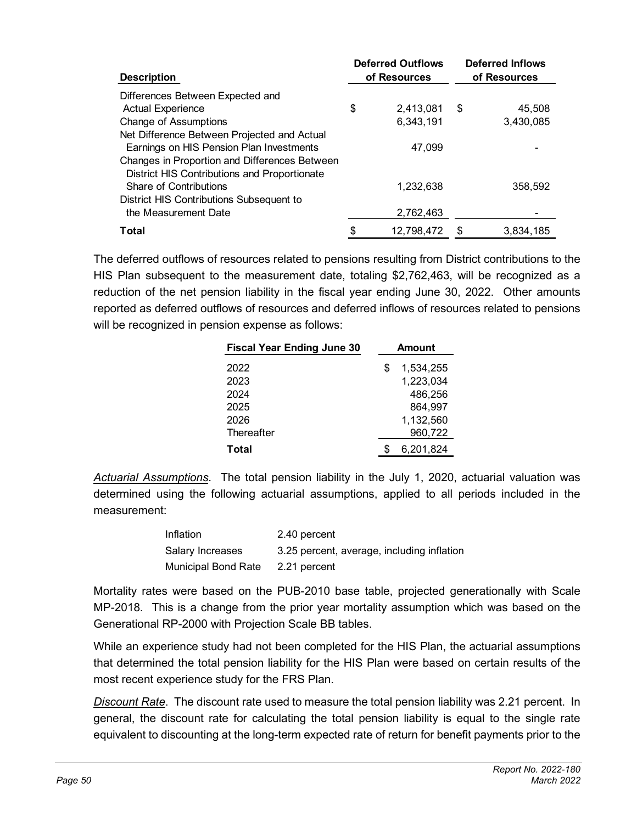|                                               |              | <b>Deferred Outflows</b> |              | <b>Deferred Inflows</b> |
|-----------------------------------------------|--------------|--------------------------|--------------|-------------------------|
| <b>Description</b>                            | of Resources |                          | of Resources |                         |
| Differences Between Expected and              |              |                          |              |                         |
| <b>Actual Experience</b>                      | \$           | 2,413,081                | \$           | 45.508                  |
| <b>Change of Assumptions</b>                  |              | 6,343,191                |              | 3,430,085               |
| Net Difference Between Projected and Actual   |              |                          |              |                         |
| Earnings on HIS Pension Plan Investments      |              | 47,099                   |              |                         |
| Changes in Proportion and Differences Between |              |                          |              |                         |
| District HIS Contributions and Proportionate  |              |                          |              |                         |
| <b>Share of Contributions</b>                 |              | 1,232,638                |              | 358,592                 |
| District HIS Contributions Subsequent to      |              |                          |              |                         |
| the Measurement Date                          |              | 2,762,463                |              |                         |
| Total                                         | \$           | 12,798,472               | \$           | 3,834,185               |

The deferred outflows of resources related to pensions resulting from District contributions to the HIS Plan subsequent to the measurement date, totaling \$2,762,463, will be recognized as a reduction of the net pension liability in the fiscal year ending June 30, 2022. Other amounts reported as deferred outflows of resources and deferred inflows of resources related to pensions will be recognized in pension expense as follows:

| <b>Fiscal Year Ending June 30</b> | Amount |           |  |
|-----------------------------------|--------|-----------|--|
| 2022                              | S      | 1,534,255 |  |
| 2023                              |        | 1,223,034 |  |
| 2024                              |        | 486,256   |  |
| 2025                              |        | 864,997   |  |
| 2026                              |        | 1,132,560 |  |
| Thereafter                        |        | 960,722   |  |
| Total                             |        | 6,201,824 |  |

*Actuarial Assumptions*. The total pension liability in the July 1, 2020, actuarial valuation was determined using the following actuarial assumptions, applied to all periods included in the measurement:

| Inflation           | 2.40 percent                               |
|---------------------|--------------------------------------------|
| Salary Increases    | 3.25 percent, average, including inflation |
| Municipal Bond Rate | 2.21 percent                               |

Mortality rates were based on the PUB-2010 base table, projected generationally with Scale MP-2018. This is a change from the prior year mortality assumption which was based on the Generational RP-2000 with Projection Scale BB tables.

While an experience study had not been completed for the HIS Plan, the actuarial assumptions that determined the total pension liability for the HIS Plan were based on certain results of the most recent experience study for the FRS Plan.

*Discount Rate*. The discount rate used to measure the total pension liability was 2.21 percent. In general, the discount rate for calculating the total pension liability is equal to the single rate equivalent to discounting at the long-term expected rate of return for benefit payments prior to the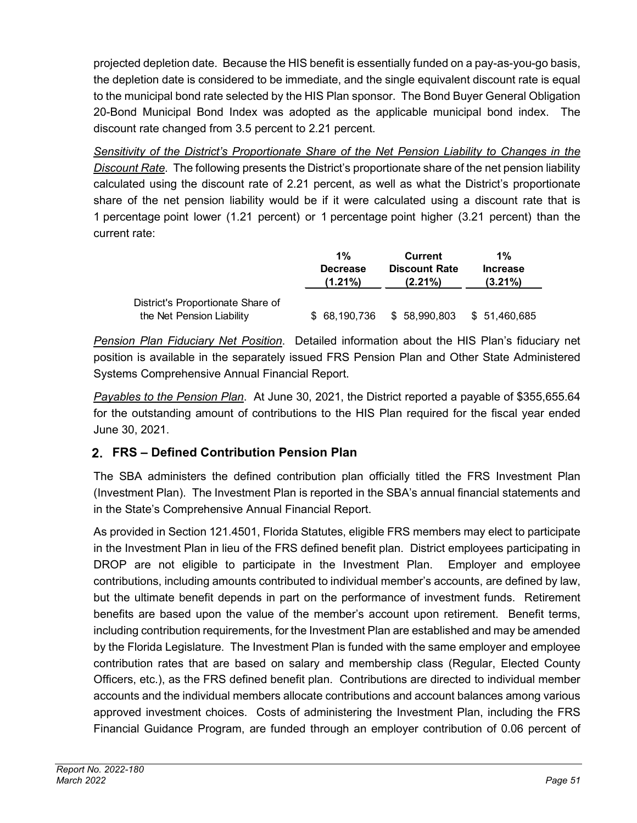projected depletion date. Because the HIS benefit is essentially funded on a pay-as-you-go basis, the depletion date is considered to be immediate, and the single equivalent discount rate is equal to the municipal bond rate selected by the HIS Plan sponsor. The Bond Buyer General Obligation 20-Bond Municipal Bond Index was adopted as the applicable municipal bond index. The discount rate changed from 3.5 percent to 2.21 percent.

*Sensitivity of the District's Proportionate Share of the Net Pension Liability to Changes in the Discount Rate*. The following presents the District's proportionate share of the net pension liability calculated using the discount rate of 2.21 percent, as well as what the District's proportionate share of the net pension liability would be if it were calculated using a discount rate that is 1 percentage point lower (1.21 percent) or 1 percentage point higher (3.21 percent) than the current rate:

|                                                                | 1%                            | <b>Current</b>                  | $1\%$                         |
|----------------------------------------------------------------|-------------------------------|---------------------------------|-------------------------------|
|                                                                | <b>Decrease</b><br>$(1.21\%)$ | <b>Discount Rate</b><br>(2.21%) | <b>Increase</b><br>$(3.21\%)$ |
| District's Proportionate Share of<br>the Net Pension Liability | \$68,190,736                  | \$58,990,803                    | \$51,460,685                  |

*Pension Plan Fiduciary Net Position*. Detailed information about the HIS Plan's fiduciary net position is available in the separately issued FRS Pension Plan and Other State Administered Systems Comprehensive Annual Financial Report.

*Payables to the Pension Plan*. At June 30, 2021, the District reported a payable of \$355,655.64 for the outstanding amount of contributions to the HIS Plan required for the fiscal year ended June 30, 2021.

# **FRS – Defined Contribution Pension Plan**

The SBA administers the defined contribution plan officially titled the FRS Investment Plan (Investment Plan). The Investment Plan is reported in the SBA's annual financial statements and in the State's Comprehensive Annual Financial Report.

As provided in Section 121.4501, Florida Statutes, eligible FRS members may elect to participate in the Investment Plan in lieu of the FRS defined benefit plan. District employees participating in DROP are not eligible to participate in the Investment Plan. Employer and employee contributions, including amounts contributed to individual member's accounts, are defined by law, but the ultimate benefit depends in part on the performance of investment funds. Retirement benefits are based upon the value of the member's account upon retirement. Benefit terms, including contribution requirements, for the Investment Plan are established and may be amended by the Florida Legislature. The Investment Plan is funded with the same employer and employee contribution rates that are based on salary and membership class (Regular, Elected County Officers, etc.), as the FRS defined benefit plan. Contributions are directed to individual member accounts and the individual members allocate contributions and account balances among various approved investment choices. Costs of administering the Investment Plan, including the FRS Financial Guidance Program, are funded through an employer contribution of 0.06 percent of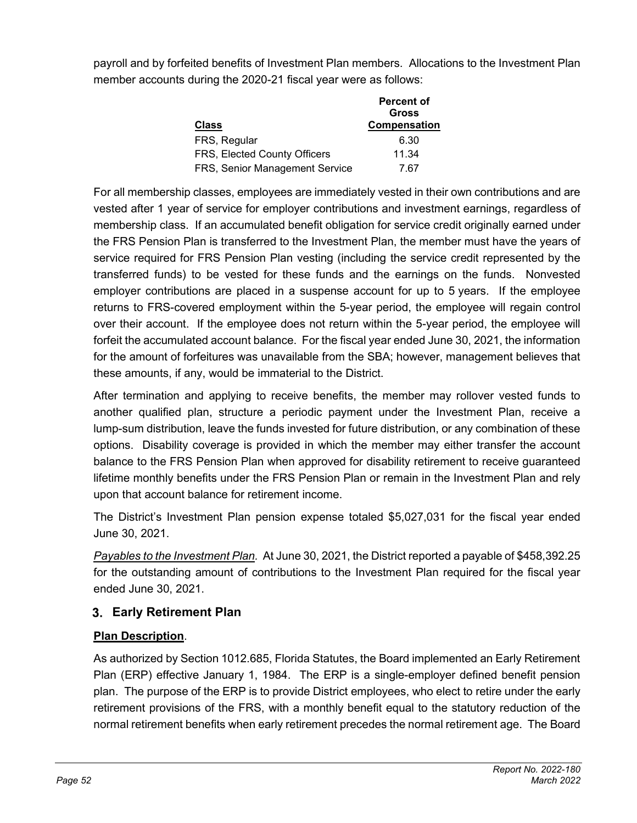payroll and by forfeited benefits of Investment Plan members. Allocations to the Investment Plan member accounts during the 2020-21 fiscal year were as follows:

|                                | <b>Percent of</b> |
|--------------------------------|-------------------|
|                                | Gross             |
| Class                          | Compensation      |
| FRS, Regular                   | 6.30              |
| FRS, Elected County Officers   | 11.34             |
| FRS, Senior Management Service | 7.67              |

For all membership classes, employees are immediately vested in their own contributions and are vested after 1 year of service for employer contributions and investment earnings, regardless of membership class. If an accumulated benefit obligation for service credit originally earned under the FRS Pension Plan is transferred to the Investment Plan, the member must have the years of service required for FRS Pension Plan vesting (including the service credit represented by the transferred funds) to be vested for these funds and the earnings on the funds. Nonvested employer contributions are placed in a suspense account for up to 5 years. If the employee returns to FRS-covered employment within the 5-year period, the employee will regain control over their account. If the employee does not return within the 5-year period, the employee will forfeit the accumulated account balance. For the fiscal year ended June 30, 2021, the information for the amount of forfeitures was unavailable from the SBA; however, management believes that these amounts, if any, would be immaterial to the District.

After termination and applying to receive benefits, the member may rollover vested funds to another qualified plan, structure a periodic payment under the Investment Plan, receive a lump-sum distribution, leave the funds invested for future distribution, or any combination of these options. Disability coverage is provided in which the member may either transfer the account balance to the FRS Pension Plan when approved for disability retirement to receive guaranteed lifetime monthly benefits under the FRS Pension Plan or remain in the Investment Plan and rely upon that account balance for retirement income.

The District's Investment Plan pension expense totaled \$5,027,031 for the fiscal year ended June 30, 2021.

*Payables to the Investment Plan.* At June 30, 2021, the District reported a payable of \$458,392.25 for the outstanding amount of contributions to the Investment Plan required for the fiscal year ended June 30, 2021.

#### **Early Retirement Plan**

#### **Plan Description**.

As authorized by Section 1012.685, Florida Statutes, the Board implemented an Early Retirement Plan (ERP) effective January 1, 1984. The ERP is a single-employer defined benefit pension plan. The purpose of the ERP is to provide District employees, who elect to retire under the early retirement provisions of the FRS, with a monthly benefit equal to the statutory reduction of the normal retirement benefits when early retirement precedes the normal retirement age. The Board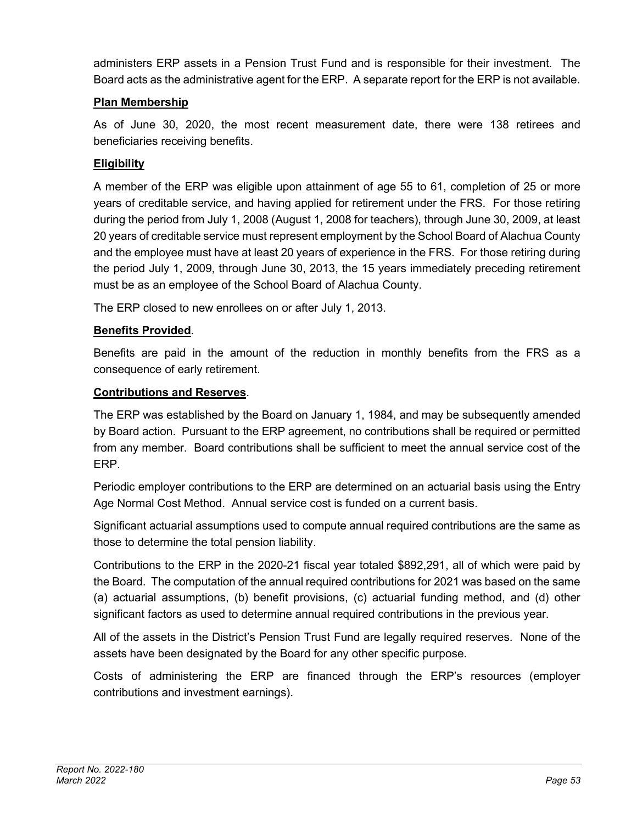administers ERP assets in a Pension Trust Fund and is responsible for their investment. The Board acts as the administrative agent for the ERP. A separate report for the ERP is not available.

## **Plan Membership**

As of June 30, 2020, the most recent measurement date, there were 138 retirees and beneficiaries receiving benefits.

## **Eligibility**

A member of the ERP was eligible upon attainment of age 55 to 61, completion of 25 or more years of creditable service, and having applied for retirement under the FRS. For those retiring during the period from July 1, 2008 (August 1, 2008 for teachers), through June 30, 2009, at least 20 years of creditable service must represent employment by the School Board of Alachua County and the employee must have at least 20 years of experience in the FRS. For those retiring during the period July 1, 2009, through June 30, 2013, the 15 years immediately preceding retirement must be as an employee of the School Board of Alachua County.

The ERP closed to new enrollees on or after July 1, 2013.

## **Benefits Provided**.

Benefits are paid in the amount of the reduction in monthly benefits from the FRS as a consequence of early retirement.

#### **Contributions and Reserves**.

The ERP was established by the Board on January 1, 1984, and may be subsequently amended by Board action. Pursuant to the ERP agreement, no contributions shall be required or permitted from any member. Board contributions shall be sufficient to meet the annual service cost of the ERP.

Periodic employer contributions to the ERP are determined on an actuarial basis using the Entry Age Normal Cost Method. Annual service cost is funded on a current basis.

Significant actuarial assumptions used to compute annual required contributions are the same as those to determine the total pension liability.

Contributions to the ERP in the 2020-21 fiscal year totaled \$892,291, all of which were paid by the Board. The computation of the annual required contributions for 2021 was based on the same (a) actuarial assumptions, (b) benefit provisions, (c) actuarial funding method, and (d) other significant factors as used to determine annual required contributions in the previous year.

All of the assets in the District's Pension Trust Fund are legally required reserves. None of the assets have been designated by the Board for any other specific purpose.

Costs of administering the ERP are financed through the ERP's resources (employer contributions and investment earnings).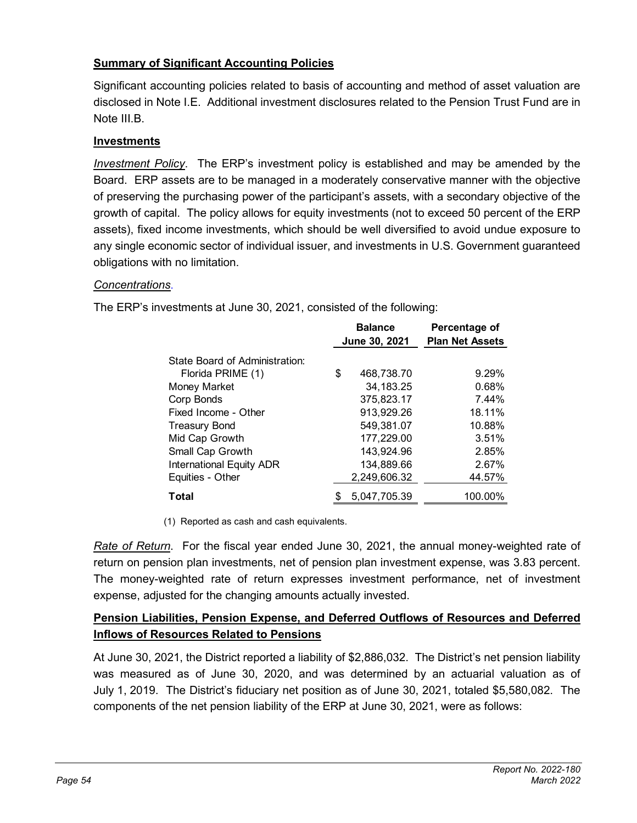#### **Summary of Significant Accounting Policies**

Significant accounting policies related to basis of accounting and method of asset valuation are disclosed in Note I.E. Additional investment disclosures related to the Pension Trust Fund are in Note III.B.

#### **Investments**

*Investment Policy*. The ERP's investment policy is established and may be amended by the Board. ERP assets are to be managed in a moderately conservative manner with the objective of preserving the purchasing power of the participant's assets, with a secondary objective of the growth of capital. The policy allows for equity investments (not to exceed 50 percent of the ERP assets), fixed income investments, which should be well diversified to avoid undue exposure to any single economic sector of individual issuer, and investments in U.S. Government guaranteed obligations with no limitation.

#### *Concentrations*.

The ERP's investments at June 30, 2021, consisted of the following:

|                                 | <b>Balance</b><br>June 30, 2021 |              | Percentage of<br><b>Plan Net Assets</b> |  |
|---------------------------------|---------------------------------|--------------|-----------------------------------------|--|
| State Board of Administration:  |                                 |              |                                         |  |
| Florida PRIME (1)               | \$                              | 468,738.70   | $9.29\%$                                |  |
| Money Market                    |                                 | 34, 183. 25  | 0.68%                                   |  |
| Corp Bonds                      |                                 | 375,823.17   | 7.44%                                   |  |
| Fixed Income - Other            |                                 | 913,929.26   | 18.11%                                  |  |
| <b>Treasury Bond</b>            |                                 | 549.381.07   | 10.88%                                  |  |
| Mid Cap Growth                  |                                 | 177,229.00   | 3.51%                                   |  |
| Small Cap Growth                |                                 | 143,924.96   | 2.85%                                   |  |
| <b>International Equity ADR</b> |                                 | 134,889.66   | 2.67%                                   |  |
| Equities - Other                |                                 | 2,249,606.32 | 44.57%                                  |  |
| Total                           | \$                              | 5,047,705.39 | 100.00%                                 |  |

(1) Reported as cash and cash equivalents.

*Rate of Return*. For the fiscal year ended June 30, 2021, the annual money-weighted rate of return on pension plan investments, net of pension plan investment expense, was 3.83 percent. The money-weighted rate of return expresses investment performance, net of investment expense, adjusted for the changing amounts actually invested.

## **Pension Liabilities, Pension Expense, and Deferred Outflows of Resources and Deferred Inflows of Resources Related to Pensions**

At June 30, 2021, the District reported a liability of \$2,886,032. The District's net pension liability was measured as of June 30, 2020, and was determined by an actuarial valuation as of July 1, 2019. The District's fiduciary net position as of June 30, 2021, totaled \$5,580,082. The components of the net pension liability of the ERP at June 30, 2021, were as follows: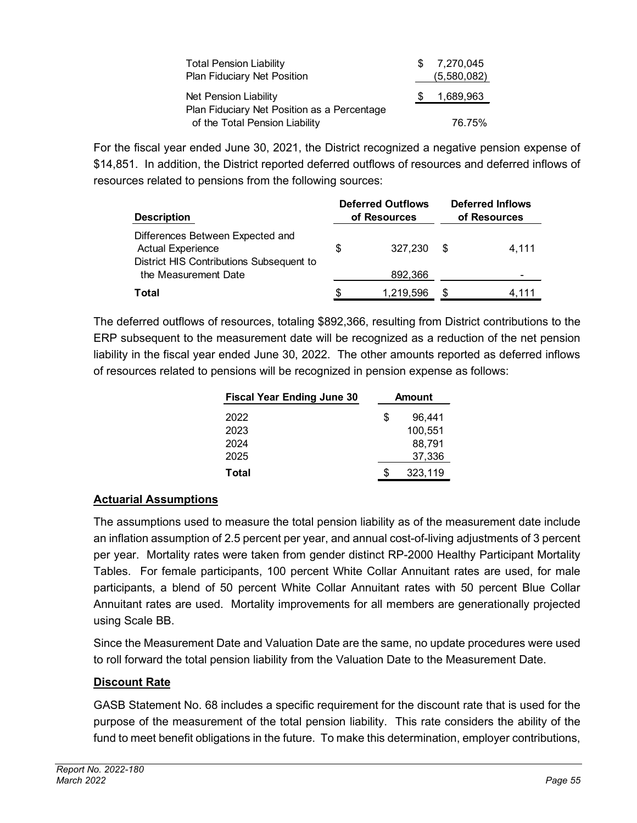| <b>Total Pension Liability</b>              | \$7.270.045 |
|---------------------------------------------|-------------|
| Plan Fiduciary Net Position                 | (5,580,082) |
| Net Pension Liability                       | 1,689,963   |
| Plan Fiduciary Net Position as a Percentage |             |
| of the Total Pension Liability              | 76.75%      |

For the fiscal year ended June 30, 2021, the District recognized a negative pension expense of \$14,851. In addition, the District reported deferred outflows of resources and deferred inflows of resources related to pensions from the following sources:

| <b>Description</b>                                                                                       | <b>Deferred Outflows</b><br>of Resources |           | <b>Deferred Inflows</b><br>of Resources |       |
|----------------------------------------------------------------------------------------------------------|------------------------------------------|-----------|-----------------------------------------|-------|
| Differences Between Expected and<br><b>Actual Experience</b><br>District HIS Contributions Subsequent to | S                                        | 327,230   | - \$                                    | 4.111 |
| the Measurement Date                                                                                     |                                          | 892,366   |                                         |       |
| Total                                                                                                    | S                                        | 1,219,596 |                                         | 4.111 |

The deferred outflows of resources, totaling \$892,366, resulting from District contributions to the ERP subsequent to the measurement date will be recognized as a reduction of the net pension liability in the fiscal year ended June 30, 2022. The other amounts reported as deferred inflows of resources related to pensions will be recognized in pension expense as follows:

| <b>Fiscal Year Ending June 30</b> | Amount |         |  |
|-----------------------------------|--------|---------|--|
| 2022                              | S      | 96.441  |  |
| 2023                              |        | 100.551 |  |
| 2024                              | 88.791 |         |  |
| 2025                              |        | 37,336  |  |
| Total                             |        | 323,119 |  |

#### **Actuarial Assumptions**

The assumptions used to measure the total pension liability as of the measurement date include an inflation assumption of 2.5 percent per year, and annual cost-of-living adjustments of 3 percent per year. Mortality rates were taken from gender distinct RP-2000 Healthy Participant Mortality Tables. For female participants, 100 percent White Collar Annuitant rates are used, for male participants, a blend of 50 percent White Collar Annuitant rates with 50 percent Blue Collar Annuitant rates are used. Mortality improvements for all members are generationally projected using Scale BB.

Since the Measurement Date and Valuation Date are the same, no update procedures were used to roll forward the total pension liability from the Valuation Date to the Measurement Date.

## **Discount Rate**

GASB Statement No. 68 includes a specific requirement for the discount rate that is used for the purpose of the measurement of the total pension liability. This rate considers the ability of the fund to meet benefit obligations in the future. To make this determination, employer contributions,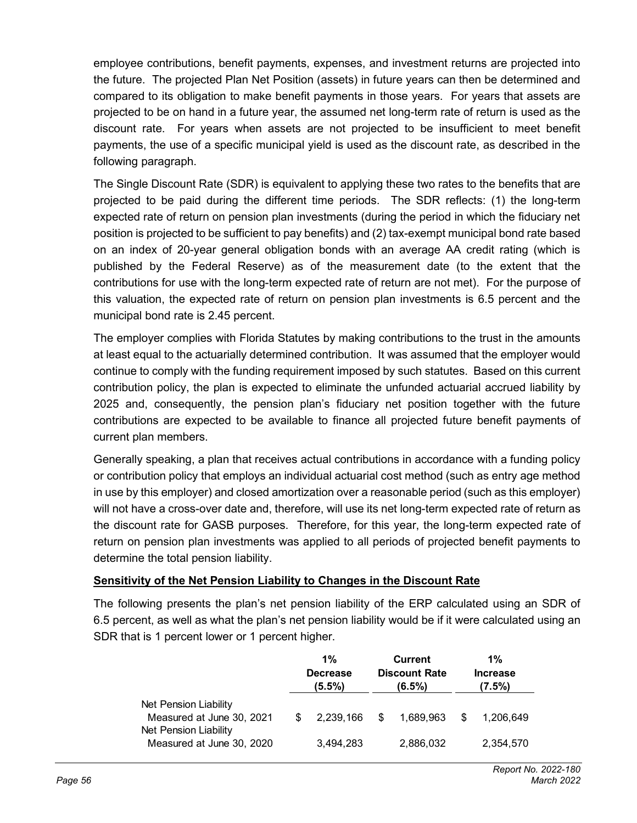employee contributions, benefit payments, expenses, and investment returns are projected into the future. The projected Plan Net Position (assets) in future years can then be determined and compared to its obligation to make benefit payments in those years. For years that assets are projected to be on hand in a future year, the assumed net long-term rate of return is used as the discount rate. For years when assets are not projected to be insufficient to meet benefit payments, the use of a specific municipal yield is used as the discount rate, as described in the following paragraph.

The Single Discount Rate (SDR) is equivalent to applying these two rates to the benefits that are projected to be paid during the different time periods. The SDR reflects: (1) the long-term expected rate of return on pension plan investments (during the period in which the fiduciary net position is projected to be sufficient to pay benefits) and (2) tax-exempt municipal bond rate based on an index of 20-year general obligation bonds with an average AA credit rating (which is published by the Federal Reserve) as of the measurement date (to the extent that the contributions for use with the long-term expected rate of return are not met). For the purpose of this valuation, the expected rate of return on pension plan investments is 6.5 percent and the municipal bond rate is 2.45 percent.

The employer complies with Florida Statutes by making contributions to the trust in the amounts at least equal to the actuarially determined contribution. It was assumed that the employer would continue to comply with the funding requirement imposed by such statutes. Based on this current contribution policy, the plan is expected to eliminate the unfunded actuarial accrued liability by 2025 and, consequently, the pension plan's fiduciary net position together with the future contributions are expected to be available to finance all projected future benefit payments of current plan members.

Generally speaking, a plan that receives actual contributions in accordance with a funding policy or contribution policy that employs an individual actuarial cost method (such as entry age method in use by this employer) and closed amortization over a reasonable period (such as this employer) will not have a cross-over date and, therefore, will use its net long-term expected rate of return as the discount rate for GASB purposes. Therefore, for this year, the long-term expected rate of return on pension plan investments was applied to all periods of projected benefit payments to determine the total pension liability.

#### **Sensitivity of the Net Pension Liability to Changes in the Discount Rate**

The following presents the plan's net pension liability of the ERP calculated using an SDR of 6.5 percent, as well as what the plan's net pension liability would be if it were calculated using an SDR that is 1 percent lower or 1 percent higher.

|                                                    | 1%<br><b>Decrease</b><br>(5.5%) |   | <b>Current</b><br><b>Discount Rate</b><br>$(6.5\%)$ |   | 1%<br><b>Increase</b><br>(7.5%) |
|----------------------------------------------------|---------------------------------|---|-----------------------------------------------------|---|---------------------------------|
| Net Pension Liability<br>Measured at June 30, 2021 | 2,239,166                       | S | 1.689.963                                           | S | 1.206.649                       |
| Net Pension Liability<br>Measured at June 30, 2020 | 3.494.283                       |   | 2,886,032                                           |   | 2,354,570                       |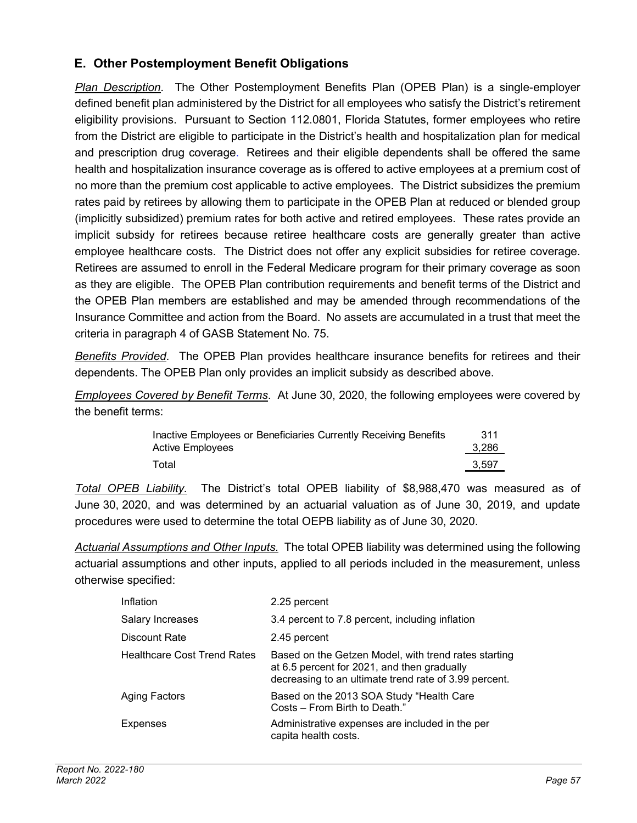## **E. Other Postemployment Benefit Obligations**

*Plan Description*. The Other Postemployment Benefits Plan (OPEB Plan) is a single-employer defined benefit plan administered by the District for all employees who satisfy the District's retirement eligibility provisions. Pursuant to Section 112.0801, Florida Statutes, former employees who retire from the District are eligible to participate in the District's health and hospitalization plan for medical and prescription drug coverage. Retirees and their eligible dependents shall be offered the same health and hospitalization insurance coverage as is offered to active employees at a premium cost of no more than the premium cost applicable to active employees. The District subsidizes the premium rates paid by retirees by allowing them to participate in the OPEB Plan at reduced or blended group (implicitly subsidized) premium rates for both active and retired employees. These rates provide an implicit subsidy for retirees because retiree healthcare costs are generally greater than active employee healthcare costs. The District does not offer any explicit subsidies for retiree coverage. Retirees are assumed to enroll in the Federal Medicare program for their primary coverage as soon as they are eligible. The OPEB Plan contribution requirements and benefit terms of the District and the OPEB Plan members are established and may be amended through recommendations of the Insurance Committee and action from the Board. No assets are accumulated in a trust that meet the criteria in paragraph 4 of GASB Statement No. 75.

*Benefits Provided*.The OPEB Plan provides healthcare insurance benefits for retirees and their dependents. The OPEB Plan only provides an implicit subsidy as described above.

*Employees Covered by Benefit Terms*. At June 30, 2020, the following employees were covered by the benefit terms:

| Inactive Employees or Beneficiaries Currently Receiving Benefits | -311  |
|------------------------------------------------------------------|-------|
| Active Employees                                                 | 3,286 |
| Total                                                            | 3.597 |

*Total OPEB Liability.* The District's total OPEB liability of \$8,988,470 was measured as of June 30, 2020, and was determined by an actuarial valuation as of June 30, 2019, and update procedures were used to determine the total OEPB liability as of June 30, 2020.

*Actuarial Assumptions and Other Inputs.* The total OPEB liability was determined using the following actuarial assumptions and other inputs, applied to all periods included in the measurement, unless otherwise specified:

| Inflation                          | 2.25 percent                                                                                                                                                 |
|------------------------------------|--------------------------------------------------------------------------------------------------------------------------------------------------------------|
| Salary Increases                   | 3.4 percent to 7.8 percent, including inflation                                                                                                              |
| Discount Rate                      | 2.45 percent                                                                                                                                                 |
| <b>Healthcare Cost Trend Rates</b> | Based on the Getzen Model, with trend rates starting<br>at 6.5 percent for 2021, and then gradually<br>decreasing to an ultimate trend rate of 3.99 percent. |
| Aging Factors                      | Based on the 2013 SOA Study "Health Care<br>Costs – From Birth to Death."                                                                                    |
| Expenses                           | Administrative expenses are included in the per<br>capita health costs.                                                                                      |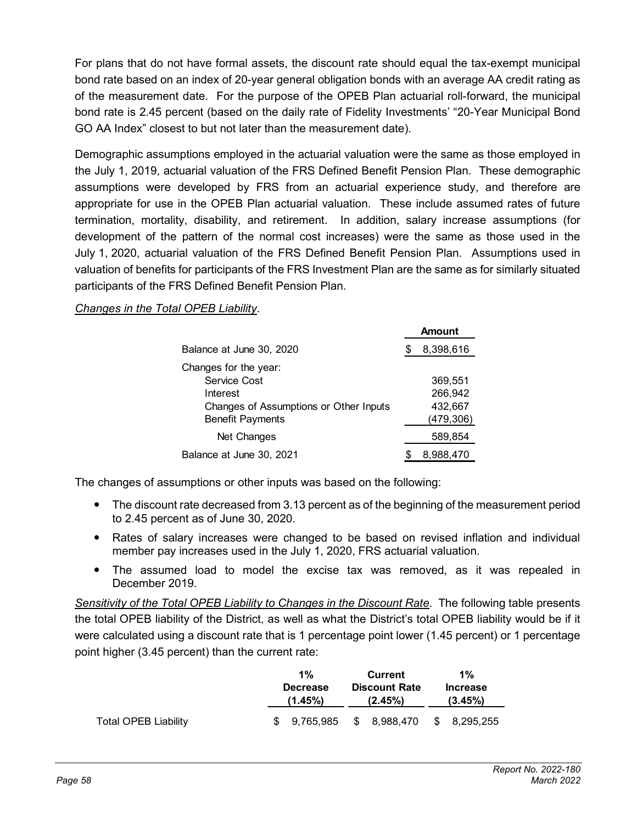For plans that do not have formal assets, the discount rate should equal the tax-exempt municipal bond rate based on an index of 20-year general obligation bonds with an average AA credit rating as of the measurement date. For the purpose of the OPEB Plan actuarial roll-forward, the municipal bond rate is 2.45 percent (based on the daily rate of Fidelity Investments' "20-Year Municipal Bond GO AA Index" closest to but not later than the measurement date).

Demographic assumptions employed in the actuarial valuation were the same as those employed in the July 1, 2019, actuarial valuation of the FRS Defined Benefit Pension Plan. These demographic assumptions were developed by FRS from an actuarial experience study, and therefore are appropriate for use in the OPEB Plan actuarial valuation. These include assumed rates of future termination, mortality, disability, and retirement. In addition, salary increase assumptions (for development of the pattern of the normal cost increases) were the same as those used in the July 1, 2020, actuarial valuation of the FRS Defined Benefit Pension Plan. Assumptions used in valuation of benefits for participants of the FRS Investment Plan are the same as for similarly situated participants of the FRS Defined Benefit Pension Plan.

#### *Changes in the Total OPEB Liability*.

|                                        | <b>Amount</b> |
|----------------------------------------|---------------|
| Balance at June 30, 2020               | 8,398,616     |
| Changes for the year:                  |               |
| Service Cost                           | 369,551       |
| Interest                               | 266,942       |
| Changes of Assumptions or Other Inputs | 432,667       |
| <b>Benefit Payments</b>                | (479, 306)    |
| Net Changes                            | 589,854       |
| Balance at June 30, 2021               | 8,988,470     |

The changes of assumptions or other inputs was based on the following:

- The discount rate decreased from 3.13 percent as of the beginning of the measurement period to 2.45 percent as of June 30, 2020.
- Rates of salary increases were changed to be based on revised inflation and individual member pay increases used in the July 1, 2020, FRS actuarial valuation.
- The assumed load to model the excise tax was removed, as it was repealed in December 2019.

*Sensitivity of the Total OPEB Liability to Changes in the Discount Rate*. The following table presents the total OPEB liability of the District, as well as what the District's total OPEB liability would be if it were calculated using a discount rate that is 1 percentage point lower (1.45 percent) or 1 percentage point higher (3.45 percent) than the current rate:

|                             | 1%<br><b>Decrease</b><br>$(1.45\%)$ |              | <b>Current</b><br><b>Discount Rate</b><br>(2.45%) |              | 1%                            |  |
|-----------------------------|-------------------------------------|--------------|---------------------------------------------------|--------------|-------------------------------|--|
|                             |                                     |              |                                                   |              | <b>Increase</b><br>$(3.45\%)$ |  |
| <b>Total OPEB Liability</b> |                                     | \$ 9,765,985 |                                                   | \$ 8.988.470 | \$ 8,295,255                  |  |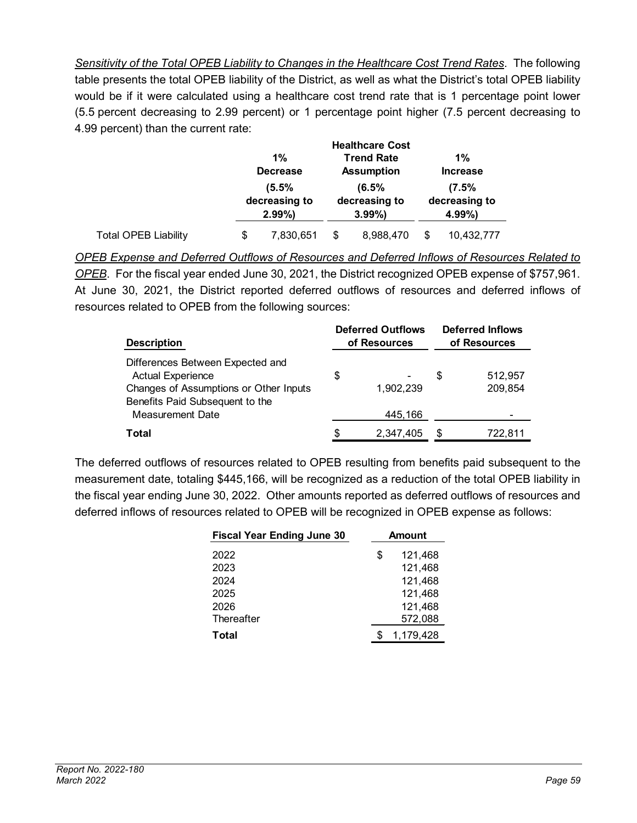*Sensitivity of the Total OPEB Liability to Changes in the Healthcare Cost Trend Rates*. The following table presents the total OPEB liability of the District, as well as what the District's total OPEB liability would be if it were calculated using a healthcare cost trend rate that is 1 percentage point lower (5.5 percent decreasing to 2.99 percent) or 1 percentage point higher (7.5 percent decreasing to 4.99 percent) than the current rate:

|                             |                           |    | <b>Healthcare Cost</b>    |    |                         |
|-----------------------------|---------------------------|----|---------------------------|----|-------------------------|
|                             | 1%                        |    | <b>Trend Rate</b>         |    | 1%                      |
|                             | <b>Decrease</b>           |    | <b>Assumption</b>         |    | <b>Increase</b>         |
|                             | (5.5%                     |    | (6.5%                     |    | (7.5%                   |
|                             | decreasing to<br>$2.99\%$ |    | decreasing to<br>$3.99\%$ |    | decreasing to<br>4.99%) |
| <b>Total OPEB Liability</b> | \$<br>7,830,651           | \$ | 8,988,470                 | \$ | 10,432,777              |

*OPEB Expense and Deferred Outflows of Resources and Deferred Inflows of Resources Related to OPEB*. For the fiscal year ended June 30, 2021, the District recognized OPEB expense of \$757,961. At June 30, 2021, the District reported deferred outflows of resources and deferred inflows of resources related to OPEB from the following sources:

| <b>Description</b>                                                                                     |    | <b>Deferred Outflows</b><br>of Resources | <b>Deferred Inflows</b><br>of Resources |                    |  |
|--------------------------------------------------------------------------------------------------------|----|------------------------------------------|-----------------------------------------|--------------------|--|
| Differences Between Expected and<br><b>Actual Experience</b><br>Changes of Assumptions or Other Inputs | \$ | ۰<br>1.902.239                           | \$                                      | 512,957<br>209,854 |  |
| Benefits Paid Subsequent to the<br><b>Measurement Date</b>                                             |    | 445,166                                  |                                         |                    |  |
| Total                                                                                                  | S  | 2,347,405                                | S                                       | 722,811            |  |

The deferred outflows of resources related to OPEB resulting from benefits paid subsequent to the measurement date, totaling \$445,166, will be recognized as a reduction of the total OPEB liability in the fiscal year ending June 30, 2022. Other amounts reported as deferred outflows of resources and deferred inflows of resources related to OPEB will be recognized in OPEB expense as follows:

| <b>Fiscal Year Ending June 30</b> | Amount |           |  |  |
|-----------------------------------|--------|-----------|--|--|
| 2022                              | \$     | 121,468   |  |  |
| 2023                              |        | 121,468   |  |  |
| 2024                              |        | 121,468   |  |  |
| 2025                              |        | 121,468   |  |  |
| 2026                              |        | 121,468   |  |  |
| Thereafter                        |        | 572,088   |  |  |
| Total                             |        | 1,179,428 |  |  |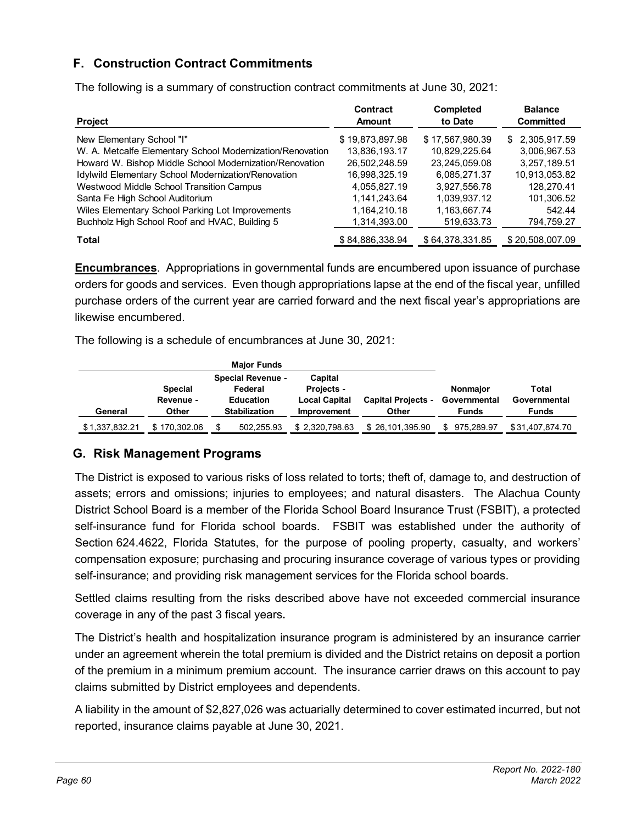## **F. Construction Contract Commitments**

The following is a summary of construction contract commitments at June 30, 2021:

| Project                                                   | <b>Contract</b><br><b>Amount</b> | <b>Completed</b><br>to Date | <b>Balance</b><br><b>Committed</b> |
|-----------------------------------------------------------|----------------------------------|-----------------------------|------------------------------------|
| New Elementary School "I"                                 | \$19,873,897.98                  | \$17,567,980.39             | \$2,305,917.59                     |
| W. A. Metcalfe Elementary School Modernization/Renovation | 13,836,193.17                    | 10,829,225.64               | 3,006,967.53                       |
| Howard W. Bishop Middle School Modernization/Renovation   | 26.502.248.59                    | 23,245,059.08               | 3.257.189.51                       |
| Idylwild Elementary School Modernization/Renovation       | 16,998,325.19                    | 6,085,271.37                | 10,913,053.82                      |
| Westwood Middle School Transition Campus                  | 4,055,827.19                     | 3.927.556.78                | 128.270.41                         |
| Santa Fe High School Auditorium                           | 1,141,243.64                     | 1,039,937.12                | 101,306.52                         |
| Wiles Elementary School Parking Lot Improvements          | 1,164,210.18                     | 1,163,667.74                | 542.44                             |
| Buchholz High School Roof and HVAC, Building 5            | 1,314,393.00                     | 519,633.73                  | 794,759.27                         |
| <b>Total</b>                                              | \$84,886,338.94                  | \$64,378,331.85             | \$20,508,007.09                    |

**Encumbrances**. Appropriations in governmental funds are encumbered upon issuance of purchase orders for goods and services. Even though appropriations lapse at the end of the fiscal year, unfilled purchase orders of the current year are carried forward and the next fiscal year's appropriations are likewise encumbered.

The following is a schedule of encumbrances at June 30, 2021:

|                |                             | <b>Maior Funds</b>                                      |                                               |                           |                                 |                       |
|----------------|-----------------------------|---------------------------------------------------------|-----------------------------------------------|---------------------------|---------------------------------|-----------------------|
|                | <b>Special</b><br>Revenue - | <b>Special Revenue -</b><br>Federal<br><b>Education</b> | Capital<br>Projects -<br><b>Local Capital</b> | <b>Capital Projects -</b> | <b>Nonmajor</b><br>Governmental | Total<br>Governmental |
| General        | Other                       | <b>Stabilization</b>                                    | <b>Improvement</b>                            | Other                     | <b>Funds</b>                    | <b>Funds</b>          |
| \$1,337,832.21 | \$170.302.06                | 502,255.93                                              | \$2,320,798.63                                | \$26,101,395.90           | 975.289.97<br>\$.               | \$31,407,874.70       |

#### **G. Risk Management Programs**

The District is exposed to various risks of loss related to torts; theft of, damage to, and destruction of assets; errors and omissions; injuries to employees; and natural disasters. The Alachua County District School Board is a member of the Florida School Board Insurance Trust (FSBIT), a protected self-insurance fund for Florida school boards. FSBIT was established under the authority of Section 624.4622, Florida Statutes, for the purpose of pooling property, casualty, and workers' compensation exposure; purchasing and procuring insurance coverage of various types or providing self-insurance; and providing risk management services for the Florida school boards.

Settled claims resulting from the risks described above have not exceeded commercial insurance coverage in any of the past 3 fiscal years**.**

The District's health and hospitalization insurance program is administered by an insurance carrier under an agreement wherein the total premium is divided and the District retains on deposit a portion of the premium in a minimum premium account. The insurance carrier draws on this account to pay claims submitted by District employees and dependents.

A liability in the amount of \$2,827,026 was actuarially determined to cover estimated incurred, but not reported, insurance claims payable at June 30, 2021.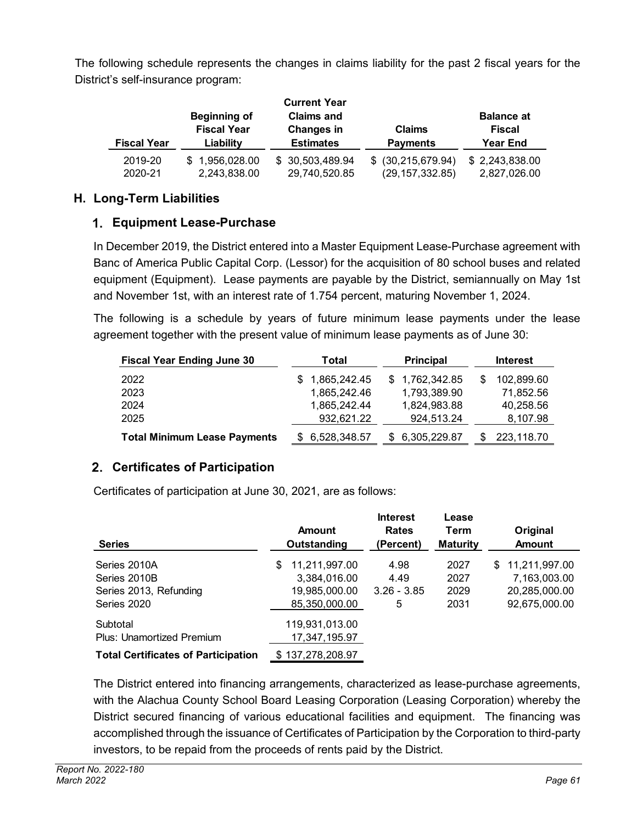The following schedule represents the changes in claims liability for the past 2 fiscal years for the District's self-insurance program:

|                    |                     | <b>Current Year</b> |                     |                   |
|--------------------|---------------------|---------------------|---------------------|-------------------|
|                    | <b>Beginning of</b> | <b>Claims and</b>   |                     | <b>Balance at</b> |
|                    | <b>Fiscal Year</b>  | <b>Changes in</b>   | <b>Claims</b>       | <b>Fiscal</b>     |
| <b>Fiscal Year</b> | Liability           | <b>Estimates</b>    | <b>Payments</b>     | <b>Year End</b>   |
| 2019-20            | 1,956,028.00<br>\$. | \$30,503,489.94     | $$$ (30,215,679.94) | \$2,243,838.00    |
| 2020-21            | 2,243,838.00        | 29,740,520.85       | (29, 157, 332.85)   | 2,827,026.00      |

#### **H. Long-Term Liabilities**

## **Equipment Lease-Purchase**

In December 2019, the District entered into a Master Equipment Lease-Purchase agreement with Banc of America Public Capital Corp. (Lessor) for the acquisition of 80 school buses and related equipment (Equipment). Lease payments are payable by the District, semiannually on May 1st and November 1st, with an interest rate of 1.754 percent, maturing November 1, 2024.

The following is a schedule by years of future minimum lease payments under the lease agreement together with the present value of minimum lease payments as of June 30:

| <b>Fiscal Year Ending June 30</b>   | Total        | <b>Principal</b> | <b>Interest</b> |
|-------------------------------------|--------------|------------------|-----------------|
| 2022                                | 1,865,242.45 | \$1,762,342.85   | 102,899.60      |
| 2023                                | 1,865,242.46 | 1,793,389.90     | 71,852.56       |
| 2024                                | 1,865,242.44 | 1,824,983.88     | 40,258.56       |
| 2025                                | 932,621.22   | 924,513.24       | 8,107.98        |
| <b>Total Minimum Lease Payments</b> | 6,528,348.57 | \$6,305,229.87   | 223,118.70<br>S |

## **Certificates of Participation**

Certificates of participation at June 30, 2021, are as follows:

| <b>Series</b>                              | Amount<br>Outstanding | <b>Interest</b><br><b>Rates</b><br>(Percent) | Lease<br>Term<br><b>Maturity</b> | Original<br><b>Amount</b> |
|--------------------------------------------|-----------------------|----------------------------------------------|----------------------------------|---------------------------|
| Series 2010A                               | 11,211,997.00<br>\$   | 4.98                                         | 2027                             | 11,211,997.00<br>\$.      |
| Series 2010B                               | 3,384,016.00          | 4.49                                         | 2027                             | 7,163,003.00              |
| Series 2013, Refunding                     | 19,985,000.00         | $3.26 - 3.85$                                | 2029                             | 20,285,000.00             |
| Series 2020                                | 85,350,000.00         | 5                                            | 2031                             | 92,675,000.00             |
| Subtotal                                   | 119,931,013.00        |                                              |                                  |                           |
| <b>Plus: Unamortized Premium</b>           | 17,347,195.97         |                                              |                                  |                           |
| <b>Total Certificates of Participation</b> | \$137,278,208.97      |                                              |                                  |                           |

The District entered into financing arrangements, characterized as lease-purchase agreements, with the Alachua County School Board Leasing Corporation (Leasing Corporation) whereby the District secured financing of various educational facilities and equipment. The financing was accomplished through the issuance of Certificates of Participation by the Corporation to third-party investors, to be repaid from the proceeds of rents paid by the District.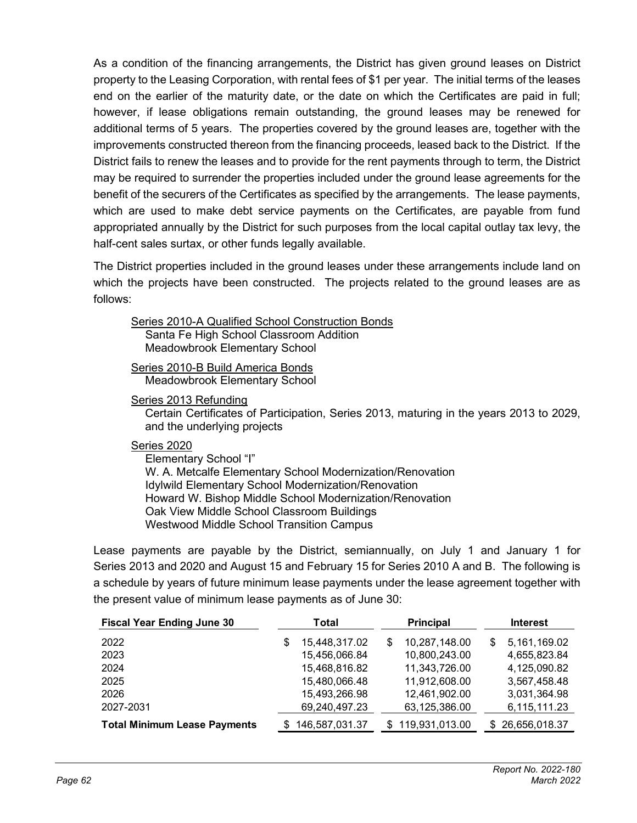As a condition of the financing arrangements, the District has given ground leases on District property to the Leasing Corporation, with rental fees of \$1 per year. The initial terms of the leases end on the earlier of the maturity date, or the date on which the Certificates are paid in full; however, if lease obligations remain outstanding, the ground leases may be renewed for additional terms of 5 years. The properties covered by the ground leases are, together with the improvements constructed thereon from the financing proceeds, leased back to the District. If the District fails to renew the leases and to provide for the rent payments through to term, the District may be required to surrender the properties included under the ground lease agreements for the benefit of the securers of the Certificates as specified by the arrangements. The lease payments, which are used to make debt service payments on the Certificates, are payable from fund appropriated annually by the District for such purposes from the local capital outlay tax levy, the half-cent sales surtax, or other funds legally available.

The District properties included in the ground leases under these arrangements include land on which the projects have been constructed. The projects related to the ground leases are as follows:

#### Series 2010-A Qualified School Construction Bonds Santa Fe High School Classroom Addition Meadowbrook Elementary School

#### Series 2010-B Build America Bonds Meadowbrook Elementary School

#### Series 2013 Refunding

Certain Certificates of Participation, Series 2013, maturing in the years 2013 to 2029, and the underlying projects

#### Series 2020

Elementary School "I" W. A. Metcalfe Elementary School Modernization/Renovation Idylwild Elementary School Modernization/Renovation Howard W. Bishop Middle School Modernization/Renovation Oak View Middle School Classroom Buildings Westwood Middle School Transition Campus

Lease payments are payable by the District, semiannually, on July 1 and January 1 for Series 2013 and 2020 and August 15 and February 15 for Series 2010 A and B. The following is a schedule by years of future minimum lease payments under the lease agreement together with the present value of minimum lease payments as of June 30:

| <b>Fiscal Year Ending June 30</b>   |   | Total          | <b>Principal</b> |                | <b>Interest</b> |               |
|-------------------------------------|---|----------------|------------------|----------------|-----------------|---------------|
| 2022                                | S | 15,448,317.02  | S                | 10,287,148.00  | S               | 5,161,169.02  |
| 2023                                |   | 15,456,066.84  |                  | 10,800,243.00  |                 | 4,655,823.84  |
| 2024                                |   | 15,468,816.82  |                  | 11,343,726.00  |                 | 4,125,090.82  |
| 2025                                |   | 15,480,066.48  |                  | 11,912,608.00  |                 | 3,567,458.48  |
| 2026                                |   | 15,493,266.98  |                  | 12,461,902.00  |                 | 3,031,364.98  |
| 2027-2031                           |   | 69,240,497.23  |                  | 63,125,386.00  |                 | 6,115,111.23  |
| <b>Total Minimum Lease Payments</b> |   | 146,587,031.37 | \$.              | 119,931,013.00 | \$.             | 26,656,018.37 |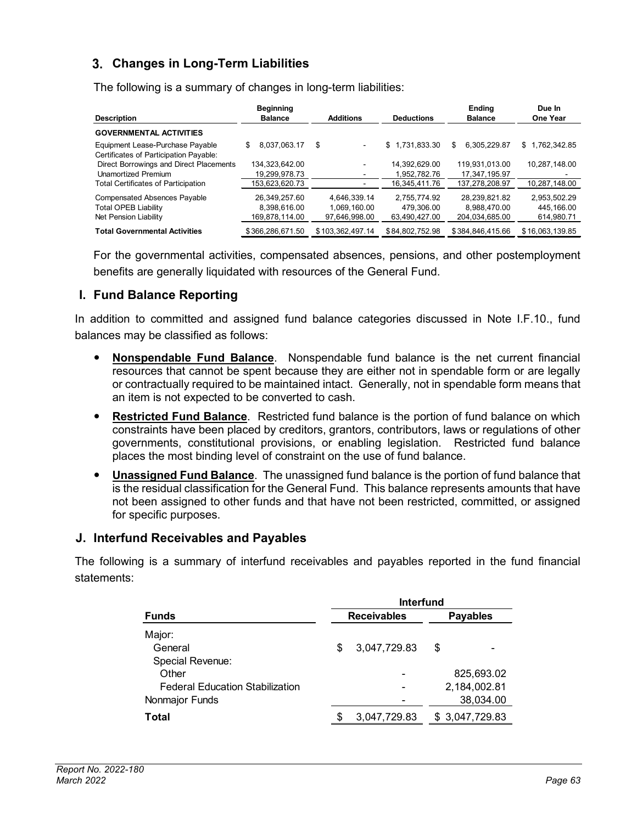## **Changes in Long-Term Liabilities**

| <b>Description</b>                                                         | <b>Beginning</b><br><b>Balance</b> | <b>Deductions</b><br><b>Additions</b> |                    | Ending<br><b>Balance</b> | Due In<br><b>One Year</b> |
|----------------------------------------------------------------------------|------------------------------------|---------------------------------------|--------------------|--------------------------|---------------------------|
| <b>GOVERNMENTAL ACTIVITIES</b>                                             |                                    |                                       |                    |                          |                           |
| Equipment Lease-Purchase Payable<br>Certificates of Participation Payable: | 8.037.063.17<br>\$                 | \$<br>$\blacksquare$                  | 1.731.833.30<br>\$ | 6.305.229.87<br>\$       | \$1.762.342.85            |
| Direct Borrowings and Direct Placements                                    | 134,323,642.00                     |                                       | 14.392.629.00      | 119.931.013.00           | 10.287.148.00             |
| <b>Unamortized Premium</b>                                                 | 19.299.978.73                      |                                       | 1.952.782.76       | 17.347.195.97            |                           |
| <b>Total Certificates of Participation</b>                                 | 153.623.620.73                     |                                       | 16.345.411.76      | 137.278.208.97           | 10.287.148.00             |
| <b>Compensated Absences Payable</b>                                        | 26.349.257.60                      | 4.646.339.14                          | 2.755.774.92       | 28.239.821.82            | 2.953.502.29              |
| <b>Total OPEB Liability</b>                                                | 8.398.616.00                       | 1.069.160.00                          | 479.306.00         | 8.988.470.00             | 445.166.00                |
| Net Pension Liability                                                      | 169.878.114.00                     | 97.646.998.00                         | 63.490.427.00      | 204.034.685.00           | 614.980.71                |
| <b>Total Governmental Activities</b>                                       | \$366,286,671.50                   | \$103,362,497.14                      | \$84,802,752.98    | \$384.846.415.66         | \$16,063,139.85           |

The following is a summary of changes in long-term liabilities:

For the governmental activities, compensated absences, pensions, and other postemployment benefits are generally liquidated with resources of the General Fund.

#### **I. Fund Balance Reporting**

In addition to committed and assigned fund balance categories discussed in Note I.F.10., fund balances may be classified as follows:

- **Nonspendable Fund Balance**. Nonspendable fund balance is the net current financial resources that cannot be spent because they are either not in spendable form or are legally or contractually required to be maintained intact. Generally, not in spendable form means that an item is not expected to be converted to cash.
- **Restricted Fund Balance**. Restricted fund balance is the portion of fund balance on which constraints have been placed by creditors, grantors, contributors, laws or regulations of other governments, constitutional provisions, or enabling legislation. Restricted fund balance places the most binding level of constraint on the use of fund balance.
- **Unassigned Fund Balance**. The unassigned fund balance is the portion of fund balance that is the residual classification for the General Fund. This balance represents amounts that have not been assigned to other funds and that have not been restricted, committed, or assigned for specific purposes.

#### **J. Interfund Receivables and Payables**

The following is a summary of interfund receivables and payables reported in the fund financial statements:

|    |              | <b>Payables</b>    |                  |  |  |
|----|--------------|--------------------|------------------|--|--|
|    |              |                    |                  |  |  |
| \$ | 3,047,729.83 | S                  |                  |  |  |
|    |              |                    |                  |  |  |
|    |              |                    | 825,693.02       |  |  |
|    |              |                    | 2,184,002.81     |  |  |
|    |              |                    | 38,034.00        |  |  |
|    | 3,047,729.83 |                    | \$3,047,729.83   |  |  |
|    |              | <b>Receivables</b> | <b>Interfund</b> |  |  |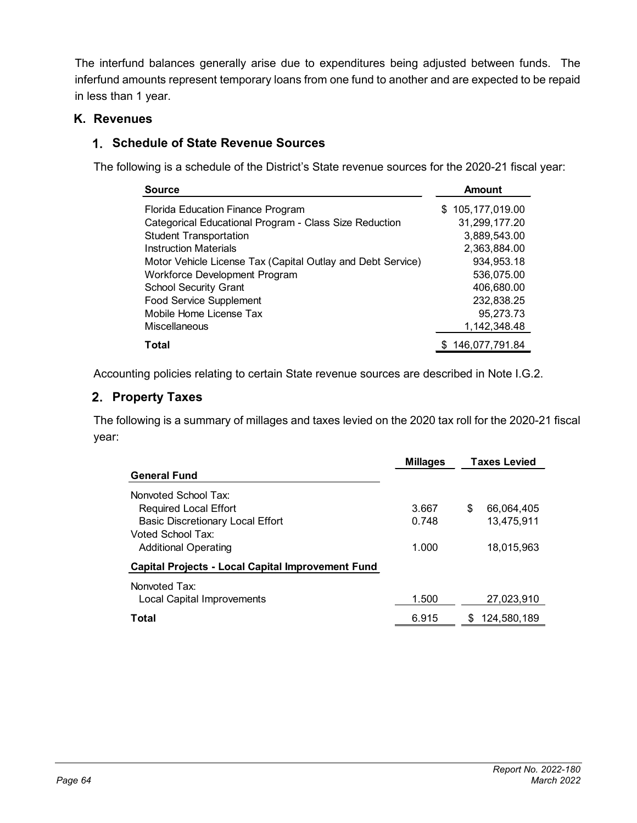The interfund balances generally arise due to expenditures being adjusted between funds. The inferfund amounts represent temporary loans from one fund to another and are expected to be repaid in less than 1 year.

#### **K. Revenues**

#### **Schedule of State Revenue Sources**

The following is a schedule of the District's State revenue sources for the 2020-21 fiscal year:

| <b>Source</b>                                               | Amount           |
|-------------------------------------------------------------|------------------|
| <b>Florida Education Finance Program</b>                    | \$105,177,019.00 |
| Categorical Educational Program - Class Size Reduction      | 31,299,177.20    |
| <b>Student Transportation</b>                               | 3,889,543.00     |
| <b>Instruction Materials</b>                                | 2,363,884.00     |
| Motor Vehicle License Tax (Capital Outlay and Debt Service) | 934, 953. 18     |
| Workforce Development Program                               | 536.075.00       |
| <b>School Security Grant</b>                                | 406,680.00       |
| Food Service Supplement                                     | 232,838.25       |
| Mobile Home License Tax                                     | 95,273.73        |
| Miscellaneous                                               | 1,142,348.48     |
| Total                                                       | 146,077,791.84   |

Accounting policies relating to certain State revenue sources are described in Note I.G.2.

# **Property Taxes**

The following is a summary of millages and taxes levied on the 2020 tax roll for the 2020-21 fiscal year:

|                                                          | <b>Millages</b> | <b>Taxes Levied</b> |  |
|----------------------------------------------------------|-----------------|---------------------|--|
| <b>General Fund</b>                                      |                 |                     |  |
| Nonvoted School Tax:                                     |                 |                     |  |
| <b>Required Local Effort</b>                             | 3.667           | 66,064,405<br>S     |  |
| <b>Basic Discretionary Local Effort</b>                  | 0.748           | 13,475,911          |  |
| Voted School Tax:                                        |                 |                     |  |
| <b>Additional Operating</b>                              | 1.000           | 18,015,963          |  |
| <b>Capital Projects - Local Capital Improvement Fund</b> |                 |                     |  |
| Nonvoted Tax:                                            |                 |                     |  |
| Local Capital Improvements                               | 1.500           | 27,023,910          |  |
| Total                                                    | 6.915           | 124.580.189<br>S    |  |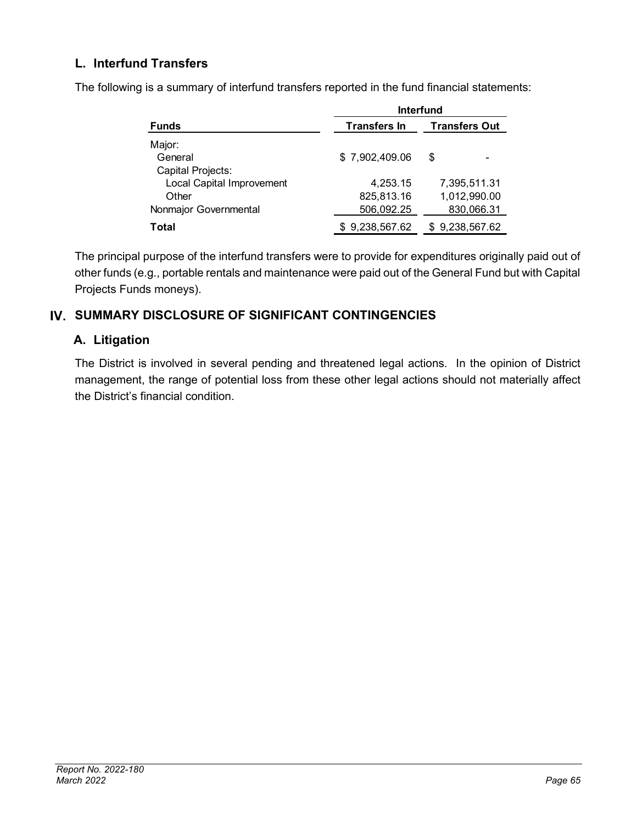## **L. Interfund Transfers**

|                                  |                     | <b>Interfund</b>     |  |  |
|----------------------------------|---------------------|----------------------|--|--|
| <b>Funds</b>                     | <b>Transfers In</b> | <b>Transfers Out</b> |  |  |
| Major:                           |                     |                      |  |  |
| General                          | \$7,902,409.06      | \$                   |  |  |
| Capital Projects:                |                     |                      |  |  |
| <b>Local Capital Improvement</b> | 4,253.15            | 7,395,511.31         |  |  |
| Other                            | 825,813.16          | 1,012,990.00         |  |  |
| Nonmajor Governmental            | 506,092.25          | 830,066.31           |  |  |
| Total                            | 9,238,567.62        | 9,238,567.62<br>\$.  |  |  |

The following is a summary of interfund transfers reported in the fund financial statements:

The principal purpose of the interfund transfers were to provide for expenditures originally paid out of other funds (e.g., portable rentals and maintenance were paid out of the General Fund but with Capital Projects Funds moneys).

## **SUMMARY DISCLOSURE OF SIGNIFICANT CONTINGENCIES**

#### **A. Litigation**

The District is involved in several pending and threatened legal actions. In the opinion of District management, the range of potential loss from these other legal actions should not materially affect the District's financial condition.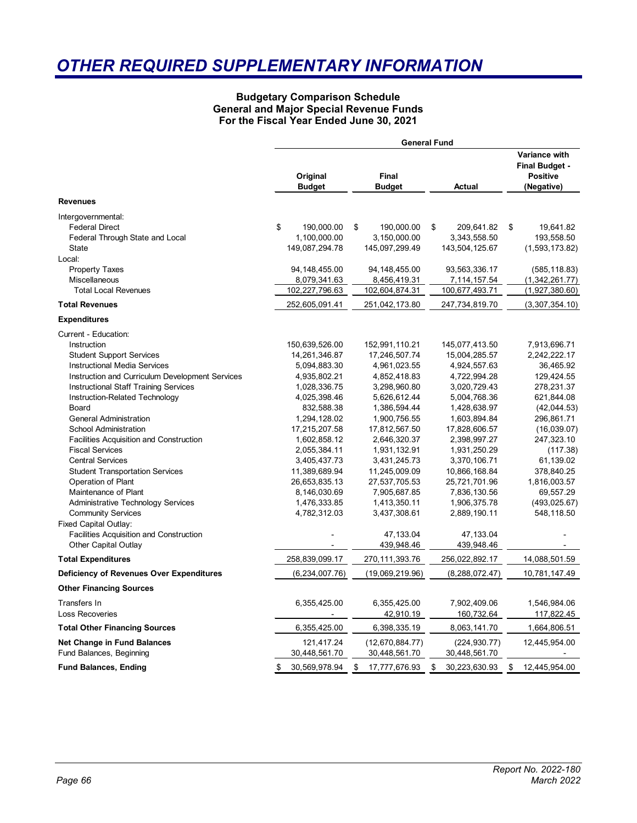# *OTHER REQUIRED SUPPLEMENTARY INFORMATION*

#### **Budgetary Comparison Schedule General and Major Special Revenue Funds For the Fiscal Year Ended June 30, 2021**

|                                                                                                                                                                                                                                                                                                                                                                                                                                                                                                                                                                                                                                                                                                          | <b>General Fund</b>                                                                                                                                                                                                                                                              |                                                                                                                                                                                                                                                                                                               |                                                                                                                                                                                                                                                                                                               |                                                                                                                                                                                                                                                  |
|----------------------------------------------------------------------------------------------------------------------------------------------------------------------------------------------------------------------------------------------------------------------------------------------------------------------------------------------------------------------------------------------------------------------------------------------------------------------------------------------------------------------------------------------------------------------------------------------------------------------------------------------------------------------------------------------------------|----------------------------------------------------------------------------------------------------------------------------------------------------------------------------------------------------------------------------------------------------------------------------------|---------------------------------------------------------------------------------------------------------------------------------------------------------------------------------------------------------------------------------------------------------------------------------------------------------------|---------------------------------------------------------------------------------------------------------------------------------------------------------------------------------------------------------------------------------------------------------------------------------------------------------------|--------------------------------------------------------------------------------------------------------------------------------------------------------------------------------------------------------------------------------------------------|
|                                                                                                                                                                                                                                                                                                                                                                                                                                                                                                                                                                                                                                                                                                          | Original<br><b>Budget</b>                                                                                                                                                                                                                                                        | <b>Final</b><br><b>Budget</b>                                                                                                                                                                                                                                                                                 | Actual                                                                                                                                                                                                                                                                                                        | Variance with<br><b>Final Budget -</b><br><b>Positive</b><br>(Negative)                                                                                                                                                                          |
| <b>Revenues</b>                                                                                                                                                                                                                                                                                                                                                                                                                                                                                                                                                                                                                                                                                          |                                                                                                                                                                                                                                                                                  |                                                                                                                                                                                                                                                                                                               |                                                                                                                                                                                                                                                                                                               |                                                                                                                                                                                                                                                  |
| Intergovernmental:<br><b>Federal Direct</b><br>Federal Through State and Local<br><b>State</b><br>Local:<br><b>Property Taxes</b><br>Miscellaneous                                                                                                                                                                                                                                                                                                                                                                                                                                                                                                                                                       | \$<br>190,000.00<br>1,100,000.00<br>149,087,294.78<br>94,148,455.00<br>8,079,341.63                                                                                                                                                                                              | 190,000.00<br>\$<br>3,150,000.00<br>145,097,299.49<br>94,148,455.00<br>8,456,419.31                                                                                                                                                                                                                           | \$<br>209,641.82<br>3,343,558.50<br>143,504,125.67<br>93,563,336.17<br>7, 114, 157.54                                                                                                                                                                                                                         | \$<br>19,641.82<br>193,558.50<br>(1,593,173.82)<br>(585,118.83)<br>(1,342,261.77)                                                                                                                                                                |
| <b>Total Local Revenues</b>                                                                                                                                                                                                                                                                                                                                                                                                                                                                                                                                                                                                                                                                              | 102,227,796.63                                                                                                                                                                                                                                                                   | 102,604,874.31                                                                                                                                                                                                                                                                                                | 100,677,493.71                                                                                                                                                                                                                                                                                                | (1,927,380.60)                                                                                                                                                                                                                                   |
| <b>Total Revenues</b>                                                                                                                                                                                                                                                                                                                                                                                                                                                                                                                                                                                                                                                                                    | 252,605,091.41                                                                                                                                                                                                                                                                   | 251,042,173.80                                                                                                                                                                                                                                                                                                | 247,734,819.70                                                                                                                                                                                                                                                                                                | (3,307,354.10)                                                                                                                                                                                                                                   |
| <b>Expenditures</b>                                                                                                                                                                                                                                                                                                                                                                                                                                                                                                                                                                                                                                                                                      |                                                                                                                                                                                                                                                                                  |                                                                                                                                                                                                                                                                                                               |                                                                                                                                                                                                                                                                                                               |                                                                                                                                                                                                                                                  |
| Current - Education:<br>Instruction<br><b>Student Support Services</b><br><b>Instructional Media Services</b><br>Instruction and Curriculum Development Services<br><b>Instructional Staff Training Services</b><br>Instruction-Related Technology<br>Board<br><b>General Administration</b><br><b>School Administration</b><br><b>Facilities Acquisition and Construction</b><br><b>Fiscal Services</b><br><b>Central Services</b><br><b>Student Transportation Services</b><br>Operation of Plant<br>Maintenance of Plant<br><b>Administrative Technology Services</b><br><b>Community Services</b><br>Fixed Capital Outlay:<br>Facilities Acquisition and Construction<br><b>Other Capital Outlay</b> | 150,639,526.00<br>14,261,346.87<br>5,094,883.30<br>4,935,802.21<br>1,028,336.75<br>4,025,398.46<br>832,588.38<br>1,294,128.02<br>17,215,207.58<br>1,602,858.12<br>2,055,384.11<br>3,405,437.73<br>11,389,689.94<br>26,653,835.13<br>8,146,030.69<br>1,476,333.85<br>4,782,312.03 | 152,991,110.21<br>17,246,507.74<br>4,961,023.55<br>4,852,418.83<br>3,298,960.80<br>5,626,612.44<br>1,386,594.44<br>1,900,756.55<br>17,812,567.50<br>2,646,320.37<br>1,931,132.91<br>3,431,245.73<br>11,245,009.09<br>27,537,705.53<br>7,905,687.85<br>1,413,350.11<br>3,437,308.61<br>47,133.04<br>439,948.46 | 145,077,413.50<br>15,004,285.57<br>4,924,557.63<br>4,722,994.28<br>3,020,729.43<br>5,004,768.36<br>1,428,638.97<br>1,603,894.84<br>17,828,606.57<br>2,398,997.27<br>1,931,250.29<br>3,370,106.71<br>10,866,168.84<br>25,721,701.96<br>7,836,130.56<br>1,906,375.78<br>2,889,190.11<br>47,133.04<br>439,948.46 | 7,913,696.71<br>2,242,222.17<br>36,465.92<br>129,424.55<br>278,231.37<br>621,844.08<br>(42,044.53)<br>296,861.71<br>(16,039.07)<br>247,323.10<br>(117.38)<br>61,139.02<br>378,840.25<br>1,816,003.57<br>69,557.29<br>(493, 025.67)<br>548,118.50 |
| <b>Total Expenditures</b>                                                                                                                                                                                                                                                                                                                                                                                                                                                                                                                                                                                                                                                                                | 258,839,099.17                                                                                                                                                                                                                                                                   | 270, 111, 393. 76                                                                                                                                                                                                                                                                                             | 256,022,892.17                                                                                                                                                                                                                                                                                                | 14,088,501.59                                                                                                                                                                                                                                    |
| Deficiency of Revenues Over Expenditures                                                                                                                                                                                                                                                                                                                                                                                                                                                                                                                                                                                                                                                                 | (6,234,007.76)                                                                                                                                                                                                                                                                   | (19,069,219.96)                                                                                                                                                                                                                                                                                               | (8, 288, 072.47)                                                                                                                                                                                                                                                                                              | 10,781,147.49                                                                                                                                                                                                                                    |
| <b>Other Financing Sources</b>                                                                                                                                                                                                                                                                                                                                                                                                                                                                                                                                                                                                                                                                           |                                                                                                                                                                                                                                                                                  |                                                                                                                                                                                                                                                                                                               |                                                                                                                                                                                                                                                                                                               |                                                                                                                                                                                                                                                  |
| Transfers In<br><b>Loss Recoveries</b>                                                                                                                                                                                                                                                                                                                                                                                                                                                                                                                                                                                                                                                                   | 6,355,425.00                                                                                                                                                                                                                                                                     | 6,355,425.00<br>42,910.19                                                                                                                                                                                                                                                                                     | 7,902,409.06<br>160,732.64                                                                                                                                                                                                                                                                                    | 1,546,984.06<br>117,822.45                                                                                                                                                                                                                       |
| <b>Total Other Financing Sources</b>                                                                                                                                                                                                                                                                                                                                                                                                                                                                                                                                                                                                                                                                     | 6,355,425.00                                                                                                                                                                                                                                                                     | 6,398,335.19                                                                                                                                                                                                                                                                                                  | 8,063,141.70                                                                                                                                                                                                                                                                                                  | 1,664,806.51                                                                                                                                                                                                                                     |
| <b>Net Change in Fund Balances</b><br>Fund Balances, Beginning                                                                                                                                                                                                                                                                                                                                                                                                                                                                                                                                                                                                                                           | 121,417.24<br>30,448,561.70                                                                                                                                                                                                                                                      | (12,670,884.77)<br>30,448,561.70                                                                                                                                                                                                                                                                              | (224, 930.77)<br>30,448,561.70                                                                                                                                                                                                                                                                                | 12,445,954.00                                                                                                                                                                                                                                    |
| <b>Fund Balances, Ending</b>                                                                                                                                                                                                                                                                                                                                                                                                                                                                                                                                                                                                                                                                             | 30,569,978.94<br>\$                                                                                                                                                                                                                                                              | \$<br>17,777,676.93                                                                                                                                                                                                                                                                                           | 30,223,630.93<br>\$                                                                                                                                                                                                                                                                                           | 12,445,954.00<br>\$                                                                                                                                                                                                                              |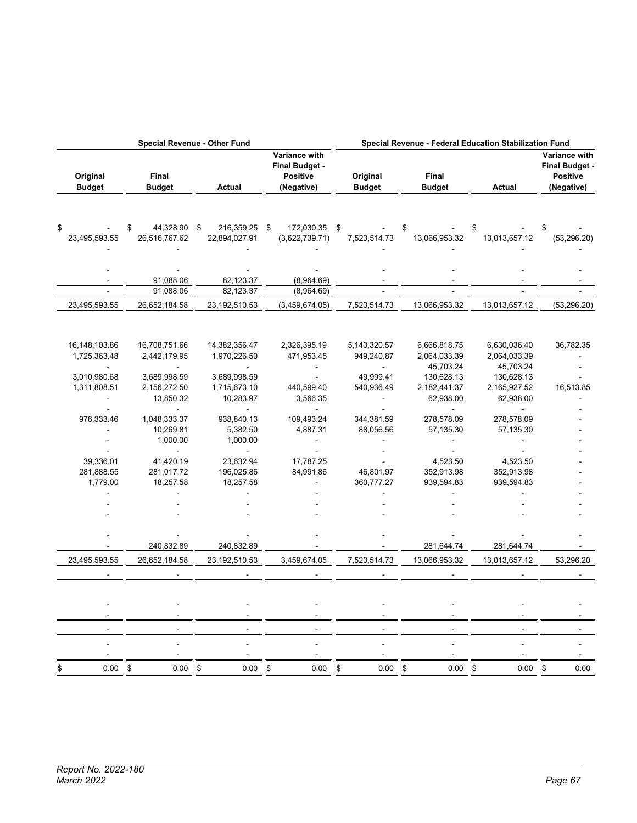|                                                                                                                    |                                                                                                                                                             | <b>Special Revenue - Other Fund</b>                                                                                                                      |                                                                                                          |                                                                                                                               | Special Revenue - Federal Education Stabilization Fund                                                                                                  |                                                                                                                                                         |                                                                  |
|--------------------------------------------------------------------------------------------------------------------|-------------------------------------------------------------------------------------------------------------------------------------------------------------|----------------------------------------------------------------------------------------------------------------------------------------------------------|----------------------------------------------------------------------------------------------------------|-------------------------------------------------------------------------------------------------------------------------------|---------------------------------------------------------------------------------------------------------------------------------------------------------|---------------------------------------------------------------------------------------------------------------------------------------------------------|------------------------------------------------------------------|
| Original<br><b>Budget</b>                                                                                          | Final<br><b>Budget</b>                                                                                                                                      | <b>Actual</b>                                                                                                                                            | Variance with<br>Final Budget -<br><b>Positive</b><br>(Negative)                                         | Original<br><b>Budget</b>                                                                                                     | Final<br><b>Budget</b>                                                                                                                                  | <b>Actual</b>                                                                                                                                           | Variance with<br>Final Budget -<br><b>Positive</b><br>(Negative) |
| \$<br>23,495,593.55                                                                                                | \$<br>44,328.90<br>26,516,767.62                                                                                                                            | $\sqrt{3}$<br>216,359.25<br>22,894,027.91                                                                                                                | \$<br>172,030.35<br>(3,622,739.71)                                                                       | \$<br>7,523,514.73                                                                                                            | \$<br>13,066,953.32                                                                                                                                     | \$<br>13,013,657.12                                                                                                                                     | \$<br>(53, 296.20)                                               |
|                                                                                                                    | 91,088.06<br>91,088.06                                                                                                                                      | 82,123.37<br>82,123.37                                                                                                                                   | (8,964.69)<br>(8,964.69)                                                                                 |                                                                                                                               |                                                                                                                                                         |                                                                                                                                                         |                                                                  |
| 23,495,593.55                                                                                                      | 26,652,184.58                                                                                                                                               | 23, 192, 510.53                                                                                                                                          | (3,459,674.05)                                                                                           | 7,523,514.73                                                                                                                  | 13,066,953.32                                                                                                                                           | 13,013,657.12                                                                                                                                           | (53, 296.20)                                                     |
| 16,148,103.86<br>1,725,363.48<br>3,010,980.68<br>1,311,808.51<br>976,333.46<br>39,336.01<br>281,888.55<br>1,779.00 | 16,708,751.66<br>2,442,179.95<br>3,689,998.59<br>2,156,272.50<br>13,850.32<br>1,048,333.37<br>10,269.81<br>1,000.00<br>41,420.19<br>281,017.72<br>18,257.58 | 14,382,356.47<br>1,970,226.50<br>3,689,998.59<br>1,715,673.10<br>10,283.97<br>938,840.13<br>5,382.50<br>1,000.00<br>23,632.94<br>196,025.86<br>18,257.58 | 2,326,395.19<br>471,953.45<br>440,599.40<br>3,566.35<br>109,493.24<br>4,887.31<br>17,787.25<br>84,991.86 | 5,143,320.57<br>949,240.87<br>49,999.41<br>540,936.49<br>$\overline{a}$<br>344,381.59<br>88,056.56<br>46,801.97<br>360,777.27 | 6,666,818.75<br>2,064,033.39<br>45,703.24<br>130,628.13<br>2,182,441.37<br>62,938.00<br>278,578.09<br>57,135.30<br>4,523.50<br>352,913.98<br>939,594.83 | 6,630,036.40<br>2,064,033.39<br>45,703.24<br>130,628.13<br>2,165,927.52<br>62,938.00<br>278,578.09<br>57,135.30<br>4,523.50<br>352,913.98<br>939,594.83 | 36,782.35<br>16,513.85                                           |
|                                                                                                                    | 240,832.89                                                                                                                                                  | 240,832.89                                                                                                                                               |                                                                                                          |                                                                                                                               | 281,644.74                                                                                                                                              | 281,644.74                                                                                                                                              |                                                                  |
| 23,495,593.55                                                                                                      | 26,652,184.58                                                                                                                                               | 23, 192, 510.53                                                                                                                                          | 3,459,674.05                                                                                             | 7,523,514.73                                                                                                                  | 13,066,953.32                                                                                                                                           | 13,013,657.12                                                                                                                                           | 53,296.20                                                        |
|                                                                                                                    |                                                                                                                                                             |                                                                                                                                                          |                                                                                                          |                                                                                                                               |                                                                                                                                                         |                                                                                                                                                         |                                                                  |
|                                                                                                                    |                                                                                                                                                             |                                                                                                                                                          |                                                                                                          |                                                                                                                               |                                                                                                                                                         |                                                                                                                                                         |                                                                  |
|                                                                                                                    |                                                                                                                                                             |                                                                                                                                                          |                                                                                                          |                                                                                                                               |                                                                                                                                                         |                                                                                                                                                         |                                                                  |
|                                                                                                                    |                                                                                                                                                             |                                                                                                                                                          | $\overline{a}$                                                                                           |                                                                                                                               |                                                                                                                                                         |                                                                                                                                                         |                                                                  |
|                                                                                                                    |                                                                                                                                                             |                                                                                                                                                          |                                                                                                          |                                                                                                                               |                                                                                                                                                         |                                                                                                                                                         |                                                                  |
| \$<br>0.00                                                                                                         | \$<br>0.00                                                                                                                                                  | \$<br>0.00                                                                                                                                               | \$<br>0.00                                                                                               | \$<br>0.00                                                                                                                    | \$<br>0.00                                                                                                                                              | \$<br>0.00                                                                                                                                              | \$<br>0.00                                                       |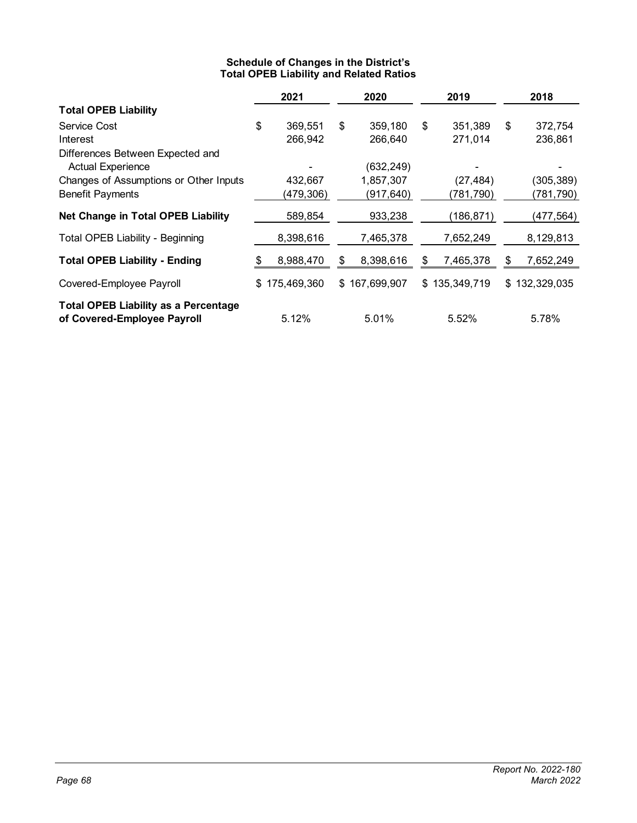#### **Schedule of Changes in the District's Total OPEB Liability and Related Ratios**

|                                                                            | 2021              | 2020            | 2019            | 2018            |
|----------------------------------------------------------------------------|-------------------|-----------------|-----------------|-----------------|
| <b>Total OPEB Liability</b>                                                |                   |                 |                 |                 |
| Service Cost                                                               | \$<br>369,551     | \$<br>359,180   | \$<br>351,389   | \$<br>372,754   |
| Interest                                                                   | 266,942           | 266,640         | 271,014         | 236,861         |
| Differences Between Expected and                                           |                   |                 |                 |                 |
| <b>Actual Experience</b>                                                   |                   | (632, 249)      |                 |                 |
| Changes of Assumptions or Other Inputs                                     | 432,667           | 1,857,307       | (27, 484)       | (305, 389)      |
| <b>Benefit Payments</b>                                                    | (479,306)         | (917, 640)      | (781, 790)      | (781, 790)      |
| <b>Net Change in Total OPEB Liability</b>                                  | 589,854           | 933,238         | (186, 871)      | (477,564)       |
| <b>Total OPEB Liability - Beginning</b>                                    | 8,398,616         | 7,465,378       | 7,652,249       | 8,129,813       |
| <b>Total OPEB Liability - Ending</b>                                       | 8,988,470         | \$<br>8,398,616 | \$<br>7,465,378 | \$<br>7,652,249 |
| Covered-Employee Payroll                                                   | \$<br>175,469,360 | \$167,699,907   | \$135,349,719   | \$132,329,035   |
| <b>Total OPEB Liability as a Percentage</b><br>of Covered-Employee Payroll | 5.12%             | 5.01%           | 5.52%           | 5.78%           |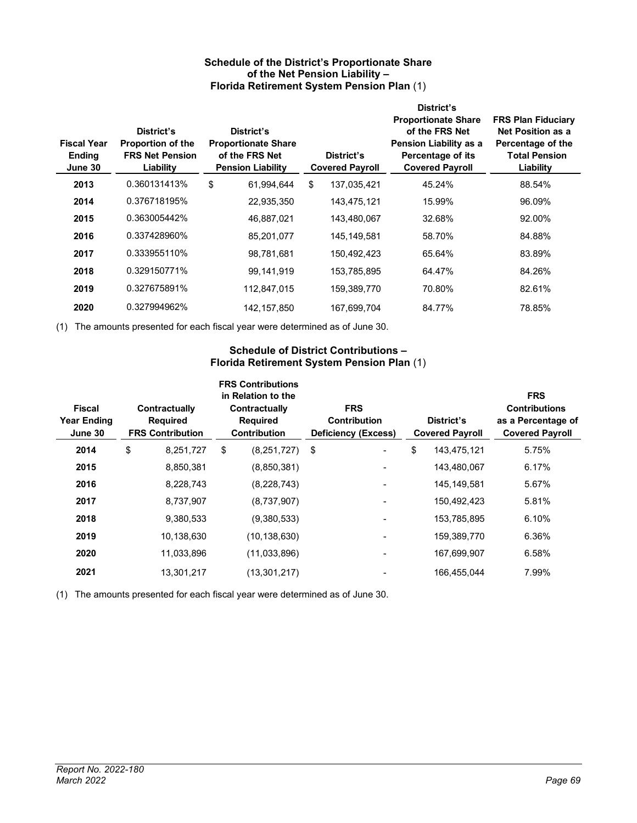#### **Schedule of the District's Proportionate Share of the Net Pension Liability – Florida Retirement System Pension Plan** (1)

| <b>Fiscal Year</b><br><b>Ending</b><br>June 30 | District's<br><b>Proportion of the</b><br><b>FRS Net Pension</b><br>Liability | District's<br><b>Proportionate Share</b><br>of the FRS Net<br><b>Pension Liability</b> | District's<br><b>Covered Payroll</b> | District's<br><b>Proportionate Share</b><br>of the FRS Net<br>Pension Liability as a<br>Percentage of its<br><b>Covered Payroll</b> | <b>FRS Plan Fiduciary</b><br>Net Position as a<br>Percentage of the<br><b>Total Pension</b><br>Liability |
|------------------------------------------------|-------------------------------------------------------------------------------|----------------------------------------------------------------------------------------|--------------------------------------|-------------------------------------------------------------------------------------------------------------------------------------|----------------------------------------------------------------------------------------------------------|
| 2013                                           | 0.360131413%                                                                  | \$<br>61,994,644                                                                       | \$<br>137,035,421                    | 45.24%                                                                                                                              | 88.54%                                                                                                   |
| 2014                                           | 0.376718195%                                                                  | 22,935,350                                                                             | 143,475,121                          | 15.99%                                                                                                                              | 96.09%                                                                                                   |
| 2015                                           | 0.363005442%                                                                  | 46,887,021                                                                             | 143,480,067                          | 32.68%                                                                                                                              | 92.00%                                                                                                   |
| 2016                                           | 0.337428960%                                                                  | 85,201,077                                                                             | 145.149.581                          | 58.70%                                                                                                                              | 84.88%                                                                                                   |
| 2017                                           | 0.333955110%                                                                  | 98,781,681                                                                             | 150,492,423                          | 65.64%                                                                                                                              | 83.89%                                                                                                   |
| 2018                                           | 0.329150771%                                                                  | 99.141.919                                                                             | 153,785,895                          | 64.47%                                                                                                                              | 84.26%                                                                                                   |
| 2019                                           | 0.327675891%                                                                  | 112,847,015                                                                            | 159,389,770                          | 70.80%                                                                                                                              | 82.61%                                                                                                   |
| 2020                                           | 0.327994962%                                                                  | 142, 157, 850                                                                          | 167,699,704                          | 84.77%                                                                                                                              | 78.85%                                                                                                   |

(1) The amounts presented for each fiscal year were determined as of June 30.

#### **Schedule of District Contributions – Florida Retirement System Pension Plan** (1)

| <b>Fiscal</b><br><b>Year Ending</b><br>June 30 | Contractually<br><b>Required</b><br><b>FRS Contribution</b> | <b>FRS Contributions</b><br>in Relation to the<br>Contractually<br><b>Required</b><br><b>Contribution</b> |     | <b>FRS</b><br><b>Contribution</b><br><b>Deficiency (Excess)</b> | District's<br><b>Covered Payroll</b> | <b>FRS</b><br><b>Contributions</b><br>as a Percentage of<br><b>Covered Payroll</b> |
|------------------------------------------------|-------------------------------------------------------------|-----------------------------------------------------------------------------------------------------------|-----|-----------------------------------------------------------------|--------------------------------------|------------------------------------------------------------------------------------|
| 2014                                           | \$<br>8,251,727                                             | \$<br>(8,251,727)                                                                                         | -\$ |                                                                 | \$<br>143,475,121                    | 5.75%                                                                              |
| 2015                                           | 8,850,381                                                   | (8,850,381)                                                                                               |     |                                                                 | 143,480,067                          | 6.17%                                                                              |
| 2016                                           | 8,228,743                                                   | (8, 228, 743)                                                                                             |     |                                                                 | 145, 149, 581                        | 5.67%                                                                              |
| 2017                                           | 8,737,907                                                   | (8,737,907)                                                                                               |     |                                                                 | 150,492,423                          | 5.81%                                                                              |
| 2018                                           | 9,380,533                                                   | (9,380,533)                                                                                               |     |                                                                 | 153,785,895                          | 6.10%                                                                              |
| 2019                                           | 10,138,630                                                  | (10, 138, 630)                                                                                            |     |                                                                 | 159,389,770                          | 6.36%                                                                              |
| 2020                                           | 11,033,896                                                  | (11,033,896)                                                                                              |     |                                                                 | 167,699,907                          | 6.58%                                                                              |
| 2021                                           | 13,301,217                                                  | (13, 301, 217)                                                                                            |     |                                                                 | 166.455.044                          | 7.99%                                                                              |
|                                                |                                                             |                                                                                                           |     |                                                                 |                                      |                                                                                    |

(1) The amounts presented for each fiscal year were determined as of June 30.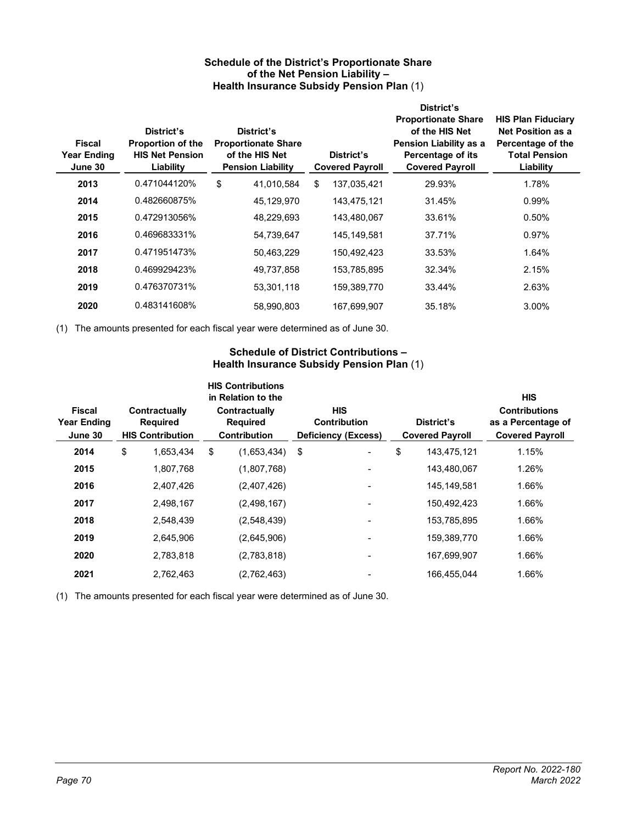#### **Schedule of the District's Proportionate Share of the Net Pension Liability – Health Insurance Subsidy Pension Plan** (1)

| <b>Fiscal</b><br><b>Year Ending</b><br>June 30 | District's<br><b>Proportion of the</b><br><b>HIS Net Pension</b><br>Liability | District's<br><b>Proportionate Share</b><br>of the HIS Net<br><b>Pension Liability</b> | District's<br><b>Covered Payroll</b> | District's<br><b>Proportionate Share</b><br>of the HIS Net<br>Pension Liability as a<br>Percentage of its<br><b>Covered Payroll</b> | <b>HIS Plan Fiduciary</b><br>Net Position as a<br>Percentage of the<br><b>Total Pension</b><br>Liability |
|------------------------------------------------|-------------------------------------------------------------------------------|----------------------------------------------------------------------------------------|--------------------------------------|-------------------------------------------------------------------------------------------------------------------------------------|----------------------------------------------------------------------------------------------------------|
| 2013                                           | 0.471044120%                                                                  | \$<br>41.010.584                                                                       | \$<br>137.035.421                    | 29.93%                                                                                                                              | 1.78%                                                                                                    |
| 2014                                           | 0.482660875%                                                                  | 45,129,970                                                                             | 143,475,121                          | 31.45%                                                                                                                              | $0.99\%$                                                                                                 |
| 2015                                           | 0.472913056%                                                                  | 48,229,693                                                                             | 143,480,067                          | 33.61%                                                                                                                              | 0.50%                                                                                                    |
| 2016                                           | 0.469683331%                                                                  | 54,739,647                                                                             | 145, 149, 581                        | 37.71%                                                                                                                              | 0.97%                                                                                                    |
| 2017                                           | 0.471951473%                                                                  | 50,463,229                                                                             | 150,492,423                          | 33.53%                                                                                                                              | 1.64%                                                                                                    |
| 2018                                           | 0.469929423%                                                                  | 49,737,858                                                                             | 153,785,895                          | 32.34%                                                                                                                              | 2.15%                                                                                                    |
| 2019                                           | 0.476370731%                                                                  | 53,301,118                                                                             | 159,389,770                          | 33.44%                                                                                                                              | 2.63%                                                                                                    |
| 2020                                           | 0.483141608%                                                                  | 58,990,803                                                                             | 167.699.907                          | 35.18%                                                                                                                              | 3.00%                                                                                                    |

(1) The amounts presented for each fiscal year were determined as of June 30.

#### **Schedule of District Contributions – Health Insurance Subsidy Pension Plan** (1)

| <b>Fiscal</b><br><b>Year Ending</b><br>June 30 | <b>Contractually</b><br><b>Required</b><br><b>HIS Contribution</b> | <b>HIS Contributions</b><br>in Relation to the<br>Contractually<br><b>Required</b><br><b>Contribution</b> | <b>HIS</b><br><b>Contribution</b><br><b>Deficiency (Excess)</b> | District's<br><b>Covered Payroll</b> | <b>HIS</b><br><b>Contributions</b><br>as a Percentage of<br><b>Covered Payroll</b> |
|------------------------------------------------|--------------------------------------------------------------------|-----------------------------------------------------------------------------------------------------------|-----------------------------------------------------------------|--------------------------------------|------------------------------------------------------------------------------------|
| 2014                                           | \$<br>1,653,434                                                    | \$<br>(1,653,434)                                                                                         | \$                                                              | \$<br>143,475,121                    | 1.15%                                                                              |
| 2015                                           | 1,807,768                                                          | (1,807,768)                                                                                               |                                                                 | 143,480,067                          | 1.26%                                                                              |
| 2016                                           | 2,407,426                                                          | (2,407,426)                                                                                               |                                                                 | 145, 149, 581                        | 1.66%                                                                              |
| 2017                                           | 2,498,167                                                          | (2,498,167)                                                                                               |                                                                 | 150,492,423                          | 1.66%                                                                              |
| 2018                                           | 2,548,439                                                          | (2,548,439)                                                                                               |                                                                 | 153,785,895                          | 1.66%                                                                              |
| 2019                                           | 2,645,906                                                          | (2,645,906)                                                                                               |                                                                 | 159,389,770                          | 1.66%                                                                              |
| 2020                                           | 2,783,818                                                          | (2,783,818)                                                                                               |                                                                 | 167,699,907                          | 1.66%                                                                              |
| 2021                                           | 2,762,463                                                          | (2,762,463)                                                                                               |                                                                 | 166.455.044                          | 1.66%                                                                              |

(1) The amounts presented for each fiscal year were determined as of June 30.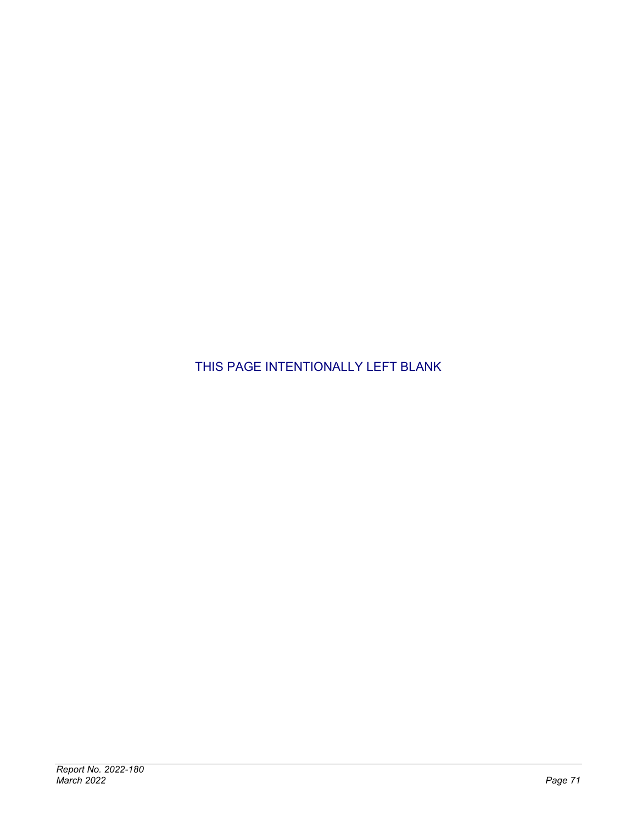THIS PAGE INTENTIONALLY LEFT BLANK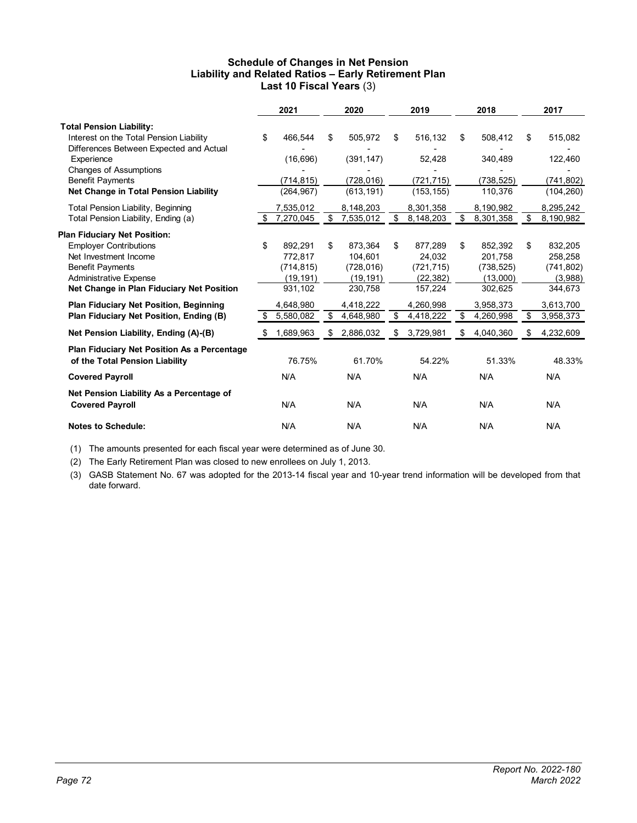#### **Schedule of Changes in Net Pension Liability and Related Ratios – Early Retirement Plan Last 10 Fiscal Years** (3)

|                                                                                                                                                                                                        | 2021                                                          |    | 2020                                                     | 2019                                                          | 2018                                                          | 2017                                                         |
|--------------------------------------------------------------------------------------------------------------------------------------------------------------------------------------------------------|---------------------------------------------------------------|----|----------------------------------------------------------|---------------------------------------------------------------|---------------------------------------------------------------|--------------------------------------------------------------|
| <b>Total Pension Liability:</b><br>Interest on the Total Pension Liability<br>Differences Between Expected and Actual<br>Experience<br><b>Changes of Assumptions</b><br><b>Benefit Payments</b>        | \$<br>466,544<br>(16, 696)<br>(714, 815)                      | \$ | 505,972<br>(391, 147)<br>(728, 016)                      | \$<br>516,132<br>52,428<br>(721, 715)                         | \$<br>508,412<br>340,489<br>(738, 525)                        | \$<br>515,082<br>122,460<br>(741, 802)                       |
| Net Change in Total Pension Liability                                                                                                                                                                  | (264, 967)                                                    |    | (613, 191)                                               | (153, 155)                                                    | 110,376                                                       | (104, 260)                                                   |
| <b>Total Pension Liability, Beginning</b><br>Total Pension Liability, Ending (a)                                                                                                                       | \$<br>7,535,012<br>7,270,045                                  | \$ | 8,148,203<br>7,535,012                                   | \$<br>8,301,358<br>8,148,203                                  | \$<br>8,190,982<br>8,301,358                                  | \$<br>8,295,242<br>8,190,982                                 |
| <b>Plan Fiduciary Net Position:</b><br><b>Employer Contributions</b><br>Net Investment Income<br><b>Benefit Payments</b><br><b>Administrative Expense</b><br>Net Change in Plan Fiduciary Net Position | \$<br>892.291<br>772.817<br>(714, 815)<br>(19,191)<br>931,102 | \$ | 873,364<br>104,601<br>(728, 016)<br>(19, 191)<br>230,758 | \$<br>877.289<br>24,032<br>(721, 715)<br>(22, 382)<br>157,224 | \$<br>852.392<br>201.758<br>(738, 525)<br>(13,000)<br>302,625 | \$<br>832.205<br>258,258<br>(741, 802)<br>(3,988)<br>344,673 |
| <b>Plan Fiduciary Net Position, Beginning</b>                                                                                                                                                          | 4,648,980                                                     |    | 4,418,222                                                | 4,260,998                                                     | 3,958,373                                                     | 3,613,700                                                    |
| Plan Fiduciary Net Position, Ending (B)                                                                                                                                                                | \$<br>5,580,082                                               | \$ | 4,648,980                                                | \$<br>4,418,222                                               | \$<br>4,260,998                                               | \$<br>3,958,373                                              |
| Net Pension Liability, Ending (A)-(B)                                                                                                                                                                  | \$<br>1,689,963                                               | S  | 2,886,032                                                | \$<br>3,729,981                                               | \$<br>4,040,360                                               | \$<br>4,232,609                                              |
| <b>Plan Fiduciary Net Position As a Percentage</b><br>of the Total Pension Liability                                                                                                                   | 76.75%                                                        |    | 61.70%                                                   | 54.22%                                                        | 51.33%                                                        | 48.33%                                                       |
| <b>Covered Payroll</b>                                                                                                                                                                                 | <b>N/A</b>                                                    |    | <b>N/A</b>                                               | N/A                                                           | N/A                                                           | <b>N/A</b>                                                   |
| Net Pension Liability As a Percentage of<br><b>Covered Payroll</b>                                                                                                                                     | <b>N/A</b>                                                    |    | N/A                                                      | N/A                                                           | <b>N/A</b>                                                    | <b>N/A</b>                                                   |
| <b>Notes to Schedule:</b>                                                                                                                                                                              | N/A                                                           |    | N/A                                                      | N/A                                                           | N/A                                                           | N/A                                                          |

(1) The amounts presented for each fiscal year were determined as of June 30.

(2) The Early Retirement Plan was closed to new enrollees on July 1, 2013.

(3) GASB Statement No. 67 was adopted for the 2013-14 fiscal year and 10-year trend information will be developed from that date forward.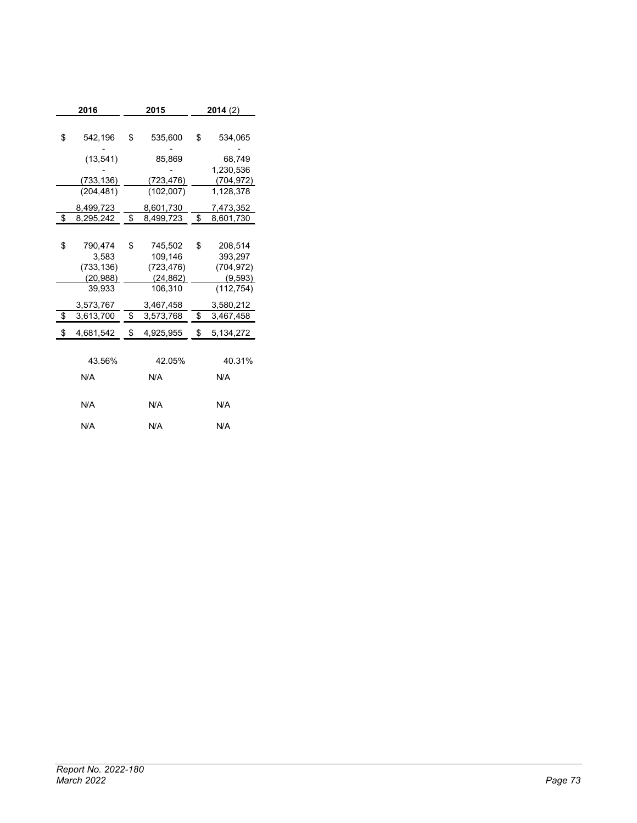| 2016                     | 2015                    | 2014(2)                 |
|--------------------------|-------------------------|-------------------------|
|                          |                         |                         |
| \$<br>542,196            | \$<br>535,600           | \$<br>534,065           |
| (13, 541)                | 85,869                  | 68,749                  |
|                          |                         | 1,230,536               |
| (733, 136)<br>(204, 481) | (723, 476)<br>(102,007) | (704, 972)<br>1,128,378 |
| 8,499,723                | 8,601,730               | 7,473,352               |
| \$<br>8,295,242          | \$<br>8,499,723         | \$<br>8,601,730         |
|                          |                         |                         |
| \$<br>790,474            | \$<br>745.502           | \$<br>208.514           |
| 3,583                    | 109,146                 | 393,297                 |
| (733, 136)               | (723, 476)              | (704, 972)              |
| (20, 988)                | (24, 862)               | (9, 593)                |
| 39,933                   | 106,310                 | (112, 754)              |
| 3,573,767                | 3,467,458               | 3,580,212               |
| \$<br>3,613,700          | \$<br>3,573,768         | \$<br>3,467,458         |
| \$<br>4,681,542          | \$<br>4,925,955         | \$<br>5,134,272         |
|                          |                         |                         |
| 43.56%                   | 42.05%                  | 40.31%                  |
| N/A                      | N/A                     | N/A                     |
| N/A                      | N/A                     | N/A                     |
| N/A                      | N/A                     | ΝA                      |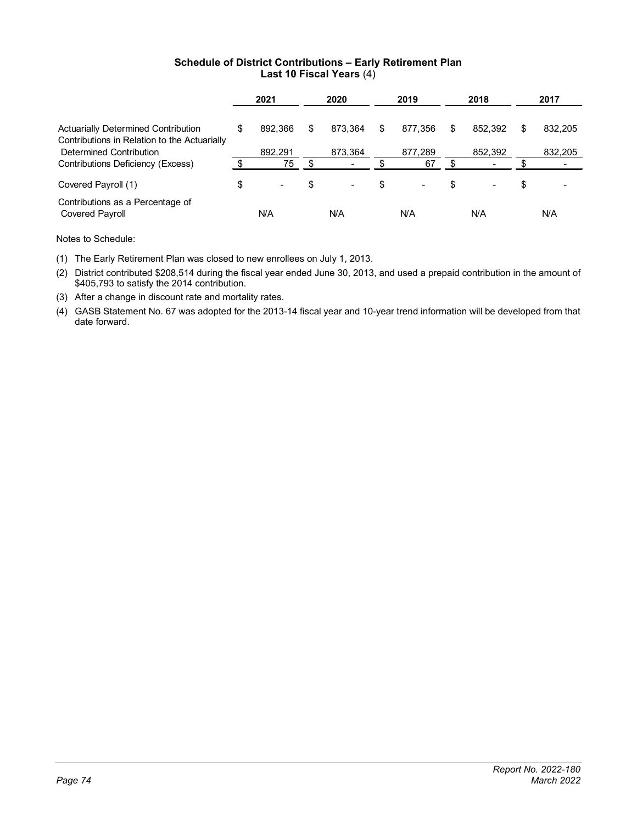#### **Schedule of District Contributions – Early Retirement Plan Last 10 Fiscal Years** (4)

|                                                                                                                       | 2021                     | 2020<br>2019 |                    | 2018                     |    | 2017                     |    |                    |
|-----------------------------------------------------------------------------------------------------------------------|--------------------------|--------------|--------------------|--------------------------|----|--------------------------|----|--------------------|
| <b>Actuarially Determined Contribution</b><br>Contributions in Relation to the Actuarially<br>Determined Contribution | \$<br>892.366<br>892.291 | \$           | 873.364<br>873.364 | \$<br>877.356<br>877,289 | \$ | 852.392<br>852.392       | S  | 832,205<br>832,205 |
| Contributions Deficiency (Excess)                                                                                     | 75                       |              |                    | \$<br>67                 | \$ |                          |    |                    |
| Covered Payroll (1)                                                                                                   | \$<br>-                  | \$           | ٠                  | \$<br>$\blacksquare$     | \$ | $\overline{\phantom{0}}$ | \$ | $\,$               |
| Contributions as a Percentage of<br><b>Covered Payroll</b>                                                            | N/A                      |              | N/A                | N/A                      |    | N/A                      |    | N/A                |

Notes to Schedule:

(1) The Early Retirement Plan was closed to new enrollees on July 1, 2013.

(2) District contributed \$208,514 during the fiscal year ended June 30, 2013, and used a prepaid contribution in the amount of \$405,793 to satisfy the 2014 contribution.

(3) After a change in discount rate and mortality rates.

(4) GASB Statement No. 67 was adopted for the 2013-14 fiscal year and 10-year trend information will be developed from that date forward.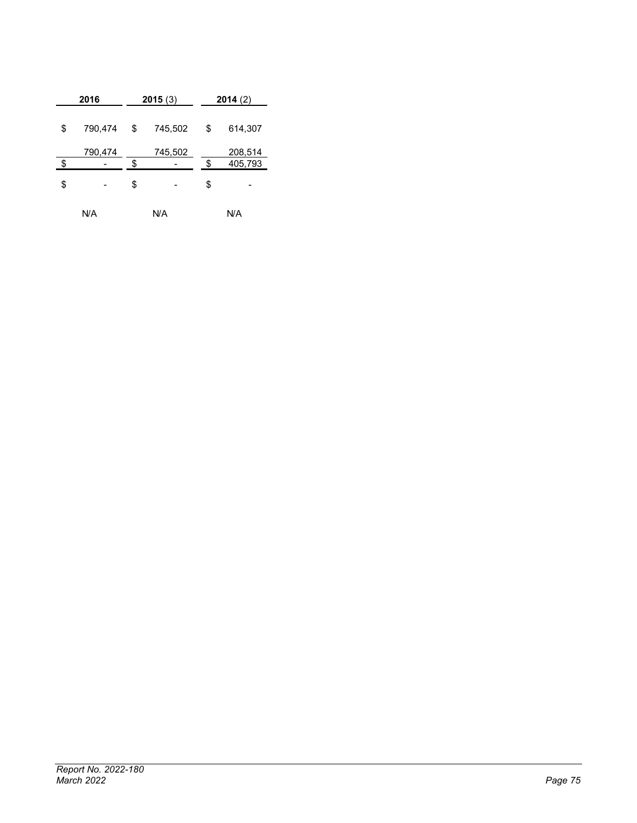|                          | 2016    | 2015(3)       | 2014(2)                  |
|--------------------------|---------|---------------|--------------------------|
| \$                       | 790,474 | \$<br>745,502 | \$<br>614,307            |
| $\overline{\mathcal{L}}$ | 790,474 | \$<br>745,502 | \$<br>208,514<br>405,793 |
| \$                       |         | \$            | \$                       |
|                          | N/A     | N/A           | N/A                      |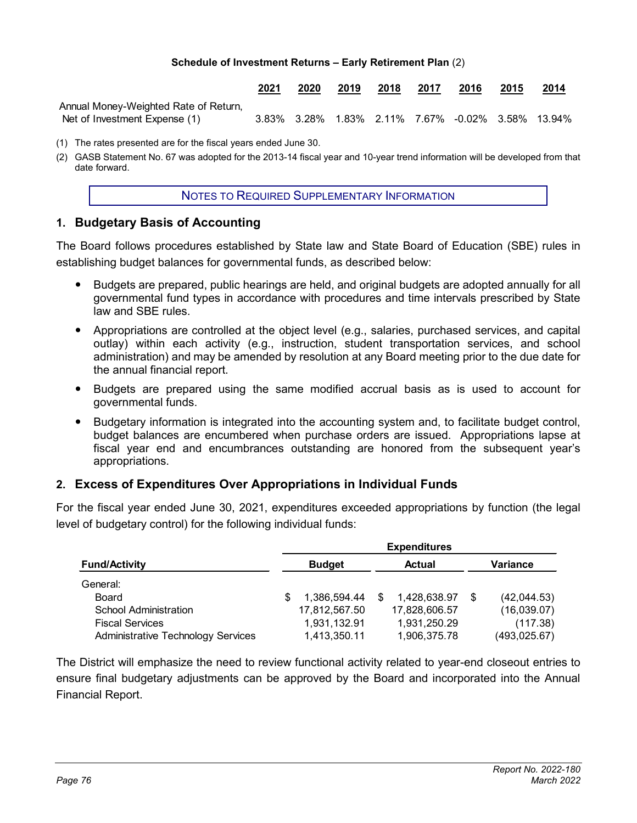#### **Schedule of Investment Returns – Early Retirement Plan** (2)

|                                       | 2021 | 2020 | <u>2019 2018 2017</u> | <u> 2016</u>                                      | <u> 2015</u> | <u>2014</u> |
|---------------------------------------|------|------|-----------------------|---------------------------------------------------|--------------|-------------|
| Annual Money-Weighted Rate of Return, |      |      |                       |                                                   |              |             |
| Net of Investment Expense (1)         |      |      |                       | 3.83% 3.28% 1.83% 2.11% 7.67% -0.02% 3.58% 13.94% |              |             |

- (1) The rates presented are for the fiscal years ended June 30.
- (2) GASB Statement No. 67 was adopted for the 2013-14 fiscal year and 10-year trend information will be developed from that date forward.

NOTES TO REQUIRED SUPPLEMENTARY INFORMATION

#### **1. Budgetary Basis of Accounting**

The Board follows procedures established by State law and State Board of Education (SBE) rules in establishing budget balances for governmental funds, as described below:

- Budgets are prepared, public hearings are held, and original budgets are adopted annually for all governmental fund types in accordance with procedures and time intervals prescribed by State law and SBE rules.
- Appropriations are controlled at the object level (e.g., salaries, purchased services, and capital outlay) within each activity (e.g., instruction, student transportation services, and school administration) and may be amended by resolution at any Board meeting prior to the due date for the annual financial report.
- Budgets are prepared using the same modified accrual basis as is used to account for governmental funds.
- Budgetary information is integrated into the accounting system and, to facilitate budget control, budget balances are encumbered when purchase orders are issued. Appropriations lapse at fiscal year end and encumbrances outstanding are honored from the subsequent year's appropriations.

#### **2. Excess of Expenditures Over Appropriations in Individual Funds**

For the fiscal year ended June 30, 2021, expenditures exceeded appropriations by function (the legal level of budgetary control) for the following individual funds:

|                                           | <b>Expenditures</b> |               |  |               |   |              |  |  |  |  |  |
|-------------------------------------------|---------------------|---------------|--|---------------|---|--------------|--|--|--|--|--|
| <b>Fund/Activity</b>                      |                     | <b>Budget</b> |  | Actual        |   | Variance     |  |  |  |  |  |
| General:                                  |                     |               |  |               |   |              |  |  |  |  |  |
| Board                                     | \$                  | 1.386.594.44  |  | 1,428,638.97  | S | (42,044.53)  |  |  |  |  |  |
| School Administration                     |                     | 17,812,567.50 |  | 17,828,606.57 |   | (16,039.07)  |  |  |  |  |  |
| <b>Fiscal Services</b>                    |                     | 1,931,132.91  |  | 1,931,250.29  |   | (117.38)     |  |  |  |  |  |
| <b>Administrative Technology Services</b> |                     | 1,413,350.11  |  | 1,906,375.78  |   | (493,025.67) |  |  |  |  |  |

The District will emphasize the need to review functional activity related to year-end closeout entries to ensure final budgetary adjustments can be approved by the Board and incorporated into the Annual Financial Report.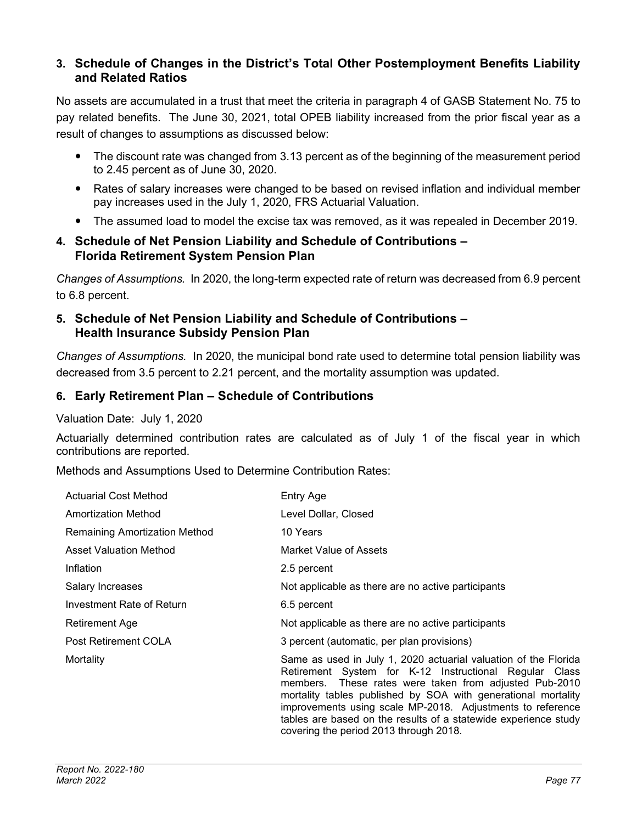#### **3. Schedule of Changes in the District's Total Other Postemployment Benefits Liability and Related Ratios**

No assets are accumulated in a trust that meet the criteria in paragraph 4 of GASB Statement No. 75 to pay related benefits. The June 30, 2021, total OPEB liability increased from the prior fiscal year as a result of changes to assumptions as discussed below:

- The discount rate was changed from 3.13 percent as of the beginning of the measurement period to 2.45 percent as of June 30, 2020.
- Rates of salary increases were changed to be based on revised inflation and individual member pay increases used in the July 1, 2020, FRS Actuarial Valuation.
- The assumed load to model the excise tax was removed, as it was repealed in December 2019.

## **4. Schedule of Net Pension Liability and Schedule of Contributions – Florida Retirement System Pension Plan**

*Changes of Assumptions.* In 2020, the long-term expected rate of return was decreased from 6.9 percent to 6.8 percent.

## **5. Schedule of Net Pension Liability and Schedule of Contributions – Health Insurance Subsidy Pension Plan**

*Changes of Assumptions.* In 2020, the municipal bond rate used to determine total pension liability was decreased from 3.5 percent to 2.21 percent, and the mortality assumption was updated.

## **6. Early Retirement Plan – Schedule of Contributions**

Valuation Date: July 1, 2020

Actuarially determined contribution rates are calculated as of July 1 of the fiscal year in which contributions are reported.

Methods and Assumptions Used to Determine Contribution Rates:

| <b>Actuarial Cost Method</b>         | Entry Age                                                                                                                                                                                                                                                                                                                                                                                                                       |
|--------------------------------------|---------------------------------------------------------------------------------------------------------------------------------------------------------------------------------------------------------------------------------------------------------------------------------------------------------------------------------------------------------------------------------------------------------------------------------|
| Amortization Method                  | Level Dollar, Closed                                                                                                                                                                                                                                                                                                                                                                                                            |
| <b>Remaining Amortization Method</b> | 10 Years                                                                                                                                                                                                                                                                                                                                                                                                                        |
| Asset Valuation Method               | Market Value of Assets                                                                                                                                                                                                                                                                                                                                                                                                          |
| Inflation                            | 2.5 percent                                                                                                                                                                                                                                                                                                                                                                                                                     |
| Salary Increases                     | Not applicable as there are no active participants                                                                                                                                                                                                                                                                                                                                                                              |
| Investment Rate of Return            | 6.5 percent                                                                                                                                                                                                                                                                                                                                                                                                                     |
| Retirement Age                       | Not applicable as there are no active participants                                                                                                                                                                                                                                                                                                                                                                              |
| Post Retirement COLA                 | 3 percent (automatic, per plan provisions)                                                                                                                                                                                                                                                                                                                                                                                      |
| Mortality                            | Same as used in July 1, 2020 actuarial valuation of the Florida<br>Retirement System for K-12 Instructional Regular Class<br>members. These rates were taken from adjusted Pub-2010<br>mortality tables published by SOA with generational mortality<br>improvements using scale MP-2018. Adjustments to reference<br>tables are based on the results of a statewide experience study<br>covering the period 2013 through 2018. |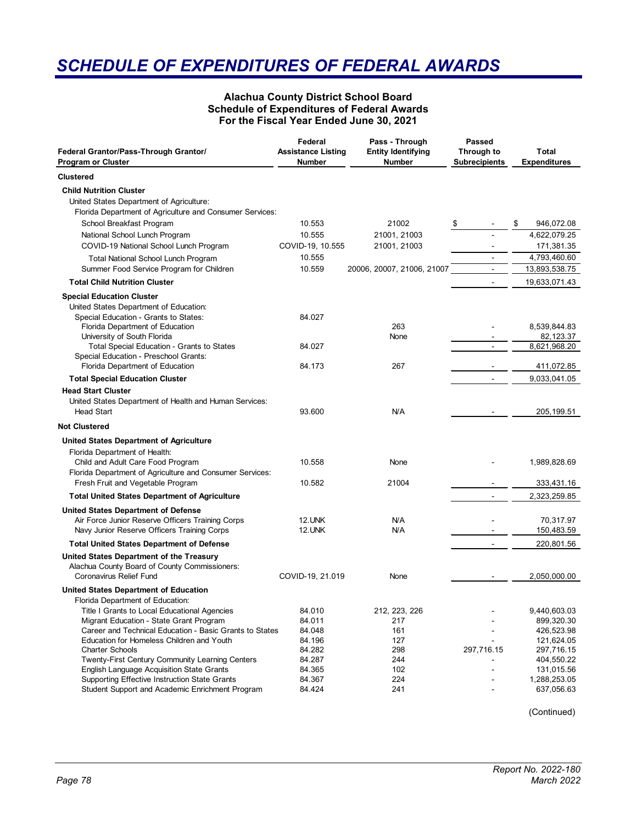# *SCHEDULE OF EXPENDITURES OF FEDERAL AWARDS*

#### **Alachua County District School Board Schedule of Expenditures of Federal Awards For the Fiscal Year Ended June 30, 2021**

| Federal Grantor/Pass-Through Grantor/<br><b>Program or Cluster</b>                                   | Federal<br><b>Assistance Listing</b><br><b>Number</b> | Pass - Through<br><b>Entity Identifying</b><br><b>Number</b> | <b>Passed</b><br>Through to<br><b>Subrecipients</b> | Total<br><b>Expenditures</b> |
|------------------------------------------------------------------------------------------------------|-------------------------------------------------------|--------------------------------------------------------------|-----------------------------------------------------|------------------------------|
| <b>Clustered</b>                                                                                     |                                                       |                                                              |                                                     |                              |
| <b>Child Nutrition Cluster</b>                                                                       |                                                       |                                                              |                                                     |                              |
| United States Department of Agriculture:<br>Florida Department of Agriculture and Consumer Services: |                                                       |                                                              |                                                     |                              |
| School Breakfast Program                                                                             | 10.553                                                | 21002                                                        | \$                                                  | \$<br>946,072.08             |
| National School Lunch Program                                                                        | 10.555                                                | 21001, 21003                                                 |                                                     | 4,622,079.25                 |
| COVID-19 National School Lunch Program                                                               | COVID-19, 10.555                                      | 21001, 21003                                                 |                                                     | 171,381.35                   |
| <b>Total National School Lunch Program</b>                                                           | 10.555                                                |                                                              |                                                     | 4,793,460.60                 |
| Summer Food Service Program for Children                                                             | 10.559                                                | 20006, 20007, 21006, 21007                                   | $\blacksquare$                                      | 13,893,538.75                |
| <b>Total Child Nutrition Cluster</b>                                                                 |                                                       |                                                              | $\blacksquare$                                      | 19,633,071.43                |
| <b>Special Education Cluster</b>                                                                     |                                                       |                                                              |                                                     |                              |
| United States Department of Education:                                                               |                                                       |                                                              |                                                     |                              |
| Special Education - Grants to States:                                                                | 84.027                                                |                                                              |                                                     |                              |
| Florida Department of Education                                                                      |                                                       | 263                                                          | ä,                                                  | 8,539,844.83                 |
| University of South Florida                                                                          |                                                       | None                                                         |                                                     | 82,123.37                    |
| Total Special Education - Grants to States<br>Special Education - Preschool Grants:                  | 84.027                                                |                                                              | $\overline{\phantom{a}}$                            | 8,621,968.20                 |
| Florida Department of Education                                                                      | 84.173                                                | 267                                                          |                                                     | 411,072.85                   |
| <b>Total Special Education Cluster</b>                                                               |                                                       |                                                              |                                                     | 9,033,041.05                 |
| <b>Head Start Cluster</b>                                                                            |                                                       |                                                              |                                                     |                              |
| United States Department of Health and Human Services:                                               |                                                       |                                                              |                                                     |                              |
| <b>Head Start</b>                                                                                    | 93.600                                                | <b>N/A</b>                                                   |                                                     | 205, 199.51                  |
| <b>Not Clustered</b>                                                                                 |                                                       |                                                              |                                                     |                              |
| <b>United States Department of Agriculture</b>                                                       |                                                       |                                                              |                                                     |                              |
| Florida Department of Health:                                                                        |                                                       |                                                              |                                                     |                              |
| Child and Adult Care Food Program                                                                    | 10.558                                                | None                                                         |                                                     | 1,989,828.69                 |
| Florida Department of Agriculture and Consumer Services:                                             |                                                       |                                                              |                                                     |                              |
| Fresh Fruit and Vegetable Program                                                                    | 10.582                                                | 21004                                                        |                                                     | 333,431.16                   |
| <b>Total United States Department of Agriculture</b>                                                 |                                                       |                                                              | $\blacksquare$                                      | 2,323,259.85                 |
| <b>United States Department of Defense</b>                                                           |                                                       |                                                              |                                                     |                              |
| Air Force Junior Reserve Officers Training Corps                                                     | 12.UNK                                                | <b>N/A</b>                                                   |                                                     | 70,317.97                    |
| Navy Junior Reserve Officers Training Corps                                                          | <b>12.UNK</b>                                         | <b>N/A</b>                                                   |                                                     | 150,483.59                   |
| <b>Total United States Department of Defense</b>                                                     |                                                       |                                                              | $\blacksquare$                                      | 220,801.56                   |
| United States Department of the Treasury                                                             |                                                       |                                                              |                                                     |                              |
| Alachua County Board of County Commissioners:                                                        |                                                       |                                                              |                                                     |                              |
| <b>Coronavirus Relief Fund</b>                                                                       | COVID-19, 21.019                                      | None                                                         |                                                     | 2,050,000.00                 |
| <b>United States Department of Education</b>                                                         |                                                       |                                                              |                                                     |                              |
| Florida Department of Education:<br>Title I Grants to Local Educational Agencies                     | 84.010                                                |                                                              |                                                     |                              |
| Migrant Education - State Grant Program                                                              | 84.011                                                | 212, 223, 226<br>217                                         |                                                     | 9,440,603.03<br>899,320.30   |
| Career and Technical Education - Basic Grants to States                                              | 84.048                                                | 161                                                          |                                                     | 426,523.98                   |
| Education for Homeless Children and Youth                                                            | 84.196                                                | 127                                                          |                                                     | 121,624.05                   |
| <b>Charter Schools</b>                                                                               | 84.282                                                | 298                                                          | 297,716.15                                          | 297,716.15                   |
| Twenty-First Century Community Learning Centers                                                      | 84.287                                                | 244                                                          |                                                     | 404,550.22                   |
| <b>English Language Acquisition State Grants</b>                                                     | 84.365                                                | 102                                                          |                                                     | 131,015.56                   |
| Supporting Effective Instruction State Grants                                                        | 84.367                                                | 224                                                          |                                                     | 1,288,253.05                 |
| Student Support and Academic Enrichment Program                                                      | 84.424                                                | 241                                                          |                                                     | 637,056.63                   |
|                                                                                                      |                                                       |                                                              |                                                     |                              |

(Continued)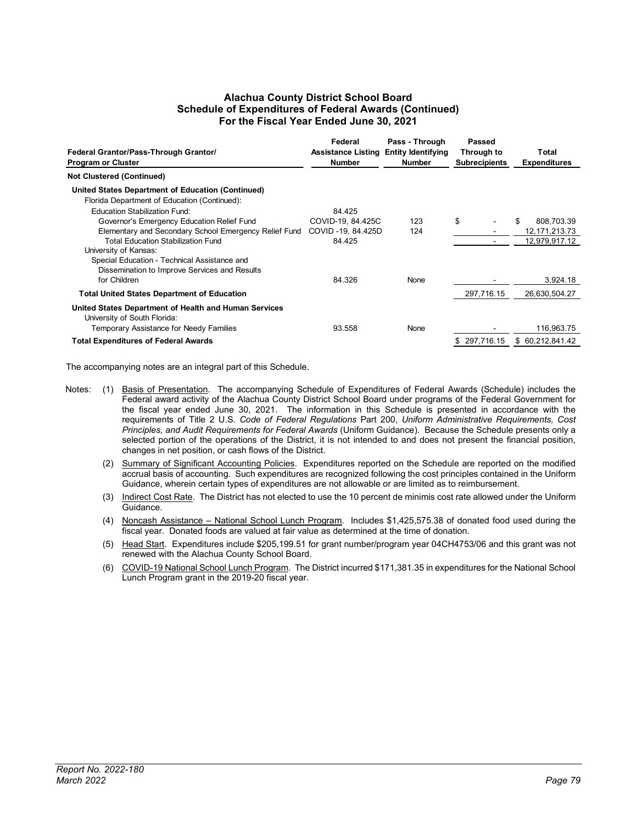#### **Alachua County District School Board Schedule of Expenditures of Federal Awards (Continued) For the Fiscal Year Ended June 30, 2021**

| Federal Grantor/Pass-Through Grantor/<br><b>Program or Cluster</b>                                                                                                                                                                    | Federal<br><b>Assistance Listing</b><br><b>Number</b> | Pass - Through<br><b>Entity Identifying</b><br><b>Number</b> | Passed<br>Through to<br><b>Subrecipients</b> | Total<br><b>Expenditures</b>               |
|---------------------------------------------------------------------------------------------------------------------------------------------------------------------------------------------------------------------------------------|-------------------------------------------------------|--------------------------------------------------------------|----------------------------------------------|--------------------------------------------|
| <b>Not Clustered (Continued)</b>                                                                                                                                                                                                      |                                                       |                                                              |                                              |                                            |
| United States Department of Education (Continued)<br>Florida Department of Education (Continued):<br>Education Stabilization Fund:<br>Governor's Emergency Education Relief Fund                                                      | 84.425<br>COVID-19, 84.425C                           | 123                                                          | \$                                           | 808,703.39                                 |
| Elementary and Secondary School Emergency Relief Fund<br>Total Education Stabilization Fund<br>University of Kansas:<br>Special Education - Technical Assistance and<br>Dissemination to Improve Services and Results<br>for Children | COVID -19, 84.425D<br>84.425<br>84.326                | 124<br>None                                                  |                                              | 12,171,213.73<br>12,979,917.12<br>3,924.18 |
| Total United States Department of Education<br>United States Department of Health and Human Services<br>University of South Florida:                                                                                                  |                                                       |                                                              | 297,716.15                                   | 26,630,504.27                              |
| Temporary Assistance for Needy Families<br><b>Total Expenditures of Federal Awards</b>                                                                                                                                                | 93.558                                                | None                                                         | \$297,716.15                                 | 116.963.75<br>\$60,212,841.42              |

The accompanying notes are an integral part of this Schedule.

- Notes: (1) Basis of Presentation. The accompanying Schedule of Expenditures of Federal Awards (Schedule) includes the Federal award activity of the Alachua County District School Board under programs of the Federal Government for the fiscal year ended June 30, 2021. The information in this Schedule is presented in accordance with the requirements of Title 2 U.S. *Code of Federal Regulations* Part 200, *Uniform Administrative Requirements, Cost Principles, and Audit Requirements for Federal Awards* (Uniform Guidance). Because the Schedule presents only a selected portion of the operations of the District, it is not intended to and does not present the financial position, changes in net position, or cash flows of the District.
	- (2) Summary of Significant Accounting Policies. Expenditures reported on the Schedule are reported on the modified accrual basis of accounting. Such expenditures are recognized following the cost principles contained in the Uniform Guidance, wherein certain types of expenditures are not allowable or are limited as to reimbursement.
	- (3) Indirect Cost Rate. The District has not elected to use the 10 percent de minimis cost rate allowed under the Uniform Guidance.
	- (4) Noncash Assistance National School Lunch Program. Includes \$1,425,575.38 of donated food used during the fiscal year. Donated foods are valued at fair value as determined at the time of donation.
	- (5) Head Start. Expenditures include \$205,199.51 for grant number/program year 04CH4753/06 and this grant was not renewed with the Alachua County School Board.
	- (6) COVID-19 National School Lunch Program. The District incurred \$171,381.35 in expenditures for the National School Lunch Program grant in the 2019-20 fiscal year.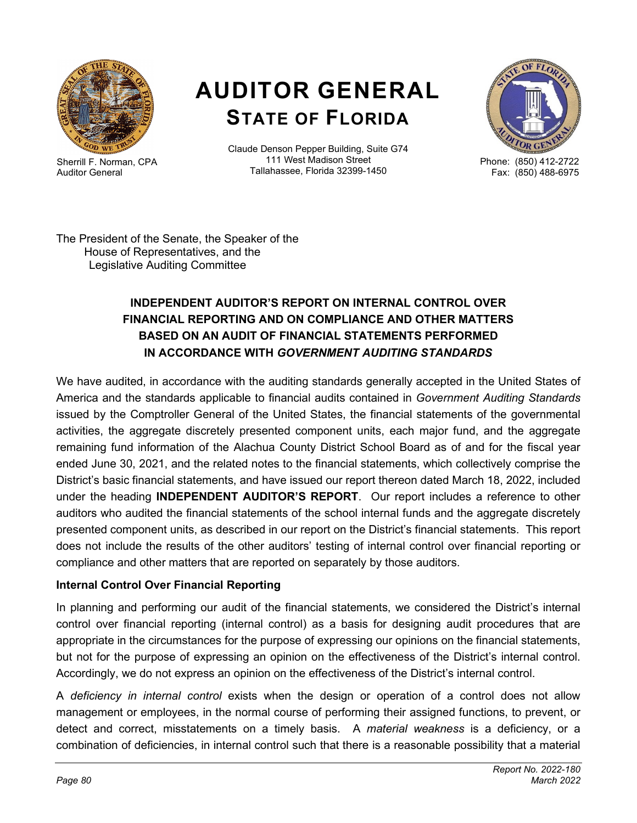

Sherrill F. Norman, CPA Auditor General

# **AUDITOR GENERAL STATE OF FLORIDA**

Claude Denson Pepper Building, Suite G74 111 West Madison Street Tallahassee, Florida 32399-1450



Phone: (850) 412-2722 Fax: (850) 488-6975

The President of the Senate, the Speaker of the House of Representatives, and the Legislative Auditing Committee

## **INDEPENDENT AUDITOR'S REPORT ON INTERNAL CONTROL OVER FINANCIAL REPORTING AND ON COMPLIANCE AND OTHER MATTERS BASED ON AN AUDIT OF FINANCIAL STATEMENTS PERFORMED IN ACCORDANCE WITH** *GOVERNMENT AUDITING STANDARDS*

We have audited, in accordance with the auditing standards generally accepted in the United States of America and the standards applicable to financial audits contained in *Government Auditing Standards* issued by the Comptroller General of the United States, the financial statements of the governmental activities, the aggregate discretely presented component units, each major fund, and the aggregate remaining fund information of the Alachua County District School Board as of and for the fiscal year ended June 30, 2021, and the related notes to the financial statements, which collectively comprise the District's basic financial statements, and have issued our report thereon dated March 18, 2022, included under the heading **INDEPENDENT AUDITOR'S REPORT**. Our report includes a reference to other auditors who audited the financial statements of the school internal funds and the aggregate discretely presented component units, as described in our report on the District's financial statements. This report does not include the results of the other auditors' testing of internal control over financial reporting or compliance and other matters that are reported on separately by those auditors.

## **Internal Control Over Financial Reporting**

In planning and performing our audit of the financial statements, we considered the District's internal control over financial reporting (internal control) as a basis for designing audit procedures that are appropriate in the circumstances for the purpose of expressing our opinions on the financial statements, but not for the purpose of expressing an opinion on the effectiveness of the District's internal control. Accordingly, we do not express an opinion on the effectiveness of the District's internal control.

A *deficiency in internal control* exists when the design or operation of a control does not allow management or employees, in the normal course of performing their assigned functions, to prevent, or detect and correct, misstatements on a timely basis. A *material weakness* is a deficiency, or a combination of deficiencies, in internal control such that there is a reasonable possibility that a material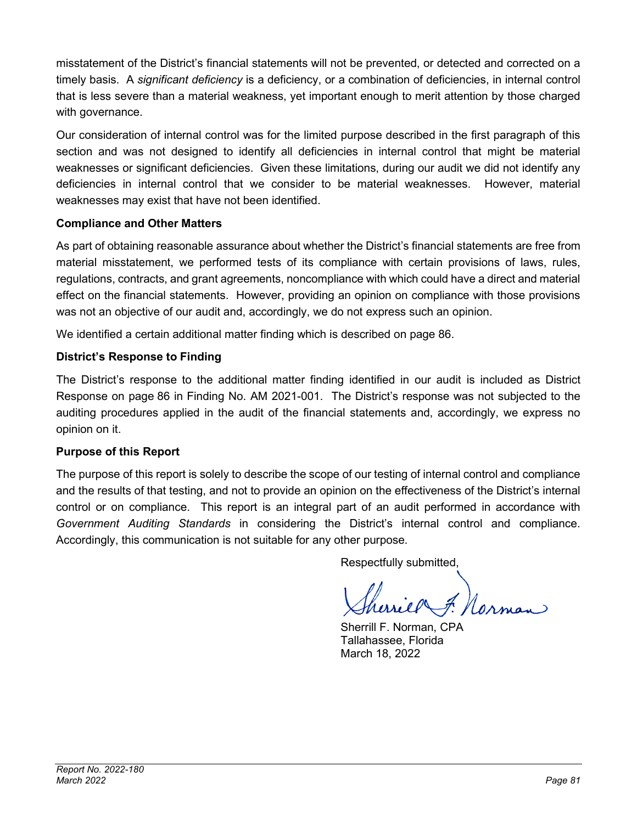misstatement of the District's financial statements will not be prevented, or detected and corrected on a timely basis. A *significant deficiency* is a deficiency, or a combination of deficiencies, in internal control that is less severe than a material weakness, yet important enough to merit attention by those charged with governance.

Our consideration of internal control was for the limited purpose described in the first paragraph of this section and was not designed to identify all deficiencies in internal control that might be material weaknesses or significant deficiencies. Given these limitations, during our audit we did not identify any deficiencies in internal control that we consider to be material weaknesses. However, material weaknesses may exist that have not been identified.

## **Compliance and Other Matters**

As part of obtaining reasonable assurance about whether the District's financial statements are free from material misstatement, we performed tests of its compliance with certain provisions of laws, rules, regulations, contracts, and grant agreements, noncompliance with which could have a direct and material effect on the financial statements. However, providing an opinion on compliance with those provisions was not an objective of our audit and, accordingly, we do not express such an opinion.

We identified a certain additional matter finding which is described on page 86.

## **District's Response to Finding**

The District's response to the additional matter finding identified in our audit is included as District Response on page 86 in Finding No. AM 2021-001. The District's response was not subjected to the auditing procedures applied in the audit of the financial statements and, accordingly, we express no opinion on it.

#### **Purpose of this Report**

The purpose of this report is solely to describe the scope of our testing of internal control and compliance and the results of that testing, and not to provide an opinion on the effectiveness of the District's internal control or on compliance. This report is an integral part of an audit performed in accordance with *Government Auditing Standards* in considering the District's internal control and compliance. Accordingly, this communication is not suitable for any other purpose.

Respectfully submitted,

Sherrill F. Norman, CPA Tallahassee, Florida March 18, 2022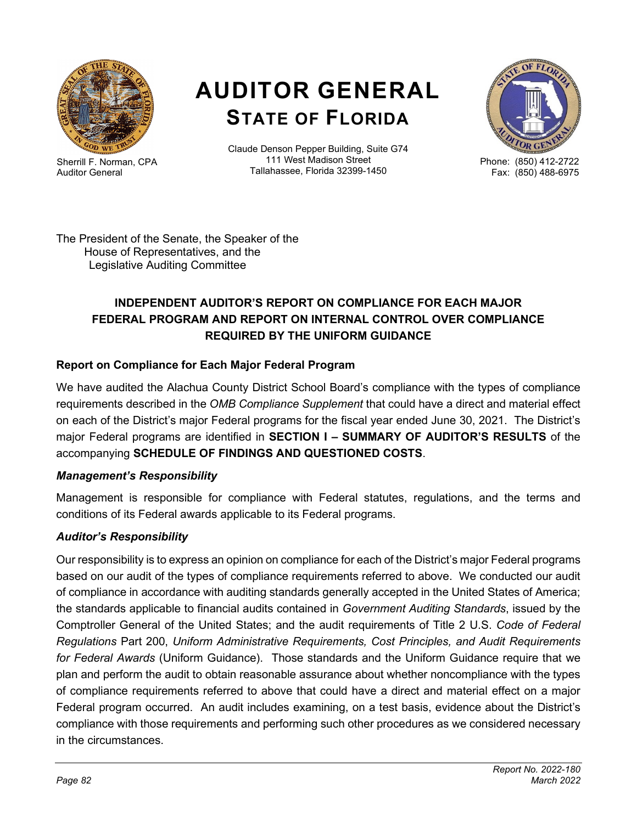

Sherrill F. Norman, CPA Auditor General

# **AUDITOR GENERAL STATE OF FLORIDA**

Claude Denson Pepper Building, Suite G74 111 West Madison Street Tallahassee, Florida 32399-1450



Phone: (850) 412-2722 Fax: (850) 488-6975

The President of the Senate, the Speaker of the House of Representatives, and the Legislative Auditing Committee

## **INDEPENDENT AUDITOR'S REPORT ON COMPLIANCE FOR EACH MAJOR FEDERAL PROGRAM AND REPORT ON INTERNAL CONTROL OVER COMPLIANCE REQUIRED BY THE UNIFORM GUIDANCE**

## **Report on Compliance for Each Major Federal Program**

We have audited the Alachua County District School Board's compliance with the types of compliance requirements described in the *OMB Compliance Supplement* that could have a direct and material effect on each of the District's major Federal programs for the fiscal year ended June 30, 2021. The District's major Federal programs are identified in **SECTION I – SUMMARY OF AUDITOR'S RESULTS** of the accompanying **SCHEDULE OF FINDINGS AND QUESTIONED COSTS**.

#### *Management's Responsibility*

Management is responsible for compliance with Federal statutes, regulations, and the terms and conditions of its Federal awards applicable to its Federal programs.

#### *Auditor's Responsibility*

Our responsibility is to express an opinion on compliance for each of the District's major Federal programs based on our audit of the types of compliance requirements referred to above. We conducted our audit of compliance in accordance with auditing standards generally accepted in the United States of America; the standards applicable to financial audits contained in *Government Auditing Standards*, issued by the Comptroller General of the United States; and the audit requirements of Title 2 U.S. *Code of Federal Regulations* Part 200, *Uniform Administrative Requirements, Cost Principles, and Audit Requirements for Federal Awards* (Uniform Guidance). Those standards and the Uniform Guidance require that we plan and perform the audit to obtain reasonable assurance about whether noncompliance with the types of compliance requirements referred to above that could have a direct and material effect on a major Federal program occurred. An audit includes examining, on a test basis, evidence about the District's compliance with those requirements and performing such other procedures as we considered necessary in the circumstances.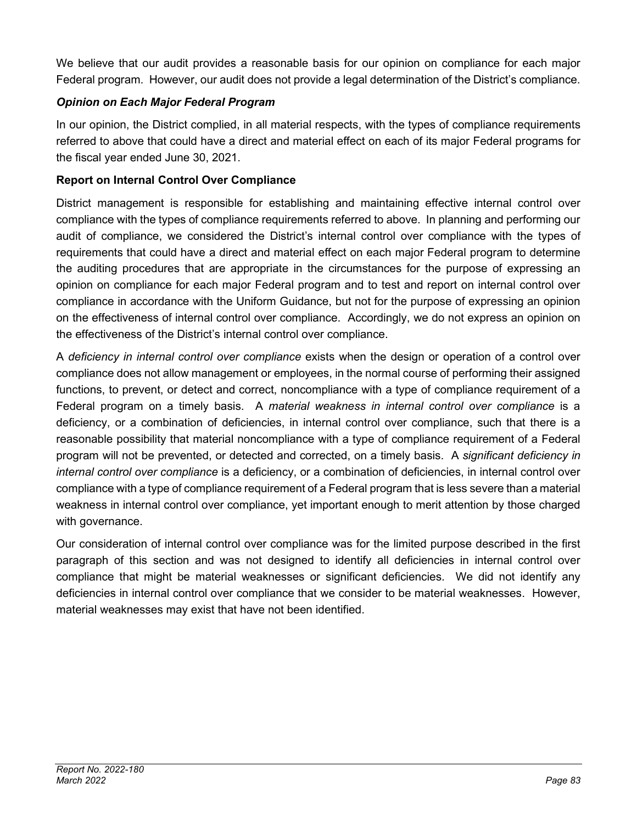We believe that our audit provides a reasonable basis for our opinion on compliance for each major Federal program. However, our audit does not provide a legal determination of the District's compliance.

## *Opinion on Each Major Federal Program*

In our opinion, the District complied, in all material respects, with the types of compliance requirements referred to above that could have a direct and material effect on each of its major Federal programs for the fiscal year ended June 30, 2021.

## **Report on Internal Control Over Compliance**

District management is responsible for establishing and maintaining effective internal control over compliance with the types of compliance requirements referred to above. In planning and performing our audit of compliance, we considered the District's internal control over compliance with the types of requirements that could have a direct and material effect on each major Federal program to determine the auditing procedures that are appropriate in the circumstances for the purpose of expressing an opinion on compliance for each major Federal program and to test and report on internal control over compliance in accordance with the Uniform Guidance, but not for the purpose of expressing an opinion on the effectiveness of internal control over compliance. Accordingly, we do not express an opinion on the effectiveness of the District's internal control over compliance.

A *deficiency in internal control over compliance* exists when the design or operation of a control over compliance does not allow management or employees, in the normal course of performing their assigned functions, to prevent, or detect and correct, noncompliance with a type of compliance requirement of a Federal program on a timely basis. A *material weakness in internal control over compliance* is a deficiency, or a combination of deficiencies, in internal control over compliance, such that there is a reasonable possibility that material noncompliance with a type of compliance requirement of a Federal program will not be prevented, or detected and corrected, on a timely basis. A *significant deficiency in internal control over compliance* is a deficiency, or a combination of deficiencies, in internal control over compliance with a type of compliance requirement of a Federal program that is less severe than a material weakness in internal control over compliance, yet important enough to merit attention by those charged with governance.

Our consideration of internal control over compliance was for the limited purpose described in the first paragraph of this section and was not designed to identify all deficiencies in internal control over compliance that might be material weaknesses or significant deficiencies. We did not identify any deficiencies in internal control over compliance that we consider to be material weaknesses. However, material weaknesses may exist that have not been identified.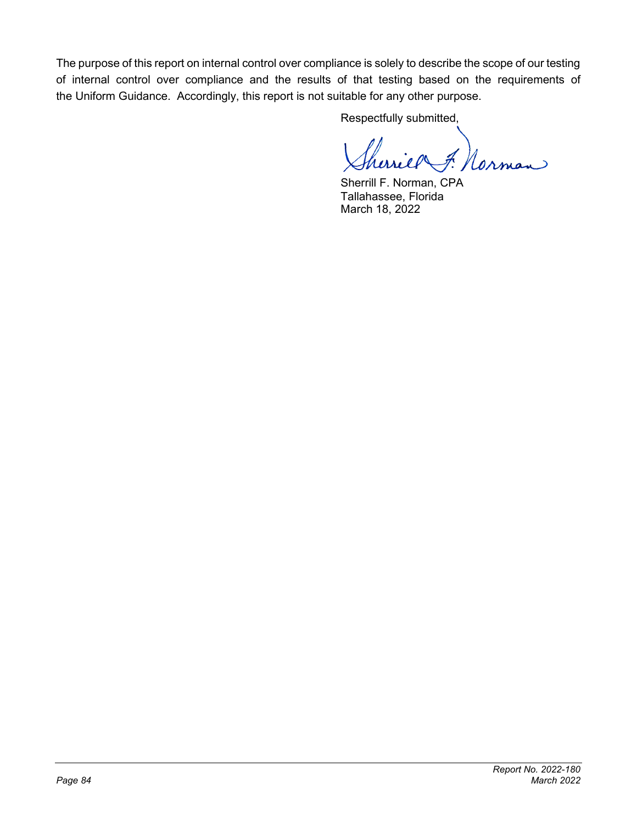The purpose of this report on internal control over compliance is solely to describe the scope of our testing of internal control over compliance and the results of that testing based on the requirements of the Uniform Guidance. Accordingly, this report is not suitable for any other purpose.

Respectfully submitted,

en J. Norman

Sherrill F. Norman, CPA Tallahassee, Florida March 18, 2022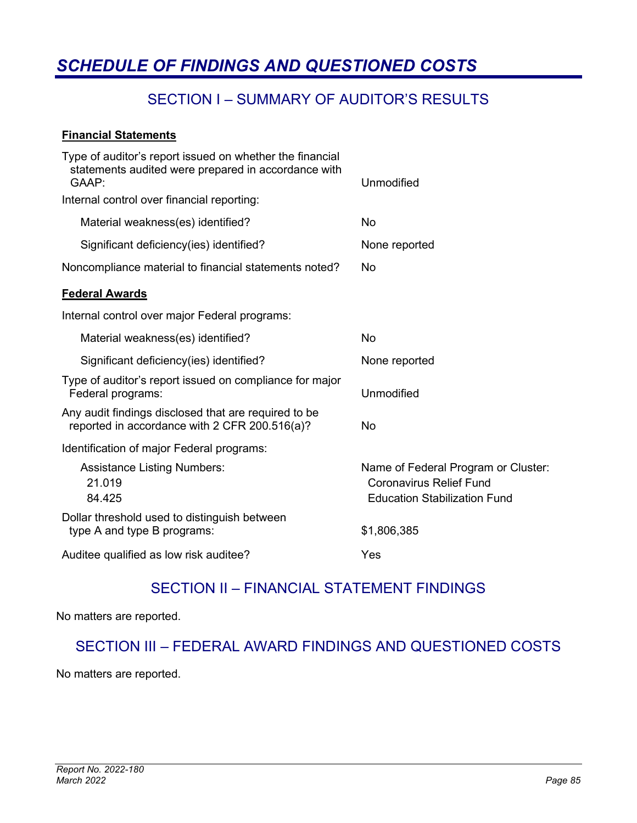# *SCHEDULE OF FINDINGS AND QUESTIONED COSTS*

# SECTION I – SUMMARY OF AUDITOR'S RESULTS

#### **Financial Statements**

| Unmodified                                                                                                   |  |  |
|--------------------------------------------------------------------------------------------------------------|--|--|
|                                                                                                              |  |  |
| <b>No</b>                                                                                                    |  |  |
| None reported                                                                                                |  |  |
| No                                                                                                           |  |  |
|                                                                                                              |  |  |
|                                                                                                              |  |  |
| <b>No</b>                                                                                                    |  |  |
| None reported                                                                                                |  |  |
| Unmodified                                                                                                   |  |  |
| <b>No</b>                                                                                                    |  |  |
|                                                                                                              |  |  |
| Name of Federal Program or Cluster:<br><b>Coronavirus Relief Fund</b><br><b>Education Stabilization Fund</b> |  |  |
| \$1,806,385                                                                                                  |  |  |
| Yes                                                                                                          |  |  |
|                                                                                                              |  |  |

# SECTION II – FINANCIAL STATEMENT FINDINGS

No matters are reported.

# SECTION III – FEDERAL AWARD FINDINGS AND QUESTIONED COSTS

No matters are reported.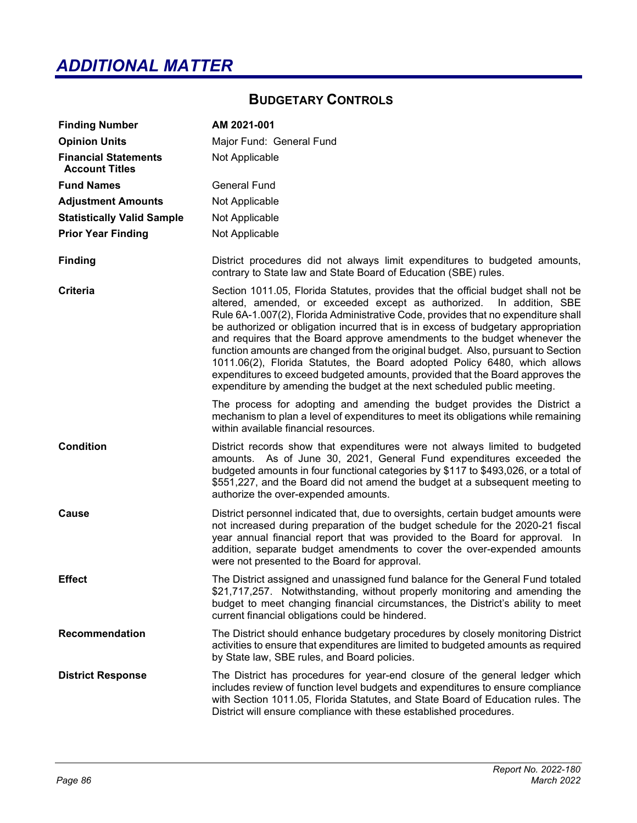# *ADDITIONAL MATTER*

| <b>Finding Number</b>                                | AM 2021-001                                                                                                                                                                                                                                                                                                                                                                                                                                                                                                                                                                                                                                                                                                                                    |
|------------------------------------------------------|------------------------------------------------------------------------------------------------------------------------------------------------------------------------------------------------------------------------------------------------------------------------------------------------------------------------------------------------------------------------------------------------------------------------------------------------------------------------------------------------------------------------------------------------------------------------------------------------------------------------------------------------------------------------------------------------------------------------------------------------|
| <b>Opinion Units</b>                                 | Major Fund: General Fund                                                                                                                                                                                                                                                                                                                                                                                                                                                                                                                                                                                                                                                                                                                       |
| <b>Financial Statements</b><br><b>Account Titles</b> | Not Applicable                                                                                                                                                                                                                                                                                                                                                                                                                                                                                                                                                                                                                                                                                                                                 |
| <b>Fund Names</b>                                    | <b>General Fund</b>                                                                                                                                                                                                                                                                                                                                                                                                                                                                                                                                                                                                                                                                                                                            |
| <b>Adjustment Amounts</b>                            | Not Applicable                                                                                                                                                                                                                                                                                                                                                                                                                                                                                                                                                                                                                                                                                                                                 |
| <b>Statistically Valid Sample</b>                    | Not Applicable                                                                                                                                                                                                                                                                                                                                                                                                                                                                                                                                                                                                                                                                                                                                 |
| <b>Prior Year Finding</b>                            | Not Applicable                                                                                                                                                                                                                                                                                                                                                                                                                                                                                                                                                                                                                                                                                                                                 |
| <b>Finding</b>                                       | District procedures did not always limit expenditures to budgeted amounts,<br>contrary to State law and State Board of Education (SBE) rules.                                                                                                                                                                                                                                                                                                                                                                                                                                                                                                                                                                                                  |
| Criteria                                             | Section 1011.05, Florida Statutes, provides that the official budget shall not be<br>altered, amended, or exceeded except as authorized. In addition, SBE<br>Rule 6A-1.007(2), Florida Administrative Code, provides that no expenditure shall<br>be authorized or obligation incurred that is in excess of budgetary appropriation<br>and requires that the Board approve amendments to the budget whenever the<br>function amounts are changed from the original budget. Also, pursuant to Section<br>1011.06(2), Florida Statutes, the Board adopted Policy 6480, which allows<br>expenditures to exceed budgeted amounts, provided that the Board approves the<br>expenditure by amending the budget at the next scheduled public meeting. |
|                                                      | The process for adopting and amending the budget provides the District a<br>mechanism to plan a level of expenditures to meet its obligations while remaining<br>within available financial resources.                                                                                                                                                                                                                                                                                                                                                                                                                                                                                                                                         |
| <b>Condition</b>                                     | District records show that expenditures were not always limited to budgeted<br>amounts. As of June 30, 2021, General Fund expenditures exceeded the<br>budgeted amounts in four functional categories by \$117 to \$493,026, or a total of<br>\$551,227, and the Board did not amend the budget at a subsequent meeting to<br>authorize the over-expended amounts.                                                                                                                                                                                                                                                                                                                                                                             |
| <b>Cause</b>                                         | District personnel indicated that, due to oversights, certain budget amounts were<br>not increased during preparation of the budget schedule for the 2020-21 fiscal<br>year annual financial report that was provided to the Board for approval. In<br>addition, separate budget amendments to cover the over-expended amounts<br>were not presented to the Board for approval.                                                                                                                                                                                                                                                                                                                                                                |
| <b>Effect</b>                                        | The District assigned and unassigned fund balance for the General Fund totaled<br>\$21,717,257. Notwithstanding, without properly monitoring and amending the<br>budget to meet changing financial circumstances, the District's ability to meet<br>current financial obligations could be hindered.                                                                                                                                                                                                                                                                                                                                                                                                                                           |
| Recommendation                                       | The District should enhance budgetary procedures by closely monitoring District<br>activities to ensure that expenditures are limited to budgeted amounts as required<br>by State law, SBE rules, and Board policies.                                                                                                                                                                                                                                                                                                                                                                                                                                                                                                                          |
| <b>District Response</b>                             | The District has procedures for year-end closure of the general ledger which<br>includes review of function level budgets and expenditures to ensure compliance<br>with Section 1011.05, Florida Statutes, and State Board of Education rules. The<br>District will ensure compliance with these established procedures.                                                                                                                                                                                                                                                                                                                                                                                                                       |

# **BUDGETARY CONTROLS**